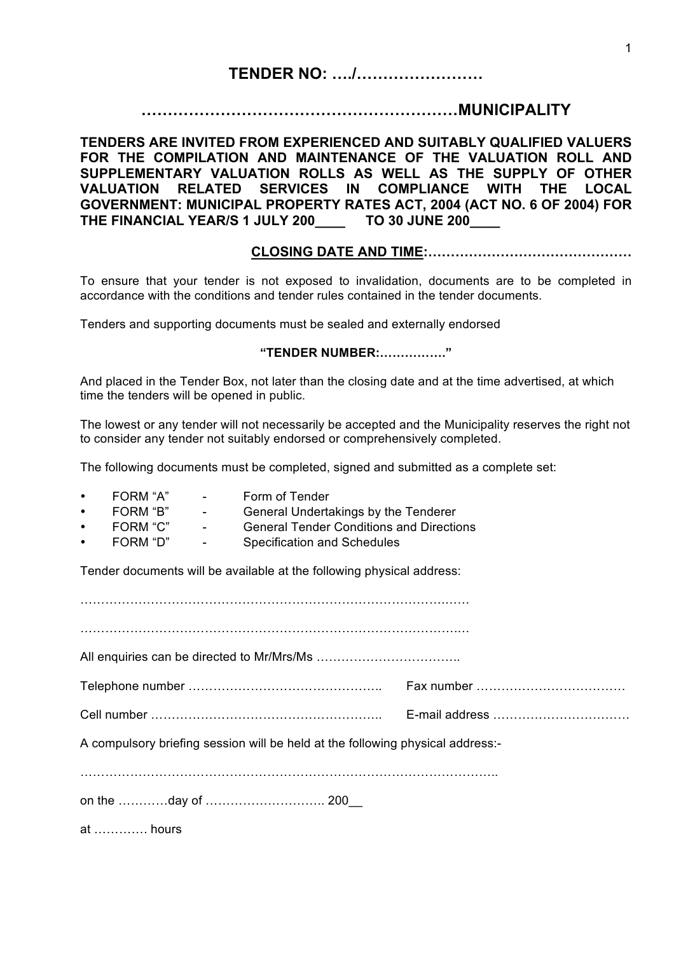# **TENDER NO: …./……………………**

# **……………………………………………………MUNICIPALITY**

**TENDERS ARE INVITED FROM EXPERIENCED AND SUITABLY QUALIFIED VALUERS FOR THE COMPILATION AND MAINTENANCE OF THE VALUATION ROLL AND SUPPLEMENTARY VALUATION ROLLS AS WELL AS THE SUPPLY OF OTHER VALUATION RELATED SERVICES IN COMPLIANCE WITH THE LOCAL GOVERNMENT: MUNICIPAL PROPERTY RATES ACT, 2004 (ACT NO. 6 OF 2004) FOR THE FINANCIAL YEAR/S 1 JULY 200\_\_\_\_ TO 30 JUNE 200\_\_\_\_**

## **CLOSING DATE AND TIME:………………………………………**

To ensure that your tender is not exposed to invalidation, documents are to be completed in accordance with the conditions and tender rules contained in the tender documents.

Tenders and supporting documents must be sealed and externally endorsed

#### **"TENDER NUMBER:……………."**

And placed in the Tender Box, not later than the closing date and at the time advertised, at which time the tenders will be opened in public.

The lowest or any tender will not necessarily be accepted and the Municipality reserves the right not to consider any tender not suitably endorsed or comprehensively completed.

The following documents must be completed, signed and submitted as a complete set:

- FORM "A" Form of Tender
- FORM "B" General Undertakings by the Tenderer<br>FORM "C" General Tender Conditions and Directic
- FORM "C" General Tender Conditions and Directions<br>FORM "D" Specification and Schedules
- Specification and Schedules

Tender documents will be available at the following physical address:

…………………………………………………………………………….…… ……………………………………………………………………………….… All enquiries can be directed to Mr/Mrs/Ms …………………………….. Telephone number ……………………………………….. Fax number ……………………………… Cell number ……………………………………………….. E-mail address …………………………… A compulsory briefing session will be held at the following physical address:- ……………………………………………………………………………………….. on the …………day of ……………………….. 200\_\_

at …………. hours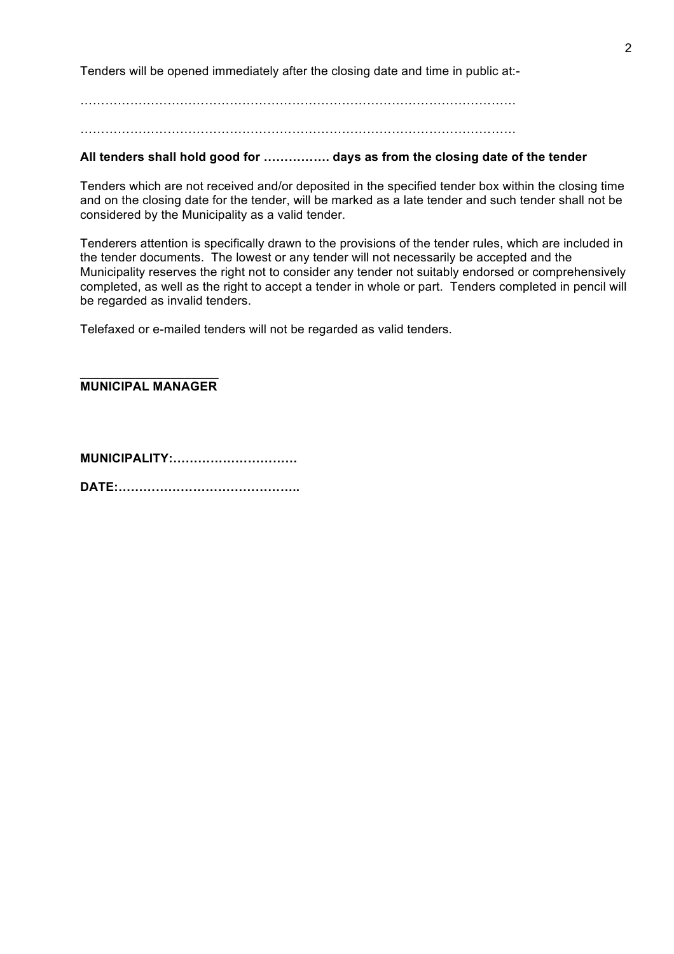Tenders will be opened immediately after the closing date and time in public at:-

……………………………………………………………………………………………

……………………………………………………………………………………………

### **All tenders shall hold good for ……………. days as from the closing date of the tender**

Tenders which are not received and/or deposited in the specified tender box within the closing time and on the closing date for the tender, will be marked as a late tender and such tender shall not be considered by the Municipality as a valid tender.

Tenderers attention is specifically drawn to the provisions of the tender rules, which are included in the tender documents. The lowest or any tender will not necessarily be accepted and the Municipality reserves the right not to consider any tender not suitably endorsed or comprehensively completed, as well as the right to accept a tender in whole or part. Tenders completed in pencil will be regarded as invalid tenders.

Telefaxed or e-mailed tenders will not be regarded as valid tenders.

**\_\_\_\_\_\_\_\_\_\_\_\_\_\_\_\_\_\_\_\_ MUNICIPAL MANAGER**

**MUNICIPALITY:…………………………**

**DATE:……………………………………..**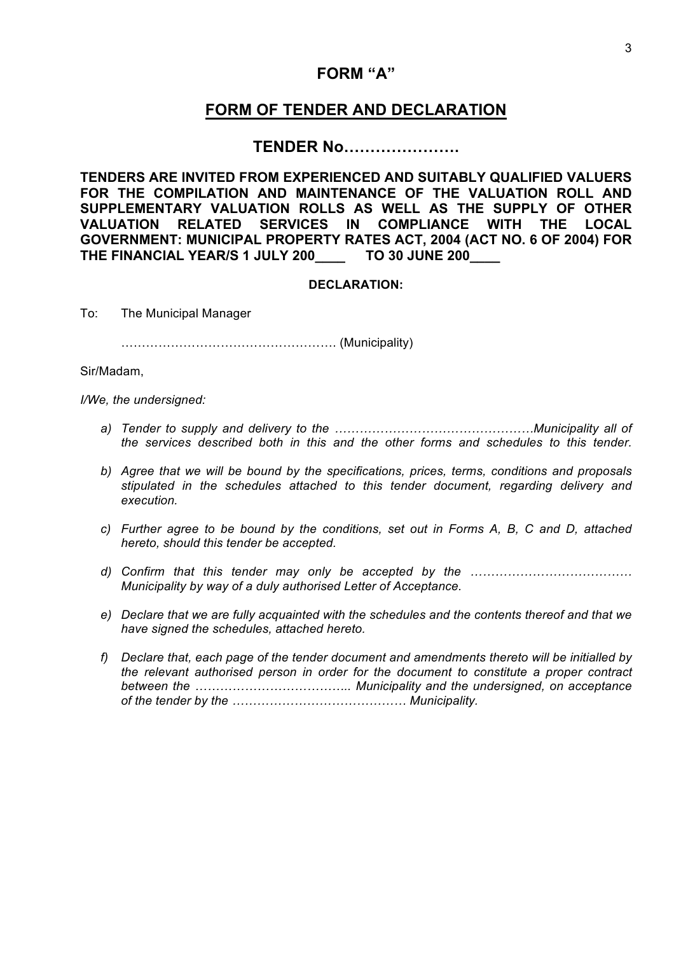# **FORM "A"**

# **FORM OF TENDER AND DECLARATION**

# **TENDER No………………….**

**TENDERS ARE INVITED FROM EXPERIENCED AND SUITABLY QUALIFIED VALUERS FOR THE COMPILATION AND MAINTENANCE OF THE VALUATION ROLL AND SUPPLEMENTARY VALUATION ROLLS AS WELL AS THE SUPPLY OF OTHER VALUATION RELATED SERVICES IN COMPLIANCE WITH THE LOCAL GOVERNMENT: MUNICIPAL PROPERTY RATES ACT, 2004 (ACT NO. 6 OF 2004) FOR THE FINANCIAL YEAR/S 1 JULY 200\_\_\_\_ TO 30 JUNE 200\_\_\_\_**

#### **DECLARATION:**

To: The Municipal Manager

……………………………………………. (Municipality)

Sir/Madam,

*I/We, the undersigned:*

- *a) Tender to supply and delivery to the …………………………………………Municipality all of the services described both in this and the other forms and schedules to this tender.*
- *b) Agree that we will be bound by the specifications, prices, terms, conditions and proposals stipulated in the schedules attached to this tender document, regarding delivery and execution.*
- *c) Further agree to be bound by the conditions, set out in Forms A, B, C and D, attached hereto, should this tender be accepted.*
- *d) Confirm that this tender may only be accepted by the ………………………………… Municipality by way of a duly authorised Letter of Acceptance.*
- *e) Declare that we are fully acquainted with the schedules and the contents thereof and that we have signed the schedules, attached hereto.*
- *f) Declare that, each page of the tender document and amendments thereto will be initialled by the relevant authorised person in order for the document to constitute a proper contract between the ……………………………….. Municipality and the undersigned, on acceptance of the tender by the …………………………………… Municipality.*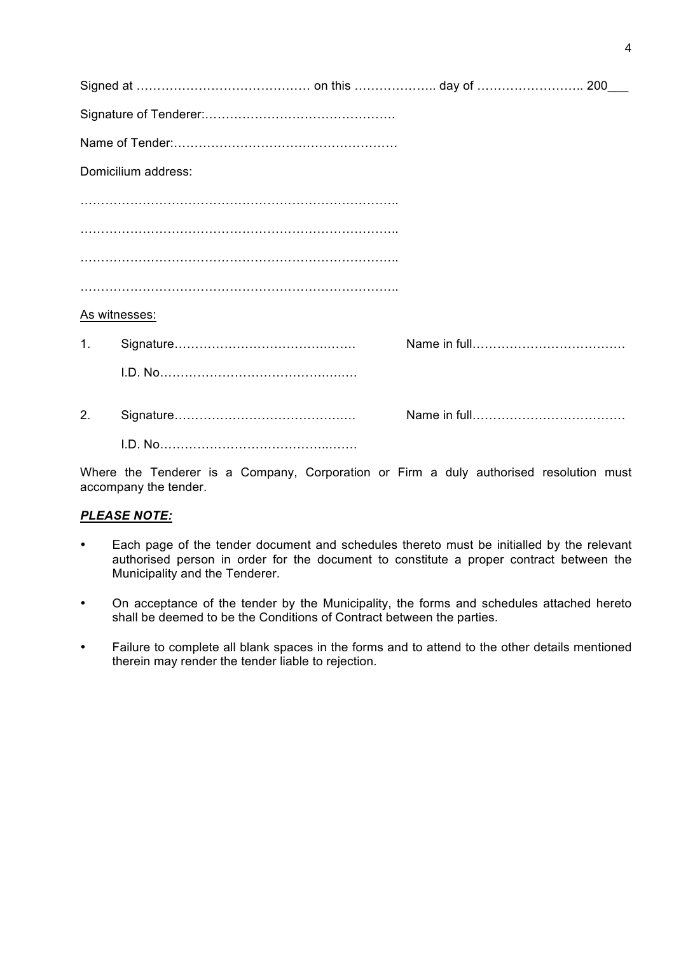|    | Signed at ……………………………………… on this ………………… day of ……………………… 200___ |  |
|----|-------------------------------------------------------------------|--|
|    |                                                                   |  |
|    |                                                                   |  |
|    | Domicilium address:                                               |  |
|    |                                                                   |  |
|    |                                                                   |  |
|    |                                                                   |  |
|    |                                                                   |  |
|    | As witnesses:                                                     |  |
| 1. |                                                                   |  |
|    |                                                                   |  |
| 2. |                                                                   |  |
|    |                                                                   |  |
|    |                                                                   |  |

Where the Tenderer is a Company, Corporation or Firm a duly authorised resolution must accompany the tender.

## *PLEASE NOTE:*

- Each page of the tender document and schedules thereto must be initialled by the relevant authorised person in order for the document to constitute a proper contract between the Municipality and the Tenderer.
- On acceptance of the tender by the Municipality, the forms and schedules attached hereto shall be deemed to be the Conditions of Contract between the parties.
- Failure to complete all blank spaces in the forms and to attend to the other details mentioned therein may render the tender liable to rejection.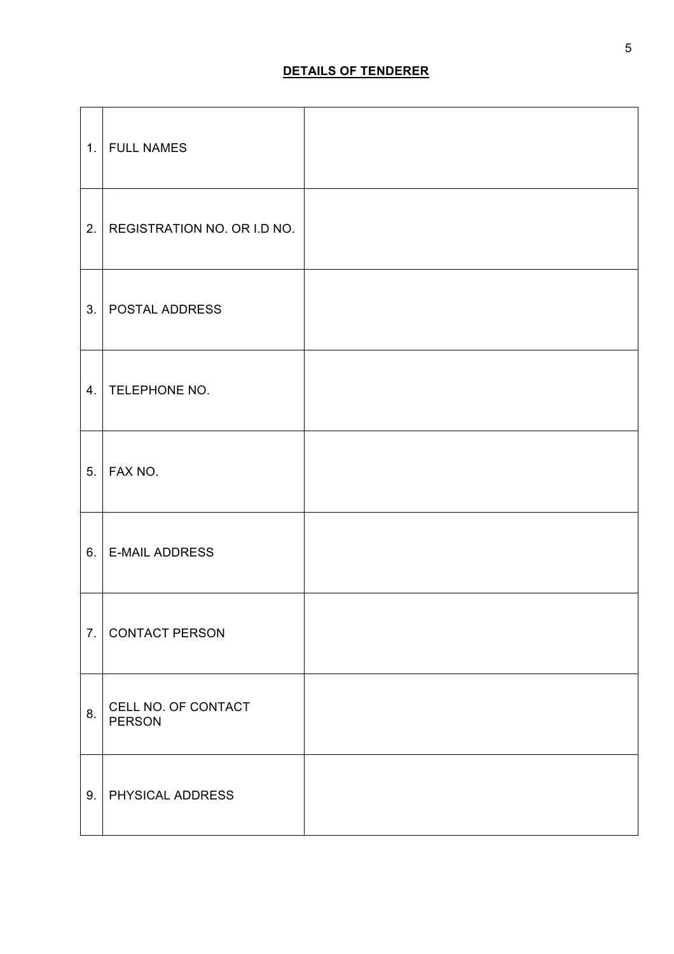|    | 1. FULL NAMES                        |  |
|----|--------------------------------------|--|
| 2. | REGISTRATION NO. OR I.D NO.          |  |
|    | 3.   POSTAL ADDRESS                  |  |
|    | 4. TELEPHONE NO.                     |  |
|    | 5.   FAX NO.                         |  |
| 6. | <b>E-MAIL ADDRESS</b>                |  |
|    | 7. CONTACT PERSON                    |  |
| 8. | CELL NO. OF CONTACT<br><b>PERSON</b> |  |
| 9. | <b>PHYSICAL ADDRESS</b>              |  |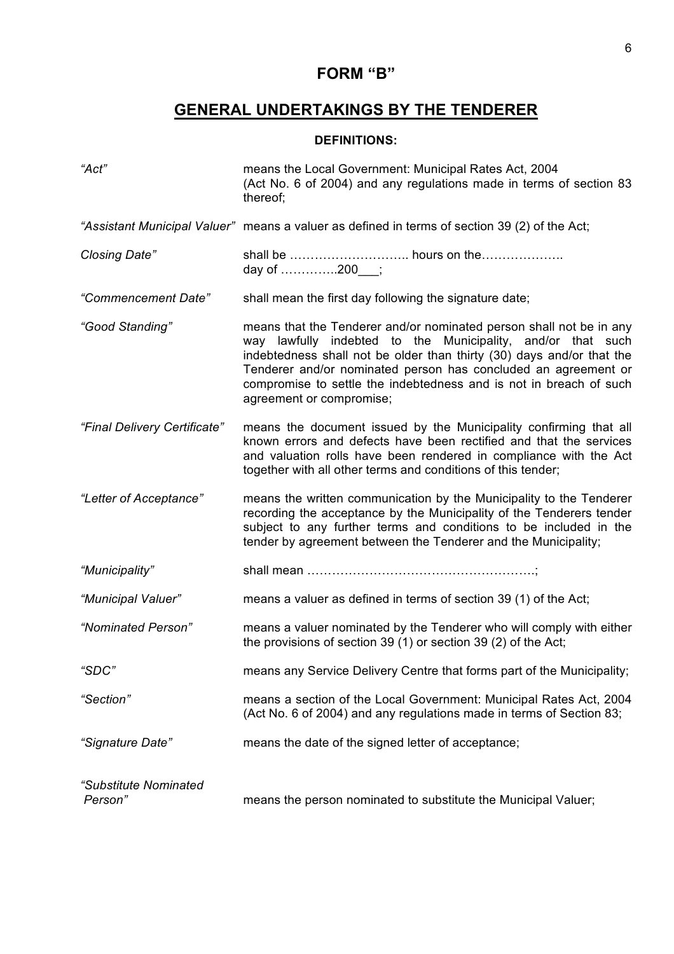# **FORM "B"**

# **GENERAL UNDERTAKINGS BY THE TENDERER**

# **DEFINITIONS:**

| "Act"                            | means the Local Government: Municipal Rates Act, 2004<br>(Act No. 6 of 2004) and any regulations made in terms of section 83<br>thereof;                                                                                                                                                                                                                                        |
|----------------------------------|---------------------------------------------------------------------------------------------------------------------------------------------------------------------------------------------------------------------------------------------------------------------------------------------------------------------------------------------------------------------------------|
|                                  | "Assistant Municipal Valuer" means a valuer as defined in terms of section 39 (2) of the Act;                                                                                                                                                                                                                                                                                   |
| Closing Date"                    | day of 200__;                                                                                                                                                                                                                                                                                                                                                                   |
| "Commencement Date"              | shall mean the first day following the signature date;                                                                                                                                                                                                                                                                                                                          |
| "Good Standing"                  | means that the Tenderer and/or nominated person shall not be in any<br>way lawfully indebted to the Municipality, and/or that such<br>indebtedness shall not be older than thirty (30) days and/or that the<br>Tenderer and/or nominated person has concluded an agreement or<br>compromise to settle the indebtedness and is not in breach of such<br>agreement or compromise; |
| "Final Delivery Certificate"     | means the document issued by the Municipality confirming that all<br>known errors and defects have been rectified and that the services<br>and valuation rolls have been rendered in compliance with the Act<br>together with all other terms and conditions of this tender;                                                                                                    |
| "Letter of Acceptance"           | means the written communication by the Municipality to the Tenderer<br>recording the acceptance by the Municipality of the Tenderers tender<br>subject to any further terms and conditions to be included in the<br>tender by agreement between the Tenderer and the Municipality;                                                                                              |
| "Municipality"                   |                                                                                                                                                                                                                                                                                                                                                                                 |
| "Municipal Valuer"               | means a valuer as defined in terms of section 39 (1) of the Act;                                                                                                                                                                                                                                                                                                                |
| "Nominated Person"               | means a valuer nominated by the Tenderer who will comply with either<br>the provisions of section 39 (1) or section 39 (2) of the Act;                                                                                                                                                                                                                                          |
| "SDC"                            | means any Service Delivery Centre that forms part of the Municipality;                                                                                                                                                                                                                                                                                                          |
| "Section"                        | means a section of the Local Government: Municipal Rates Act, 2004<br>(Act No. 6 of 2004) and any regulations made in terms of Section 83;                                                                                                                                                                                                                                      |
| "Signature Date"                 | means the date of the signed letter of acceptance;                                                                                                                                                                                                                                                                                                                              |
| "Substitute Nominated<br>Person" | means the person nominated to substitute the Municipal Valuer;                                                                                                                                                                                                                                                                                                                  |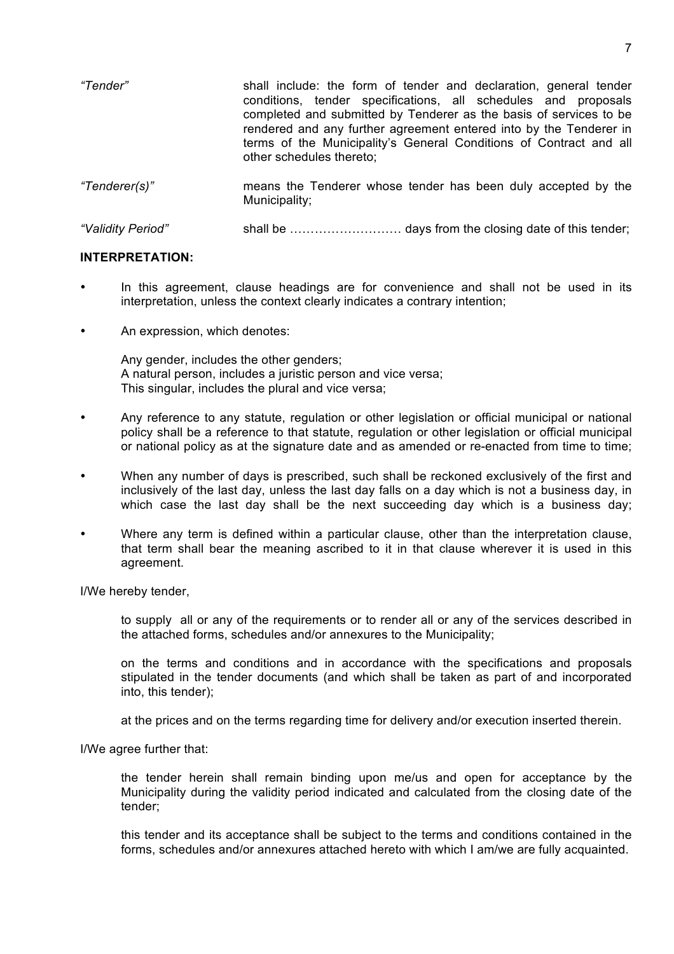| "Tender"          | shall include: the form of tender and declaration, general tender<br>conditions, tender specifications, all schedules and proposals<br>completed and submitted by Tenderer as the basis of services to be<br>rendered and any further agreement entered into by the Tenderer in<br>terms of the Municipality's General Conditions of Contract and all<br>other schedules thereto; |
|-------------------|-----------------------------------------------------------------------------------------------------------------------------------------------------------------------------------------------------------------------------------------------------------------------------------------------------------------------------------------------------------------------------------|
| "Tenderer(s)"     | means the Tenderer whose tender has been duly accepted by the<br>Municipality;                                                                                                                                                                                                                                                                                                    |
| "Validity Period" |                                                                                                                                                                                                                                                                                                                                                                                   |

#### **INTERPRETATION:**

- In this agreement, clause headings are for convenience and shall not be used in its interpretation, unless the context clearly indicates a contrary intention;
- An expression, which denotes:

Any gender, includes the other genders; A natural person, includes a juristic person and vice versa; This singular, includes the plural and vice versa;

- Any reference to any statute, regulation or other legislation or official municipal or national policy shall be a reference to that statute, regulation or other legislation or official municipal or national policy as at the signature date and as amended or re-enacted from time to time;
- When any number of days is prescribed, such shall be reckoned exclusively of the first and inclusively of the last day, unless the last day falls on a day which is not a business day, in which case the last day shall be the next succeeding day which is a business day;
- Where any term is defined within a particular clause, other than the interpretation clause, that term shall bear the meaning ascribed to it in that clause wherever it is used in this agreement.

I/We hereby tender,

to supply all or any of the requirements or to render all or any of the services described in the attached forms, schedules and/or annexures to the Municipality;

on the terms and conditions and in accordance with the specifications and proposals stipulated in the tender documents (and which shall be taken as part of and incorporated into, this tender);

at the prices and on the terms regarding time for delivery and/or execution inserted therein.

I/We agree further that:

the tender herein shall remain binding upon me/us and open for acceptance by the Municipality during the validity period indicated and calculated from the closing date of the tender;

this tender and its acceptance shall be subject to the terms and conditions contained in the forms, schedules and/or annexures attached hereto with which I am/we are fully acquainted.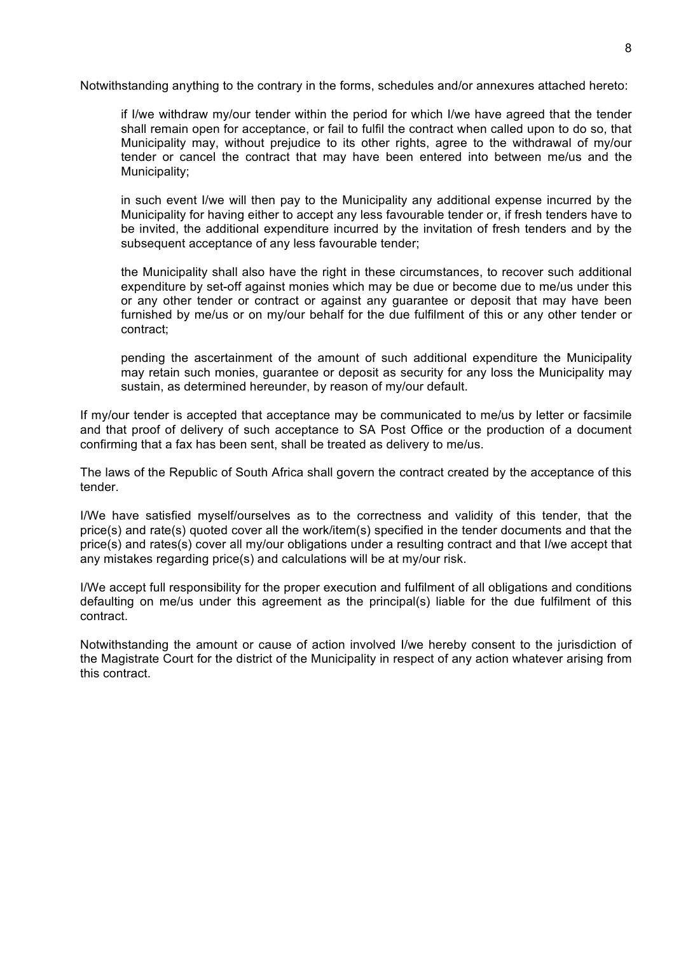Notwithstanding anything to the contrary in the forms, schedules and/or annexures attached hereto:

if I/we withdraw my/our tender within the period for which I/we have agreed that the tender shall remain open for acceptance, or fail to fulfil the contract when called upon to do so, that Municipality may, without prejudice to its other rights, agree to the withdrawal of my/our tender or cancel the contract that may have been entered into between me/us and the Municipality;

in such event I/we will then pay to the Municipality any additional expense incurred by the Municipality for having either to accept any less favourable tender or, if fresh tenders have to be invited, the additional expenditure incurred by the invitation of fresh tenders and by the subsequent acceptance of any less favourable tender;

the Municipality shall also have the right in these circumstances, to recover such additional expenditure by set-off against monies which may be due or become due to me/us under this or any other tender or contract or against any guarantee or deposit that may have been furnished by me/us or on my/our behalf for the due fulfilment of this or any other tender or contract;

pending the ascertainment of the amount of such additional expenditure the Municipality may retain such monies, guarantee or deposit as security for any loss the Municipality may sustain, as determined hereunder, by reason of my/our default.

If my/our tender is accepted that acceptance may be communicated to me/us by letter or facsimile and that proof of delivery of such acceptance to SA Post Office or the production of a document confirming that a fax has been sent, shall be treated as delivery to me/us.

The laws of the Republic of South Africa shall govern the contract created by the acceptance of this tender.

I/We have satisfied myself/ourselves as to the correctness and validity of this tender, that the price(s) and rate(s) quoted cover all the work/item(s) specified in the tender documents and that the price(s) and rates(s) cover all my/our obligations under a resulting contract and that I/we accept that any mistakes regarding price(s) and calculations will be at my/our risk.

I/We accept full responsibility for the proper execution and fulfilment of all obligations and conditions defaulting on me/us under this agreement as the principal(s) liable for the due fulfilment of this contract.

Notwithstanding the amount or cause of action involved I/we hereby consent to the jurisdiction of the Magistrate Court for the district of the Municipality in respect of any action whatever arising from this contract.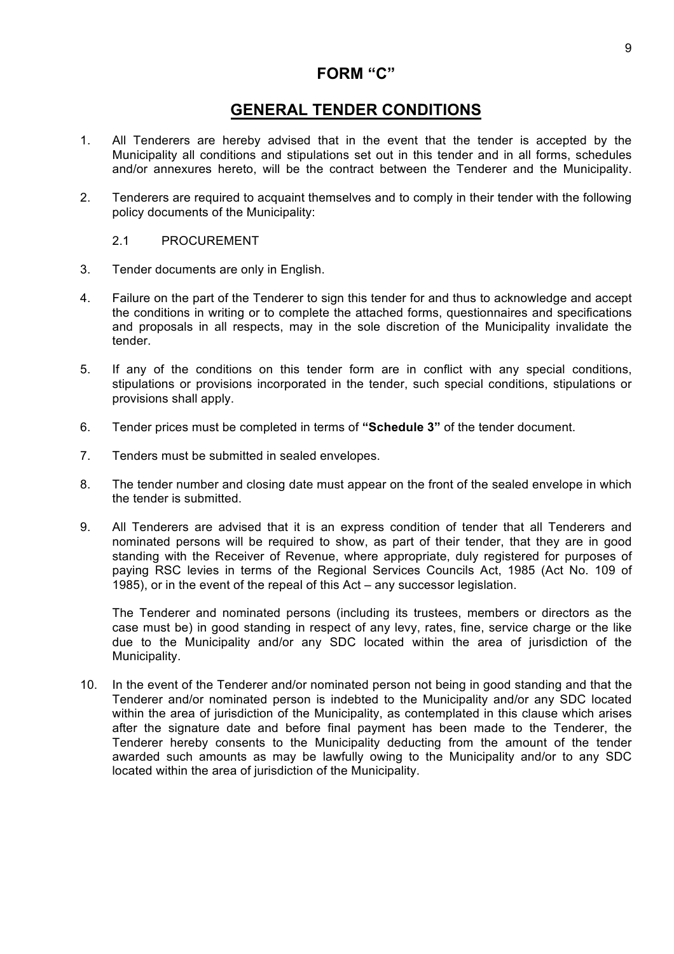# **FORM "C"**

# **GENERAL TENDER CONDITIONS**

- 1. All Tenderers are hereby advised that in the event that the tender is accepted by the Municipality all conditions and stipulations set out in this tender and in all forms, schedules and/or annexures hereto, will be the contract between the Tenderer and the Municipality.
- 2. Tenderers are required to acquaint themselves and to comply in their tender with the following policy documents of the Municipality:

#### 2.1 PROCUREMENT

- 3. Tender documents are only in English.
- 4. Failure on the part of the Tenderer to sign this tender for and thus to acknowledge and accept the conditions in writing or to complete the attached forms, questionnaires and specifications and proposals in all respects, may in the sole discretion of the Municipality invalidate the tender.
- 5. If any of the conditions on this tender form are in conflict with any special conditions, stipulations or provisions incorporated in the tender, such special conditions, stipulations or provisions shall apply.
- 6. Tender prices must be completed in terms of **"Schedule 3"** of the tender document.
- 7. Tenders must be submitted in sealed envelopes.
- 8. The tender number and closing date must appear on the front of the sealed envelope in which the tender is submitted.
- 9. All Tenderers are advised that it is an express condition of tender that all Tenderers and nominated persons will be required to show, as part of their tender, that they are in good standing with the Receiver of Revenue, where appropriate, duly registered for purposes of paying RSC levies in terms of the Regional Services Councils Act, 1985 (Act No. 109 of 1985), or in the event of the repeal of this Act – any successor legislation.

The Tenderer and nominated persons (including its trustees, members or directors as the case must be) in good standing in respect of any levy, rates, fine, service charge or the like due to the Municipality and/or any SDC located within the area of jurisdiction of the Municipality.

10. In the event of the Tenderer and/or nominated person not being in good standing and that the Tenderer and/or nominated person is indebted to the Municipality and/or any SDC located within the area of jurisdiction of the Municipality, as contemplated in this clause which arises after the signature date and before final payment has been made to the Tenderer, the Tenderer hereby consents to the Municipality deducting from the amount of the tender awarded such amounts as may be lawfully owing to the Municipality and/or to any SDC located within the area of jurisdiction of the Municipality.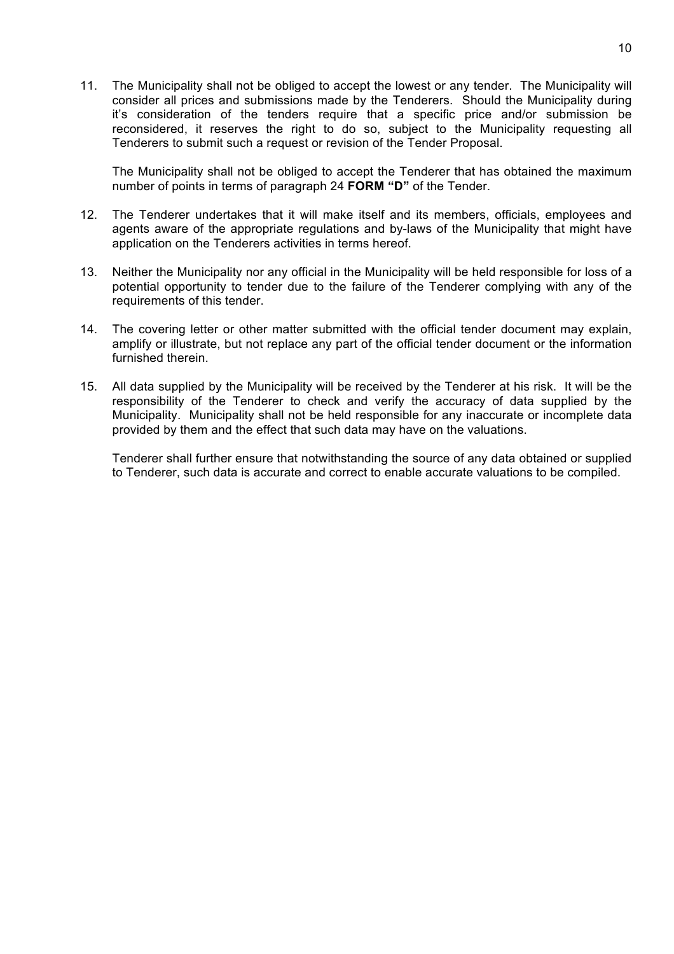11. The Municipality shall not be obliged to accept the lowest or any tender. The Municipality will consider all prices and submissions made by the Tenderers. Should the Municipality during it's consideration of the tenders require that a specific price and/or submission be reconsidered, it reserves the right to do so, subject to the Municipality requesting all Tenderers to submit such a request or revision of the Tender Proposal.

The Municipality shall not be obliged to accept the Tenderer that has obtained the maximum number of points in terms of paragraph 24 **FORM "D"** of the Tender.

- 12. The Tenderer undertakes that it will make itself and its members, officials, employees and agents aware of the appropriate regulations and by-laws of the Municipality that might have application on the Tenderers activities in terms hereof.
- 13. Neither the Municipality nor any official in the Municipality will be held responsible for loss of a potential opportunity to tender due to the failure of the Tenderer complying with any of the requirements of this tender.
- 14. The covering letter or other matter submitted with the official tender document may explain, amplify or illustrate, but not replace any part of the official tender document or the information furnished therein.
- 15. All data supplied by the Municipality will be received by the Tenderer at his risk. It will be the responsibility of the Tenderer to check and verify the accuracy of data supplied by the Municipality. Municipality shall not be held responsible for any inaccurate or incomplete data provided by them and the effect that such data may have on the valuations.

Tenderer shall further ensure that notwithstanding the source of any data obtained or supplied to Tenderer, such data is accurate and correct to enable accurate valuations to be compiled.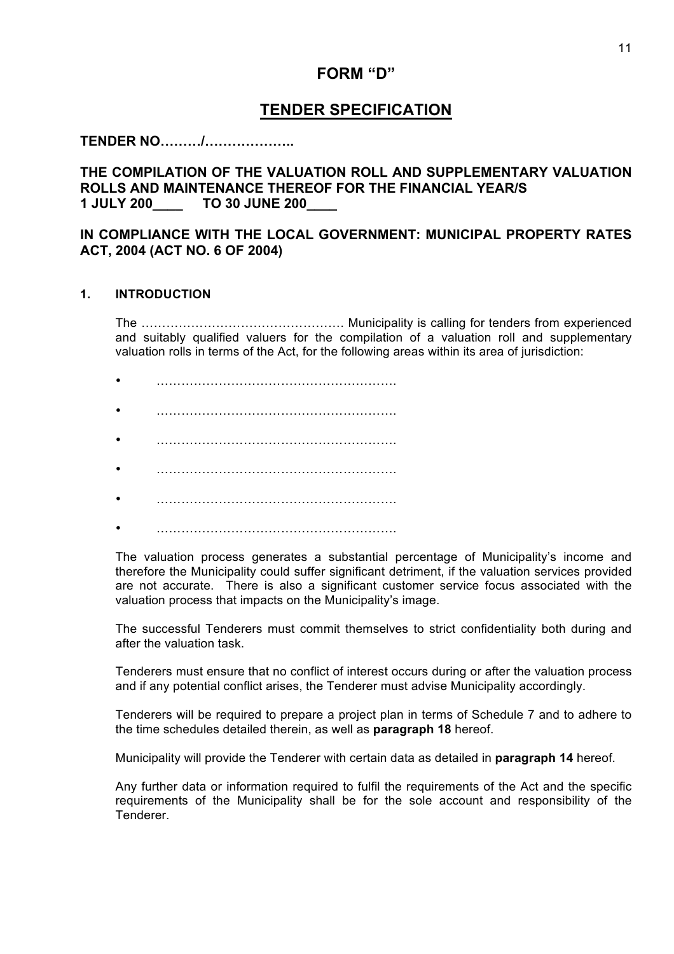# **FORM "D"**

# **TENDER SPECIFICATION**

**TENDER NO………/………………..**

# **THE COMPILATION OF THE VALUATION ROLL AND SUPPLEMENTARY VALUATION ROLLS AND MAINTENANCE THEREOF FOR THE FINANCIAL YEAR/S 1 JULY 200\_\_\_\_ TO 30 JUNE 200\_\_\_\_**

## **IN COMPLIANCE WITH THE LOCAL GOVERNMENT: MUNICIPAL PROPERTY RATES ACT, 2004 (ACT NO. 6 OF 2004)**

#### **1. INTRODUCTION**

The …………………………………………. Municipality is calling for tenders from experienced and suitably qualified valuers for the compilation of a valuation roll and supplementary valuation rolls in terms of the Act, for the following areas within its area of jurisdiction:

- ………………………………………………….
- ………………………………………………….
- ………………………………………………….
- ………………………………………………….
- ………………………………………………….
- ………………………………………………….

The valuation process generates a substantial percentage of Municipality's income and therefore the Municipality could suffer significant detriment, if the valuation services provided are not accurate. There is also a significant customer service focus associated with the valuation process that impacts on the Municipality's image.

The successful Tenderers must commit themselves to strict confidentiality both during and after the valuation task.

Tenderers must ensure that no conflict of interest occurs during or after the valuation process and if any potential conflict arises, the Tenderer must advise Municipality accordingly.

Tenderers will be required to prepare a project plan in terms of Schedule 7 and to adhere to the time schedules detailed therein, as well as **paragraph 18** hereof.

Municipality will provide the Tenderer with certain data as detailed in **paragraph 14** hereof.

Any further data or information required to fulfil the requirements of the Act and the specific requirements of the Municipality shall be for the sole account and responsibility of the Tenderer.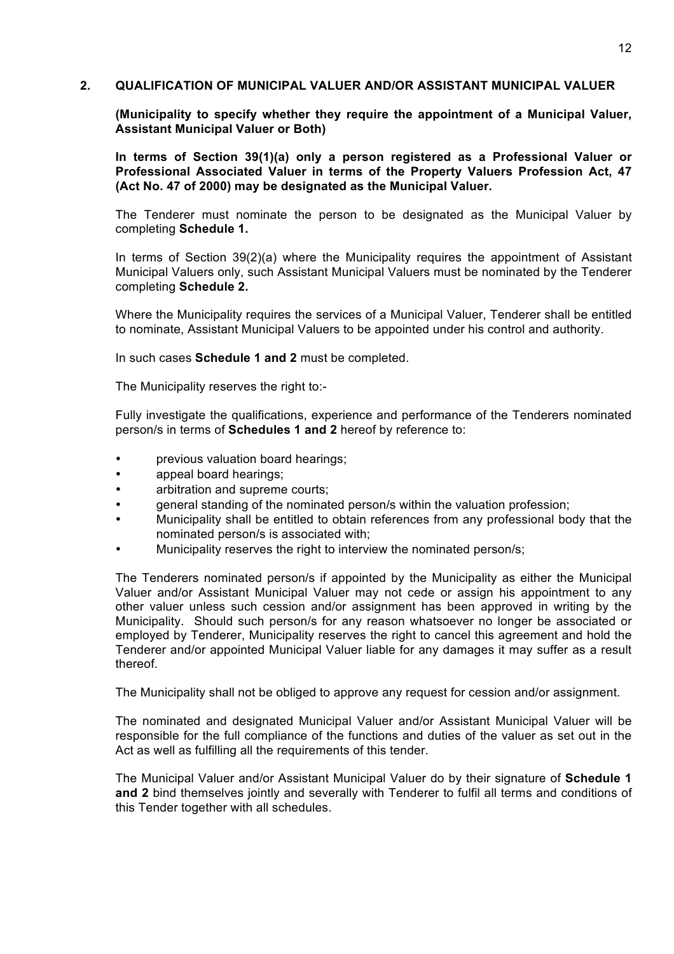#### **2. QUALIFICATION OF MUNICIPAL VALUER AND/OR ASSISTANT MUNICIPAL VALUER**

**(Municipality to specify whether they require the appointment of a Municipal Valuer, Assistant Municipal Valuer or Both)**

**In terms of Section 39(1)(a) only a person registered as a Professional Valuer or Professional Associated Valuer in terms of the Property Valuers Profession Act, 47 (Act No. 47 of 2000) may be designated as the Municipal Valuer.**

The Tenderer must nominate the person to be designated as the Municipal Valuer by completing **Schedule 1.**

In terms of Section 39(2)(a) where the Municipality requires the appointment of Assistant Municipal Valuers only, such Assistant Municipal Valuers must be nominated by the Tenderer completing **Schedule 2.**

Where the Municipality requires the services of a Municipal Valuer, Tenderer shall be entitled to nominate, Assistant Municipal Valuers to be appointed under his control and authority.

In such cases **Schedule 1 and 2** must be completed.

The Municipality reserves the right to:-

Fully investigate the qualifications, experience and performance of the Tenderers nominated person/s in terms of **Schedules 1 and 2** hereof by reference to:

- previous valuation board hearings;
- appeal board hearings;
- arbitration and supreme courts;
- general standing of the nominated person/s within the valuation profession;
- Municipality shall be entitled to obtain references from any professional body that the nominated person/s is associated with;
- Municipality reserves the right to interview the nominated person/s;

The Tenderers nominated person/s if appointed by the Municipality as either the Municipal Valuer and/or Assistant Municipal Valuer may not cede or assign his appointment to any other valuer unless such cession and/or assignment has been approved in writing by the Municipality. Should such person/s for any reason whatsoever no longer be associated or employed by Tenderer, Municipality reserves the right to cancel this agreement and hold the Tenderer and/or appointed Municipal Valuer liable for any damages it may suffer as a result thereof.

The Municipality shall not be obliged to approve any request for cession and/or assignment.

The nominated and designated Municipal Valuer and/or Assistant Municipal Valuer will be responsible for the full compliance of the functions and duties of the valuer as set out in the Act as well as fulfilling all the requirements of this tender.

The Municipal Valuer and/or Assistant Municipal Valuer do by their signature of **Schedule 1 and 2** bind themselves jointly and severally with Tenderer to fulfil all terms and conditions of this Tender together with all schedules.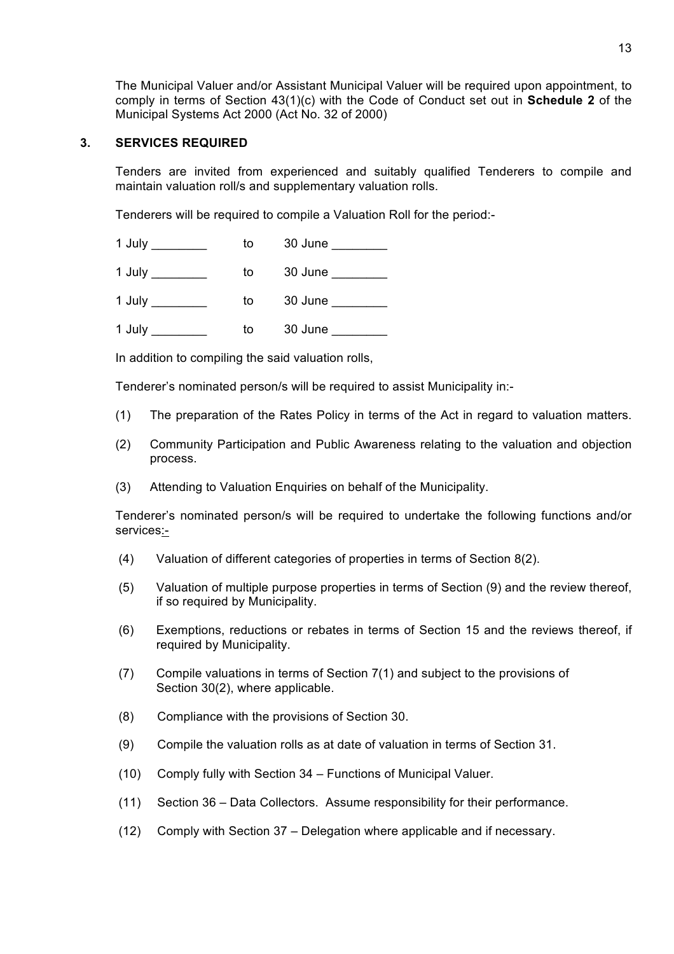The Municipal Valuer and/or Assistant Municipal Valuer will be required upon appointment, to comply in terms of Section 43(1)(c) with the Code of Conduct set out in **Schedule 2** of the Municipal Systems Act 2000 (Act No. 32 of 2000)

#### **3. SERVICES REQUIRED**

Tenders are invited from experienced and suitably qualified Tenderers to compile and maintain valuation roll/s and supplementary valuation rolls.

Tenderers will be required to compile a Valuation Roll for the period:-

| 1 July | to | 30 June |
|--------|----|---------|
| 1 July | to | 30 June |
| 1 July | to | 30 June |
| 1 July | to | 30 June |

In addition to compiling the said valuation rolls,

Tenderer's nominated person/s will be required to assist Municipality in:-

- (1) The preparation of the Rates Policy in terms of the Act in regard to valuation matters.
- (2) Community Participation and Public Awareness relating to the valuation and objection process.
- (3) Attending to Valuation Enquiries on behalf of the Municipality.

Tenderer's nominated person/s will be required to undertake the following functions and/or services:-

- (4) Valuation of different categories of properties in terms of Section 8(2).
- (5) Valuation of multiple purpose properties in terms of Section (9) and the review thereof, if so required by Municipality.
- (6) Exemptions, reductions or rebates in terms of Section 15 and the reviews thereof, if required by Municipality.
- (7) Compile valuations in terms of Section 7(1) and subject to the provisions of Section 30(2), where applicable.
- (8) Compliance with the provisions of Section 30.
- (9) Compile the valuation rolls as at date of valuation in terms of Section 31.
- (10) Comply fully with Section 34 Functions of Municipal Valuer.
- (11) Section 36 Data Collectors. Assume responsibility for their performance.
- (12) Comply with Section 37 Delegation where applicable and if necessary.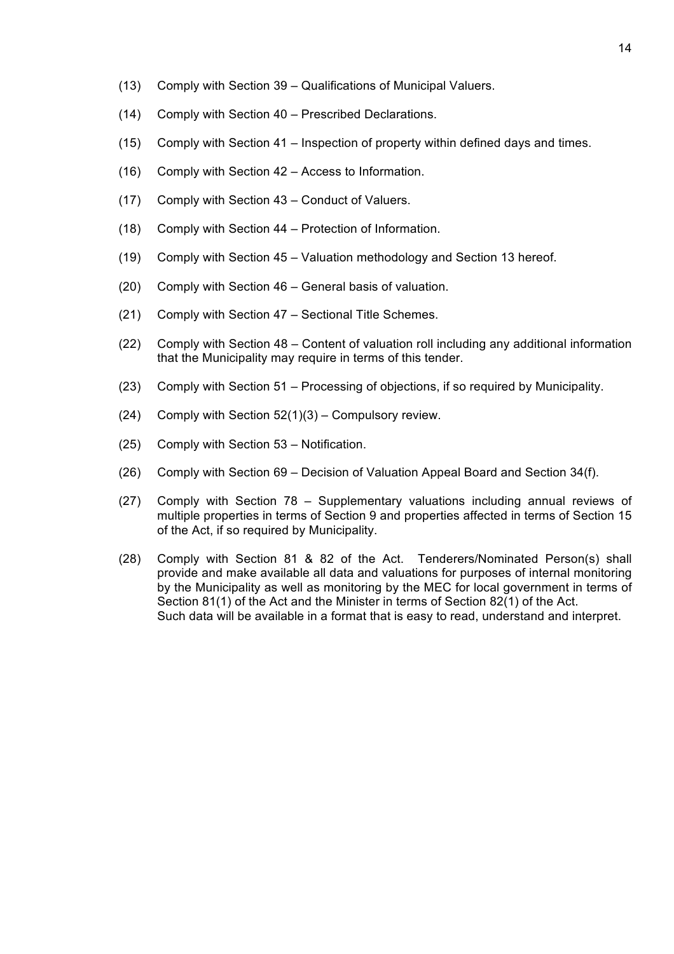- (13) Comply with Section 39 Qualifications of Municipal Valuers.
- (14) Comply with Section 40 Prescribed Declarations.
- (15) Comply with Section 41 Inspection of property within defined days and times.
- (16) Comply with Section 42 Access to Information.
- (17) Comply with Section 43 Conduct of Valuers.
- (18) Comply with Section 44 Protection of Information.
- (19) Comply with Section 45 Valuation methodology and Section 13 hereof.
- (20) Comply with Section 46 General basis of valuation.
- (21) Comply with Section 47 Sectional Title Schemes.
- (22) Comply with Section 48 Content of valuation roll including any additional information that the Municipality may require in terms of this tender.
- (23) Comply with Section 51 Processing of objections, if so required by Municipality.
- (24) Comply with Section 52(1)(3) Compulsory review.
- (25) Comply with Section 53 Notification.
- (26) Comply with Section 69 Decision of Valuation Appeal Board and Section 34(f).
- (27) Comply with Section 78 Supplementary valuations including annual reviews of multiple properties in terms of Section 9 and properties affected in terms of Section 15 of the Act, if so required by Municipality.
- (28) Comply with Section 81 & 82 of the Act. Tenderers/Nominated Person(s) shall provide and make available all data and valuations for purposes of internal monitoring by the Municipality as well as monitoring by the MEC for local government in terms of Section 81(1) of the Act and the Minister in terms of Section 82(1) of the Act. Such data will be available in a format that is easy to read, understand and interpret.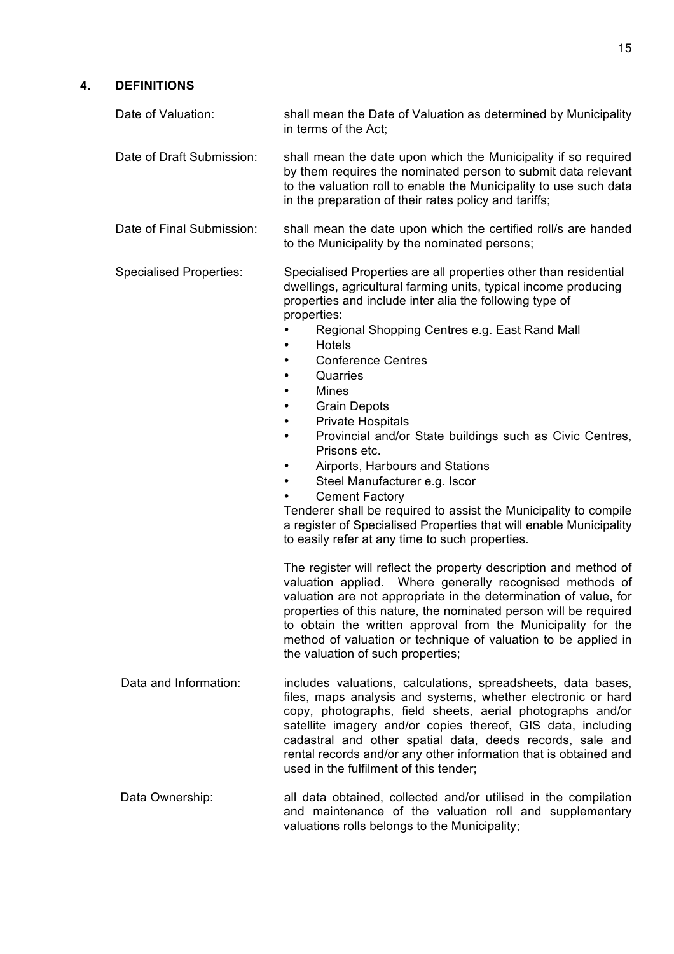### **4. DEFINITIONS**

| Date of Valuation:             | shall mean the Date of Valuation as determined by Municipality<br>in terms of the Act;                                                                                                                                                                                                                                                                                                                                                                                                                                                                                                                                                                                                                                                                                                                                                          |
|--------------------------------|-------------------------------------------------------------------------------------------------------------------------------------------------------------------------------------------------------------------------------------------------------------------------------------------------------------------------------------------------------------------------------------------------------------------------------------------------------------------------------------------------------------------------------------------------------------------------------------------------------------------------------------------------------------------------------------------------------------------------------------------------------------------------------------------------------------------------------------------------|
| Date of Draft Submission:      | shall mean the date upon which the Municipality if so required<br>by them requires the nominated person to submit data relevant<br>to the valuation roll to enable the Municipality to use such data<br>in the preparation of their rates policy and tariffs;                                                                                                                                                                                                                                                                                                                                                                                                                                                                                                                                                                                   |
| Date of Final Submission:      | shall mean the date upon which the certified roll/s are handed<br>to the Municipality by the nominated persons;                                                                                                                                                                                                                                                                                                                                                                                                                                                                                                                                                                                                                                                                                                                                 |
| <b>Specialised Properties:</b> | Specialised Properties are all properties other than residential<br>dwellings, agricultural farming units, typical income producing<br>properties and include inter alia the following type of<br>properties:<br>Regional Shopping Centres e.g. East Rand Mall<br><b>Hotels</b><br><b>Conference Centres</b><br>$\bullet$<br>Quarries<br><b>Mines</b><br>$\bullet$<br><b>Grain Depots</b><br>$\bullet$<br><b>Private Hospitals</b><br>$\bullet$<br>Provincial and/or State buildings such as Civic Centres,<br>$\bullet$<br>Prisons etc.<br>Airports, Harbours and Stations<br>$\bullet$<br>Steel Manufacturer e.g. Iscor<br><b>Cement Factory</b><br>Tenderer shall be required to assist the Municipality to compile<br>a register of Specialised Properties that will enable Municipality<br>to easily refer at any time to such properties. |
|                                | The register will reflect the property description and method of<br>valuation applied. Where generally recognised methods of<br>valuation are not appropriate in the determination of value, for<br>properties of this nature, the nominated person will be required<br>to obtain the written approval from the Municipality for the<br>method of valuation or technique of valuation to be applied in<br>the valuation of such properties;                                                                                                                                                                                                                                                                                                                                                                                                     |
| Data and Information:          | includes valuations, calculations, spreadsheets, data bases,<br>files, maps analysis and systems, whether electronic or hard<br>copy, photographs, field sheets, aerial photographs and/or<br>satellite imagery and/or copies thereof, GIS data, including<br>cadastral and other spatial data, deeds records, sale and<br>rental records and/or any other information that is obtained and<br>used in the fulfilment of this tender;                                                                                                                                                                                                                                                                                                                                                                                                           |
|                                |                                                                                                                                                                                                                                                                                                                                                                                                                                                                                                                                                                                                                                                                                                                                                                                                                                                 |

Data Ownership: all data obtained, collected and/or utilised in the compilation and maintenance of the valuation roll and supplementary valuations rolls belongs to the Municipality;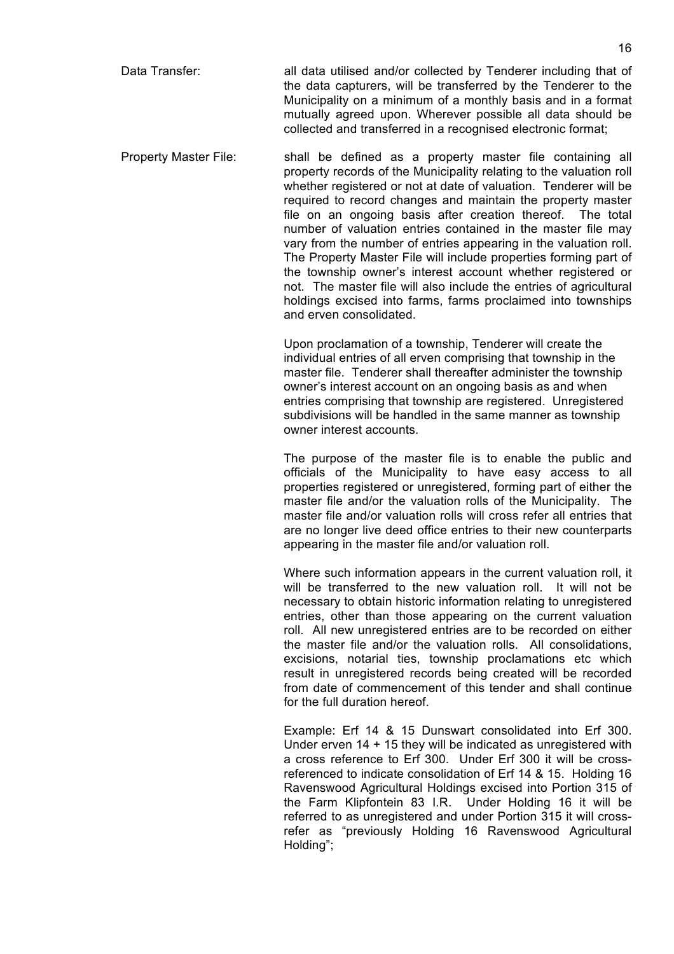- Data Transfer: all data utilised and/or collected by Tenderer including that of the data capturers, will be transferred by the Tenderer to the Municipality on a minimum of a monthly basis and in a format mutually agreed upon. Wherever possible all data should be collected and transferred in a recognised electronic format;
- Property Master File: shall be defined as a property master file containing all property records of the Municipality relating to the valuation roll whether registered or not at date of valuation. Tenderer will be required to record changes and maintain the property master file on an ongoing basis after creation thereof. The total number of valuation entries contained in the master file may vary from the number of entries appearing in the valuation roll. The Property Master File will include properties forming part of the township owner's interest account whether registered or not. The master file will also include the entries of agricultural holdings excised into farms, farms proclaimed into townships and erven consolidated.

Upon proclamation of a township, Tenderer will create the individual entries of all erven comprising that township in the master file. Tenderer shall thereafter administer the township owner's interest account on an ongoing basis as and when entries comprising that township are registered. Unregistered subdivisions will be handled in the same manner as township owner interest accounts.

The purpose of the master file is to enable the public and officials of the Municipality to have easy access to all properties registered or unregistered, forming part of either the master file and/or the valuation rolls of the Municipality. The master file and/or valuation rolls will cross refer all entries that are no longer live deed office entries to their new counterparts appearing in the master file and/or valuation roll.

Where such information appears in the current valuation roll, it will be transferred to the new valuation roll. It will not be necessary to obtain historic information relating to unregistered entries, other than those appearing on the current valuation roll. All new unregistered entries are to be recorded on either the master file and/or the valuation rolls. All consolidations, excisions, notarial ties, township proclamations etc which result in unregistered records being created will be recorded from date of commencement of this tender and shall continue for the full duration hereof.

Example: Erf 14 & 15 Dunswart consolidated into Erf 300. Under erven 14 + 15 they will be indicated as unregistered with a cross reference to Erf 300. Under Erf 300 it will be crossreferenced to indicate consolidation of Erf 14 & 15. Holding 16 Ravenswood Agricultural Holdings excised into Portion 315 of the Farm Klipfontein 83 I.R. Under Holding 16 it will be referred to as unregistered and under Portion 315 it will crossrefer as "previously Holding 16 Ravenswood Agricultural Holding";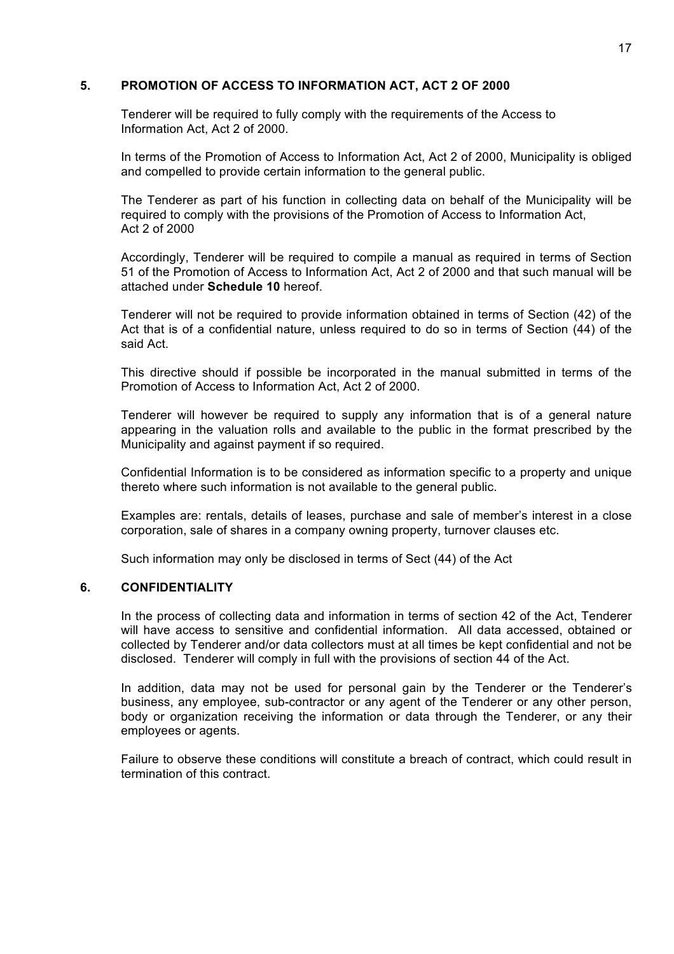#### **5. PROMOTION OF ACCESS TO INFORMATION ACT, ACT 2 OF 2000**

Tenderer will be required to fully comply with the requirements of the Access to Information Act, Act 2 of 2000.

In terms of the Promotion of Access to Information Act, Act 2 of 2000, Municipality is obliged and compelled to provide certain information to the general public.

The Tenderer as part of his function in collecting data on behalf of the Municipality will be required to comply with the provisions of the Promotion of Access to Information Act, Act 2 of 2000

Accordingly, Tenderer will be required to compile a manual as required in terms of Section 51 of the Promotion of Access to Information Act, Act 2 of 2000 and that such manual will be attached under **Schedule 10** hereof.

Tenderer will not be required to provide information obtained in terms of Section (42) of the Act that is of a confidential nature, unless required to do so in terms of Section (44) of the said Act.

This directive should if possible be incorporated in the manual submitted in terms of the Promotion of Access to Information Act, Act 2 of 2000.

Tenderer will however be required to supply any information that is of a general nature appearing in the valuation rolls and available to the public in the format prescribed by the Municipality and against payment if so required.

Confidential Information is to be considered as information specific to a property and unique thereto where such information is not available to the general public.

Examples are: rentals, details of leases, purchase and sale of member's interest in a close corporation, sale of shares in a company owning property, turnover clauses etc.

Such information may only be disclosed in terms of Sect (44) of the Act

#### **6. CONFIDENTIALITY**

In the process of collecting data and information in terms of section 42 of the Act, Tenderer will have access to sensitive and confidential information. All data accessed, obtained or collected by Tenderer and/or data collectors must at all times be kept confidential and not be disclosed. Tenderer will comply in full with the provisions of section 44 of the Act.

In addition, data may not be used for personal gain by the Tenderer or the Tenderer's business, any employee, sub-contractor or any agent of the Tenderer or any other person, body or organization receiving the information or data through the Tenderer, or any their employees or agents.

Failure to observe these conditions will constitute a breach of contract, which could result in termination of this contract.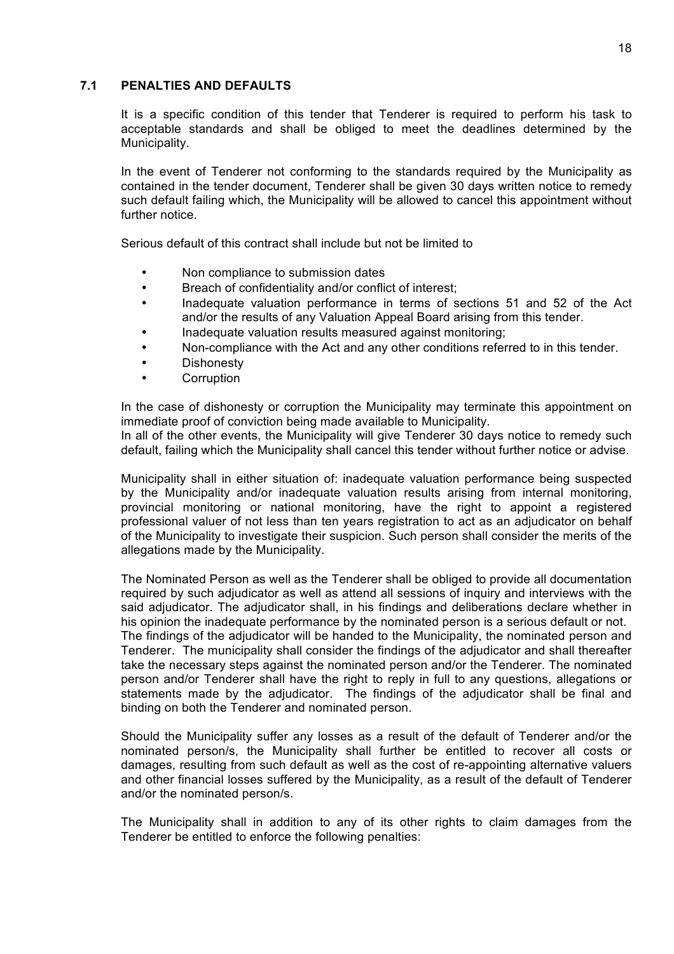#### **7.1 PENALTIES AND DEFAULTS**

It is a specific condition of this tender that Tenderer is required to perform his task to acceptable standards and shall be obliged to meet the deadlines determined by the Municipality.

In the event of Tenderer not conforming to the standards required by the Municipality as contained in the tender document, Tenderer shall be given 30 days written notice to remedy such default failing which, the Municipality will be allowed to cancel this appointment without further notice.

Serious default of this contract shall include but not be limited to

- Non compliance to submission dates
- Breach of confidentiality and/or conflict of interest;
- Inadequate valuation performance in terms of sections 51 and 52 of the Act and/or the results of any Valuation Appeal Board arising from this tender.
- Inadequate valuation results measured against monitoring;
- Non-compliance with the Act and any other conditions referred to in this tender.
- **Dishonesty**
- **Corruption**

In the case of dishonesty or corruption the Municipality may terminate this appointment on immediate proof of conviction being made available to Municipality.

In all of the other events, the Municipality will give Tenderer 30 days notice to remedy such default, failing which the Municipality shall cancel this tender without further notice or advise.

Municipality shall in either situation of: inadequate valuation performance being suspected by the Municipality and/or inadequate valuation results arising from internal monitoring, provincial monitoring or national monitoring, have the right to appoint a registered professional valuer of not less than ten years registration to act as an adjudicator on behalf of the Municipality to investigate their suspicion. Such person shall consider the merits of the allegations made by the Municipality.

The Nominated Person as well as the Tenderer shall be obliged to provide all documentation required by such adjudicator as well as attend all sessions of inquiry and interviews with the said adjudicator. The adjudicator shall, in his findings and deliberations declare whether in his opinion the inadequate performance by the nominated person is a serious default or not. The findings of the adjudicator will be handed to the Municipality, the nominated person and Tenderer. The municipality shall consider the findings of the adjudicator and shall thereafter take the necessary steps against the nominated person and/or the Tenderer. The nominated person and/or Tenderer shall have the right to reply in full to any questions, allegations or statements made by the adjudicator. The findings of the adjudicator shall be final and binding on both the Tenderer and nominated person.

Should the Municipality suffer any losses as a result of the default of Tenderer and/or the nominated person/s, the Municipality shall further be entitled to recover all costs or damages, resulting from such default as well as the cost of re-appointing alternative valuers and other financial losses suffered by the Municipality, as a result of the default of Tenderer and/or the nominated person/s.

The Municipality shall in addition to any of its other rights to claim damages from the Tenderer be entitled to enforce the following penalties: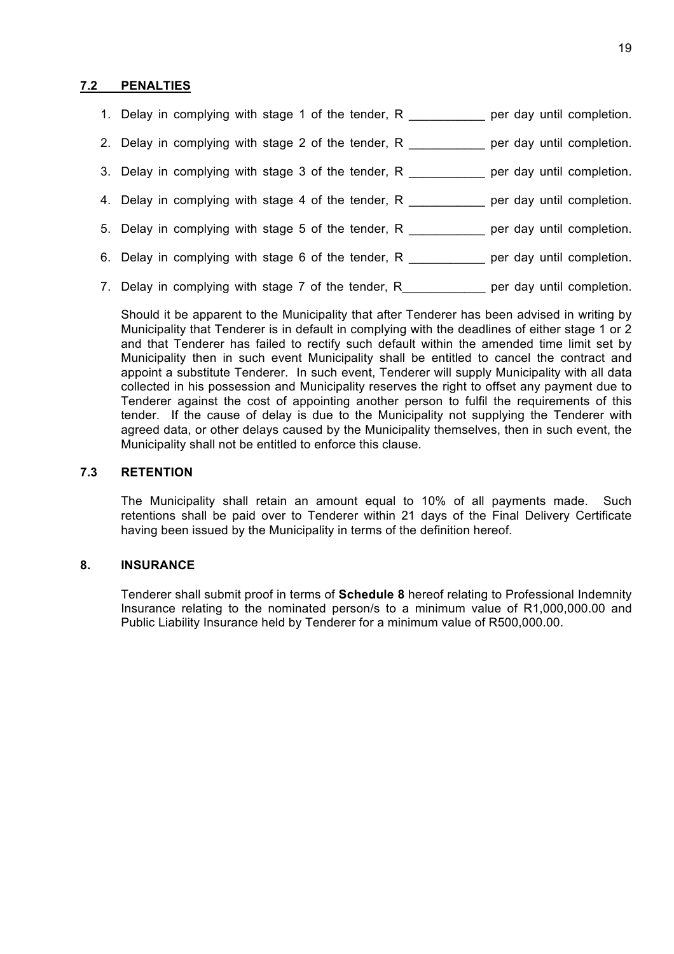#### **7.2 PENALTIES**

|  |                                                     |  |  | 1. Delay in complying with stage 1 of the tender, R                                         |  | per day until completion. |
|--|-----------------------------------------------------|--|--|---------------------------------------------------------------------------------------------|--|---------------------------|
|  |                                                     |  |  | 2. Delay in complying with stage 2 of the tender, R                                         |  | per day until completion. |
|  |                                                     |  |  | 3. Delay in complying with stage 3 of the tender, R                                         |  | per day until completion. |
|  |                                                     |  |  | 4. Delay in complying with stage 4 of the tender, R __________ per day until completion.    |  |                           |
|  |                                                     |  |  | 5. Delay in complying with stage 5 of the tender, R                                         |  | per day until completion. |
|  |                                                     |  |  | 6. Delay in complying with stage 6 of the tender, R entity on the per day until completion. |  |                           |
|  | 7. Delay in complying with stage 7 of the tender, R |  |  |                                                                                             |  | per day until completion. |

Should it be apparent to the Municipality that after Tenderer has been advised in writing by Municipality that Tenderer is in default in complying with the deadlines of either stage 1 or 2 and that Tenderer has failed to rectify such default within the amended time limit set by Municipality then in such event Municipality shall be entitled to cancel the contract and appoint a substitute Tenderer. In such event, Tenderer will supply Municipality with all data collected in his possession and Municipality reserves the right to offset any payment due to Tenderer against the cost of appointing another person to fulfil the requirements of this tender. If the cause of delay is due to the Municipality not supplying the Tenderer with agreed data, or other delays caused by the Municipality themselves, then in such event, the Municipality shall not be entitled to enforce this clause.

#### **7.3 RETENTION**

The Municipality shall retain an amount equal to 10% of all payments made. Such retentions shall be paid over to Tenderer within 21 days of the Final Delivery Certificate having been issued by the Municipality in terms of the definition hereof.

#### **8. INSURANCE**

Tenderer shall submit proof in terms of **Schedule 8** hereof relating to Professional Indemnity Insurance relating to the nominated person/s to a minimum value of R1,000,000.00 and Public Liability Insurance held by Tenderer for a minimum value of R500,000.00.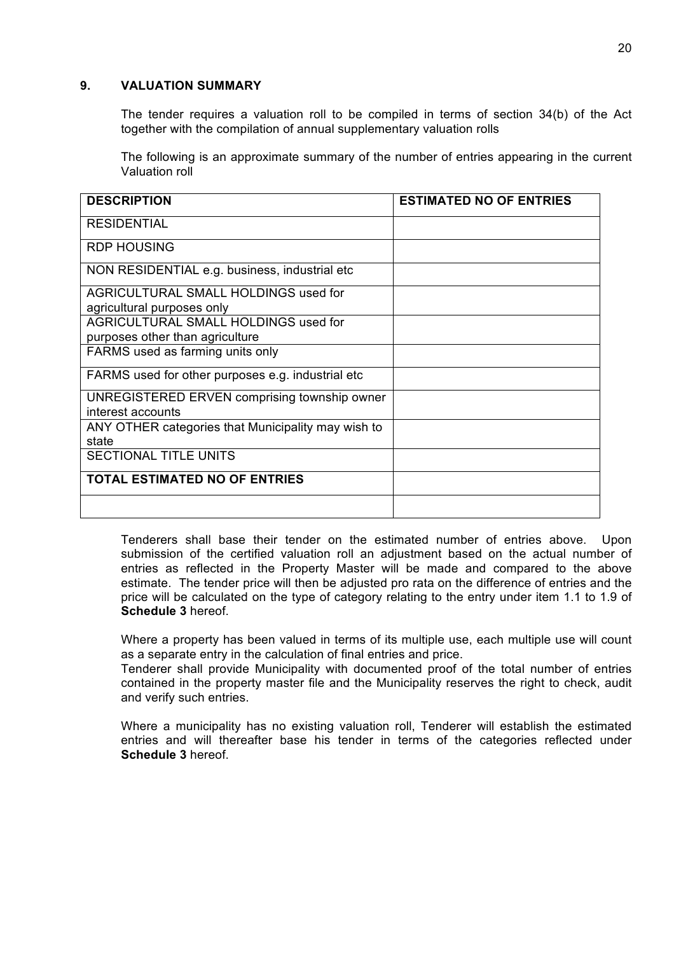#### **9. VALUATION SUMMARY**

The tender requires a valuation roll to be compiled in terms of section 34(b) of the Act together with the compilation of annual supplementary valuation rolls

The following is an approximate summary of the number of entries appearing in the current Valuation roll

| <b>DESCRIPTION</b>                                 | <b>ESTIMATED NO OF ENTRIES</b> |
|----------------------------------------------------|--------------------------------|
|                                                    |                                |
| <b>RESIDENTIAL</b>                                 |                                |
| <b>RDP HOUSING</b>                                 |                                |
| NON RESIDENTIAL e.g. business, industrial etc      |                                |
| AGRICULTURAL SMALL HOLDINGS used for               |                                |
| agricultural purposes only                         |                                |
| <b>AGRICULTURAL SMALL HOLDINGS used for</b>        |                                |
| purposes other than agriculture                    |                                |
| FARMS used as farming units only                   |                                |
| FARMS used for other purposes e.g. industrial etc  |                                |
| UNREGISTERED ERVEN comprising township owner       |                                |
| interest accounts                                  |                                |
| ANY OTHER categories that Municipality may wish to |                                |
| state                                              |                                |
| <b>SECTIONAL TITLE UNITS</b>                       |                                |
| <b>TOTAL ESTIMATED NO OF ENTRIES</b>               |                                |
|                                                    |                                |

Tenderers shall base their tender on the estimated number of entries above. Upon submission of the certified valuation roll an adjustment based on the actual number of entries as reflected in the Property Master will be made and compared to the above estimate. The tender price will then be adjusted pro rata on the difference of entries and the price will be calculated on the type of category relating to the entry under item 1.1 to 1.9 of **Schedule 3** hereof.

Where a property has been valued in terms of its multiple use, each multiple use will count as a separate entry in the calculation of final entries and price.

Tenderer shall provide Municipality with documented proof of the total number of entries contained in the property master file and the Municipality reserves the right to check, audit and verify such entries.

Where a municipality has no existing valuation roll, Tenderer will establish the estimated entries and will thereafter base his tender in terms of the categories reflected under **Schedule 3** hereof.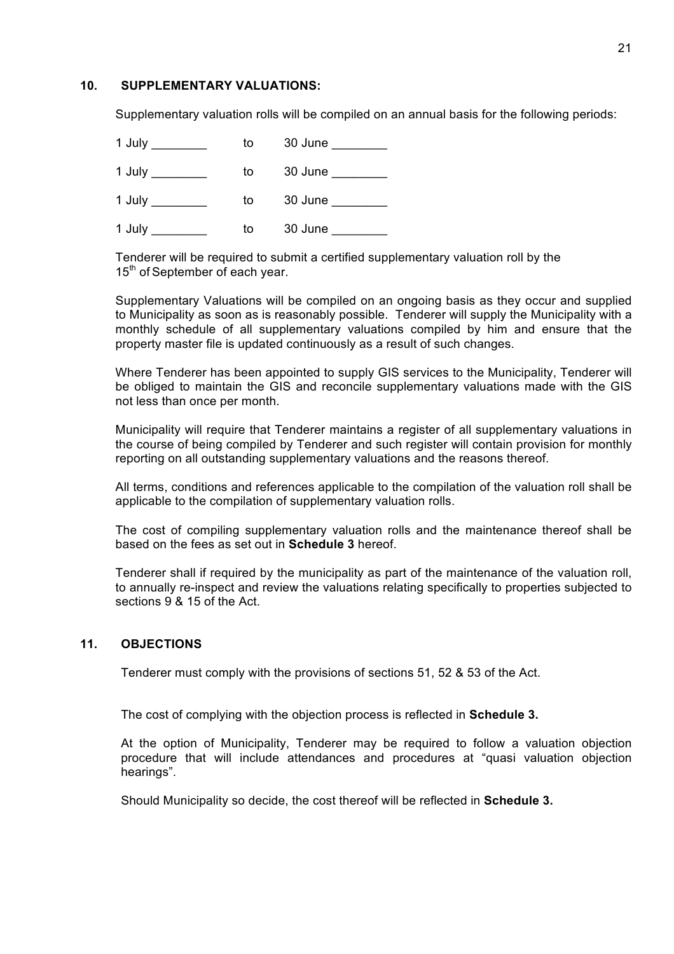#### **10. SUPPLEMENTARY VALUATIONS:**

Supplementary valuation rolls will be compiled on an annual basis for the following periods:

| 1 July | to | 30 June |
|--------|----|---------|
| 1 July | to | 30 June |
| 1 July | to | 30 June |
| 1 July | to | 30 June |

Tenderer will be required to submit a certified supplementary valuation roll by the 15<sup>th</sup> of September of each year.

Supplementary Valuations will be compiled on an ongoing basis as they occur and supplied to Municipality as soon as is reasonably possible. Tenderer will supply the Municipality with a monthly schedule of all supplementary valuations compiled by him and ensure that the property master file is updated continuously as a result of such changes.

Where Tenderer has been appointed to supply GIS services to the Municipality, Tenderer will be obliged to maintain the GIS and reconcile supplementary valuations made with the GIS not less than once per month.

Municipality will require that Tenderer maintains a register of all supplementary valuations in the course of being compiled by Tenderer and such register will contain provision for monthly reporting on all outstanding supplementary valuations and the reasons thereof.

All terms, conditions and references applicable to the compilation of the valuation roll shall be applicable to the compilation of supplementary valuation rolls.

The cost of compiling supplementary valuation rolls and the maintenance thereof shall be based on the fees as set out in **Schedule 3** hereof.

Tenderer shall if required by the municipality as part of the maintenance of the valuation roll, to annually re-inspect and review the valuations relating specifically to properties subjected to sections 9 & 15 of the Act.

### **11. OBJECTIONS**

Tenderer must comply with the provisions of sections 51, 52 & 53 of the Act.

The cost of complying with the objection process is reflected in **Schedule 3.**

At the option of Municipality, Tenderer may be required to follow a valuation objection procedure that will include attendances and procedures at "quasi valuation objection hearings".

Should Municipality so decide, the cost thereof will be reflected in **Schedule 3.**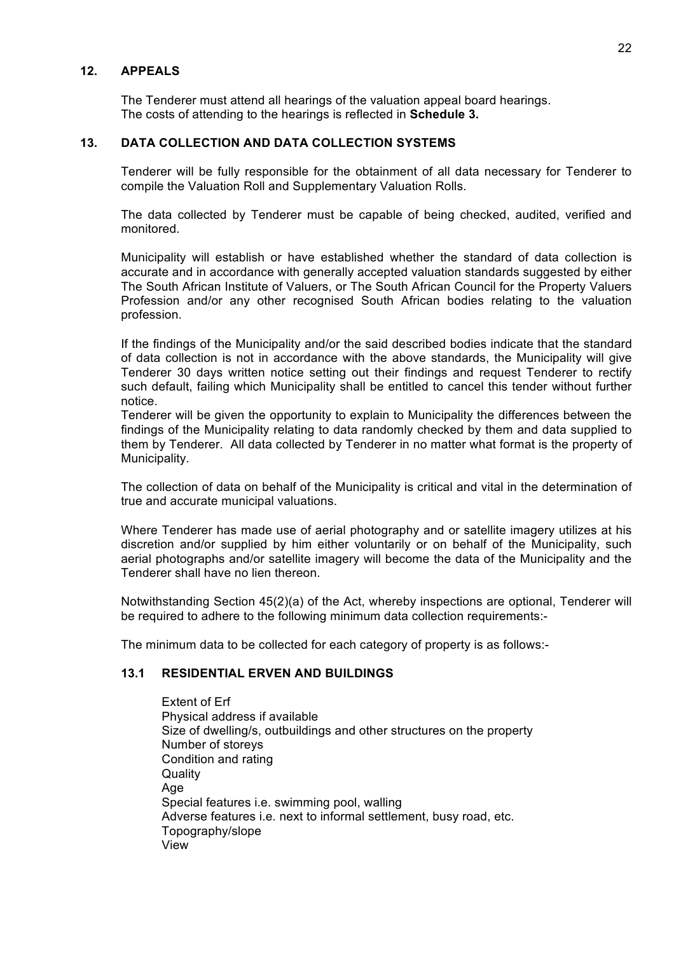#### **12. APPEALS**

The Tenderer must attend all hearings of the valuation appeal board hearings. The costs of attending to the hearings is reflected in **Schedule 3.**

#### **13. DATA COLLECTION AND DATA COLLECTION SYSTEMS**

Tenderer will be fully responsible for the obtainment of all data necessary for Tenderer to compile the Valuation Roll and Supplementary Valuation Rolls.

The data collected by Tenderer must be capable of being checked, audited, verified and monitored.

Municipality will establish or have established whether the standard of data collection is accurate and in accordance with generally accepted valuation standards suggested by either The South African Institute of Valuers, or The South African Council for the Property Valuers Profession and/or any other recognised South African bodies relating to the valuation profession.

If the findings of the Municipality and/or the said described bodies indicate that the standard of data collection is not in accordance with the above standards, the Municipality will give Tenderer 30 days written notice setting out their findings and request Tenderer to rectify such default, failing which Municipality shall be entitled to cancel this tender without further notice.

Tenderer will be given the opportunity to explain to Municipality the differences between the findings of the Municipality relating to data randomly checked by them and data supplied to them by Tenderer. All data collected by Tenderer in no matter what format is the property of Municipality.

The collection of data on behalf of the Municipality is critical and vital in the determination of true and accurate municipal valuations.

Where Tenderer has made use of aerial photography and or satellite imagery utilizes at his discretion and/or supplied by him either voluntarily or on behalf of the Municipality, such aerial photographs and/or satellite imagery will become the data of the Municipality and the Tenderer shall have no lien thereon.

Notwithstanding Section 45(2)(a) of the Act, whereby inspections are optional, Tenderer will be required to adhere to the following minimum data collection requirements:-

The minimum data to be collected for each category of property is as follows:-

#### **13.1 RESIDENTIAL ERVEN AND BUILDINGS**

Extent of Erf Physical address if available Size of dwelling/s, outbuildings and other structures on the property Number of storeys Condition and rating **Quality** Age Special features i.e. swimming pool, walling Adverse features i.e. next to informal settlement, busy road, etc. Topography/slope View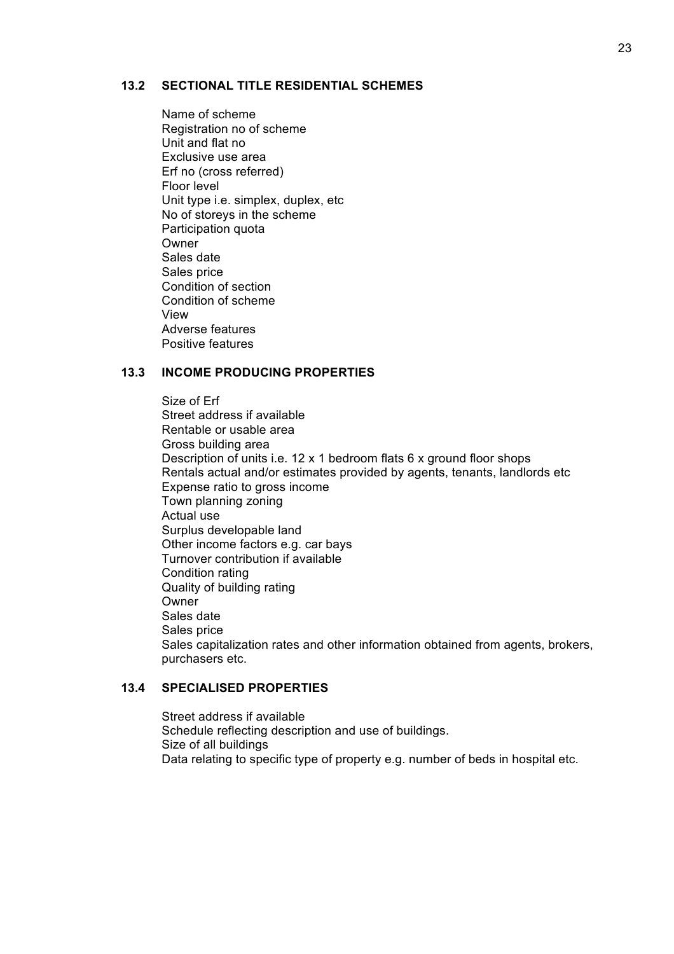#### **13.2 SECTIONAL TITLE RESIDENTIAL SCHEMES**

Name of scheme Registration no of scheme Unit and flat no Exclusive use area Erf no (cross referred) Floor level Unit type i.e. simplex, duplex, etc No of storeys in the scheme Participation quota Owner Sales date Sales price Condition of section Condition of scheme View Adverse features Positive features

#### **13.3 INCOME PRODUCING PROPERTIES**

Size of Erf Street address if available Rentable or usable area Gross building area Description of units i.e. 12 x 1 bedroom flats 6 x ground floor shops Rentals actual and/or estimates provided by agents, tenants, landlords etc Expense ratio to gross income Town planning zoning Actual use Surplus developable land Other income factors e.g. car bays Turnover contribution if available Condition rating Quality of building rating Owner Sales date Sales price Sales capitalization rates and other information obtained from agents, brokers, purchasers etc.

#### **13.4 SPECIALISED PROPERTIES**

Street address if available Schedule reflecting description and use of buildings. Size of all buildings Data relating to specific type of property e.g. number of beds in hospital etc.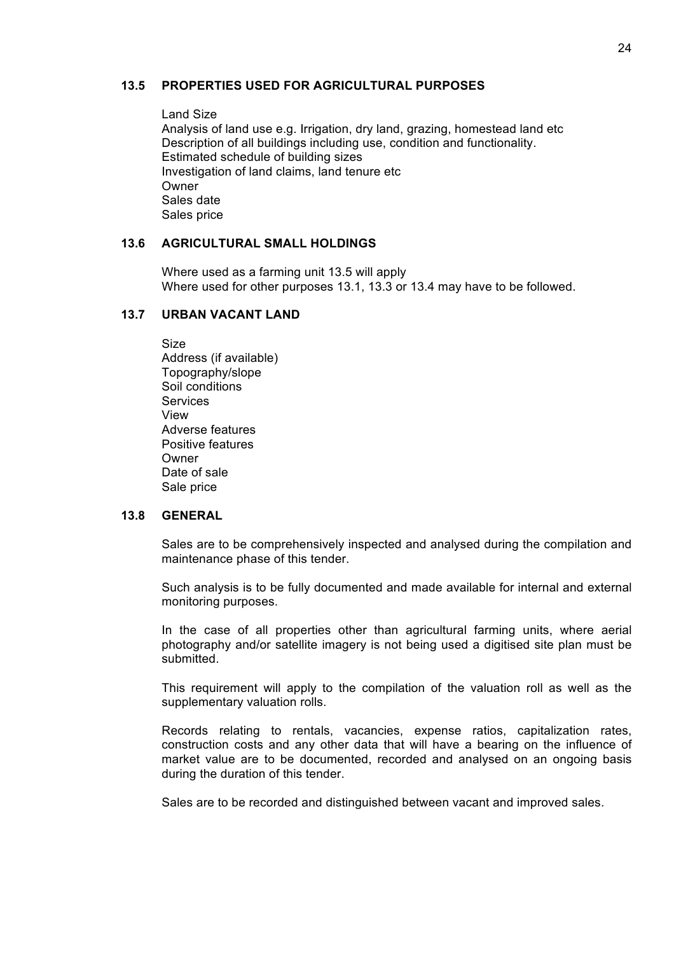#### **13.5 PROPERTIES USED FOR AGRICULTURAL PURPOSES**

Land Size Analysis of land use e.g. Irrigation, dry land, grazing, homestead land etc Description of all buildings including use, condition and functionality. Estimated schedule of building sizes Investigation of land claims, land tenure etc Owner Sales date Sales price

#### **13.6 AGRICULTURAL SMALL HOLDINGS**

Where used as a farming unit 13.5 will apply Where used for other purposes 13.1, 13.3 or 13.4 may have to be followed.

#### **13.7 URBAN VACANT LAND**

Size Address (if available) Topography/slope Soil conditions **Services** View Adverse features Positive features Owner Date of sale Sale price

#### **13.8 GENERAL**

Sales are to be comprehensively inspected and analysed during the compilation and maintenance phase of this tender.

Such analysis is to be fully documented and made available for internal and external monitoring purposes.

In the case of all properties other than agricultural farming units, where aerial photography and/or satellite imagery is not being used a digitised site plan must be submitted.

This requirement will apply to the compilation of the valuation roll as well as the supplementary valuation rolls.

Records relating to rentals, vacancies, expense ratios, capitalization rates, construction costs and any other data that will have a bearing on the influence of market value are to be documented, recorded and analysed on an ongoing basis during the duration of this tender.

Sales are to be recorded and distinguished between vacant and improved sales.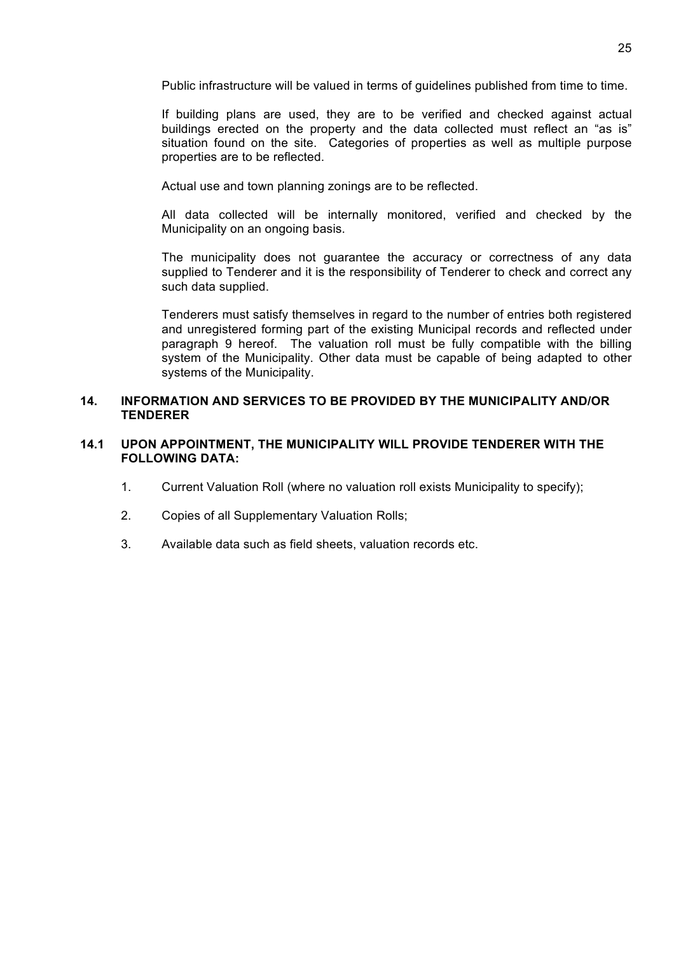Public infrastructure will be valued in terms of guidelines published from time to time.

If building plans are used, they are to be verified and checked against actual buildings erected on the property and the data collected must reflect an "as is" situation found on the site. Categories of properties as well as multiple purpose properties are to be reflected.

Actual use and town planning zonings are to be reflected.

All data collected will be internally monitored, verified and checked by the Municipality on an ongoing basis.

The municipality does not guarantee the accuracy or correctness of any data supplied to Tenderer and it is the responsibility of Tenderer to check and correct any such data supplied.

Tenderers must satisfy themselves in regard to the number of entries both registered and unregistered forming part of the existing Municipal records and reflected under paragraph 9 hereof. The valuation roll must be fully compatible with the billing system of the Municipality. Other data must be capable of being adapted to other systems of the Municipality.

#### **14. INFORMATION AND SERVICES TO BE PROVIDED BY THE MUNICIPALITY AND/OR TENDERER**

#### **14.1 UPON APPOINTMENT, THE MUNICIPALITY WILL PROVIDE TENDERER WITH THE FOLLOWING DATA:**

- 1. Current Valuation Roll (where no valuation roll exists Municipality to specify);
- 2. Copies of all Supplementary Valuation Rolls;
- 3. Available data such as field sheets, valuation records etc.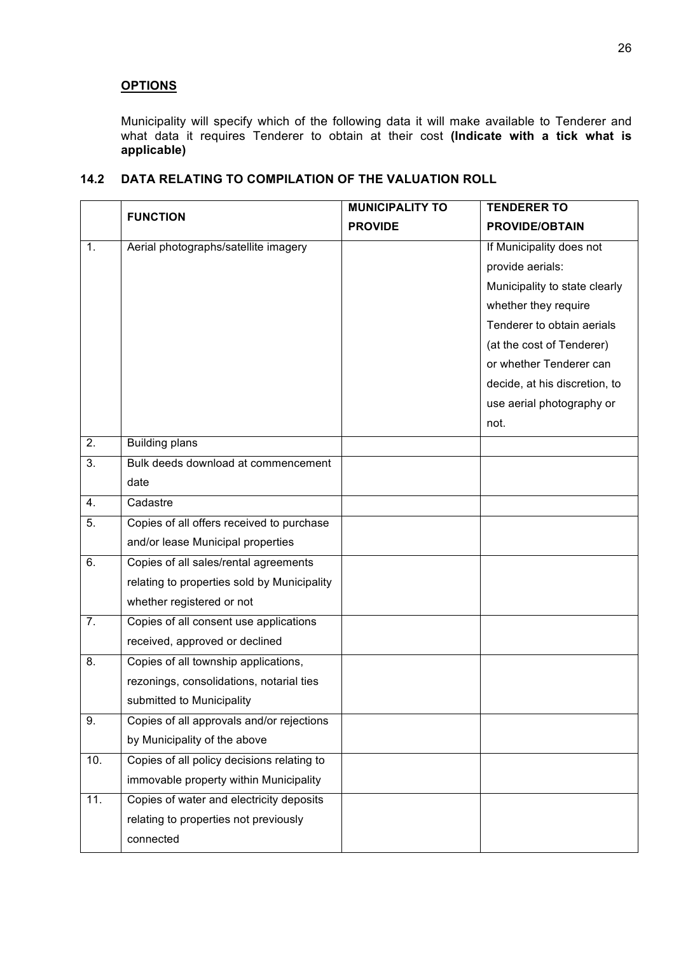# **OPTIONS**

Municipality will specify which of the following data it will make available to Tenderer and what data it requires Tenderer to obtain at their cost **(Indicate with a tick what is applicable)**

|                  | <b>FUNCTION</b>                             | <b>MUNICIPALITY TO</b> | <b>TENDERER TO</b>            |
|------------------|---------------------------------------------|------------------------|-------------------------------|
|                  |                                             | <b>PROVIDE</b>         | <b>PROVIDE/OBTAIN</b>         |
| 1.               | Aerial photographs/satellite imagery        |                        | If Municipality does not      |
|                  |                                             |                        | provide aerials:              |
|                  |                                             |                        | Municipality to state clearly |
|                  |                                             |                        | whether they require          |
|                  |                                             |                        | Tenderer to obtain aerials    |
|                  |                                             |                        | (at the cost of Tenderer)     |
|                  |                                             |                        | or whether Tenderer can       |
|                  |                                             |                        | decide, at his discretion, to |
|                  |                                             |                        | use aerial photography or     |
|                  |                                             |                        | not.                          |
| $\overline{2}$ . | <b>Building plans</b>                       |                        |                               |
| 3.               | Bulk deeds download at commencement         |                        |                               |
|                  | date                                        |                        |                               |
| 4.               | Cadastre                                    |                        |                               |
| 5.               | Copies of all offers received to purchase   |                        |                               |
|                  | and/or lease Municipal properties           |                        |                               |
| 6.               | Copies of all sales/rental agreements       |                        |                               |
|                  | relating to properties sold by Municipality |                        |                               |
|                  | whether registered or not                   |                        |                               |
| 7.               | Copies of all consent use applications      |                        |                               |
|                  | received, approved or declined              |                        |                               |
| 8.               | Copies of all township applications,        |                        |                               |
|                  | rezonings, consolidations, notarial ties    |                        |                               |
|                  | submitted to Municipality                   |                        |                               |
| 9.               | Copies of all approvals and/or rejections   |                        |                               |
|                  | by Municipality of the above                |                        |                               |
| 10.              | Copies of all policy decisions relating to  |                        |                               |
|                  | immovable property within Municipality      |                        |                               |
| 11.              | Copies of water and electricity deposits    |                        |                               |
|                  | relating to properties not previously       |                        |                               |
|                  | connected                                   |                        |                               |

### **14.2 DATA RELATING TO COMPILATION OF THE VALUATION ROLL**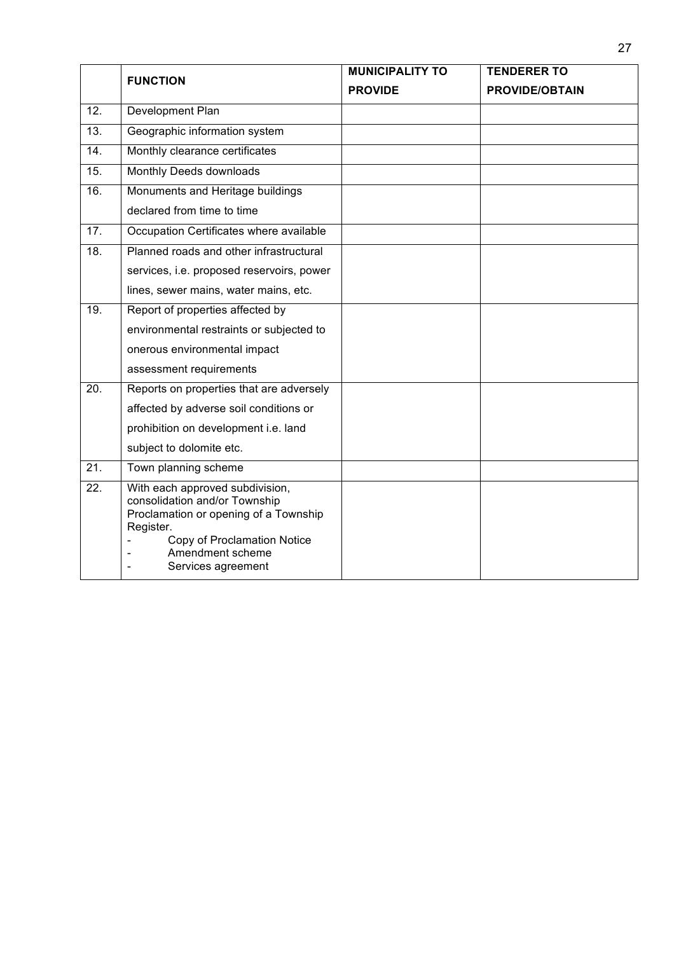|                   | <b>FUNCTION</b>                                                                                                                                                                                 | <b>MUNICIPALITY TO</b> | <b>TENDERER TO</b>    |
|-------------------|-------------------------------------------------------------------------------------------------------------------------------------------------------------------------------------------------|------------------------|-----------------------|
|                   |                                                                                                                                                                                                 | <b>PROVIDE</b>         | <b>PROVIDE/OBTAIN</b> |
| 12.               | Development Plan                                                                                                                                                                                |                        |                       |
| 13.               | Geographic information system                                                                                                                                                                   |                        |                       |
| $\overline{14}$ . | Monthly clearance certificates                                                                                                                                                                  |                        |                       |
| 15.               | Monthly Deeds downloads                                                                                                                                                                         |                        |                       |
| $\overline{16}$ . | Monuments and Heritage buildings                                                                                                                                                                |                        |                       |
|                   | declared from time to time                                                                                                                                                                      |                        |                       |
| 17.               | Occupation Certificates where available                                                                                                                                                         |                        |                       |
| 18.               | Planned roads and other infrastructural                                                                                                                                                         |                        |                       |
|                   | services, i.e. proposed reservoirs, power                                                                                                                                                       |                        |                       |
|                   | lines, sewer mains, water mains, etc.                                                                                                                                                           |                        |                       |
| 19.               | Report of properties affected by                                                                                                                                                                |                        |                       |
|                   | environmental restraints or subjected to                                                                                                                                                        |                        |                       |
|                   | onerous environmental impact                                                                                                                                                                    |                        |                       |
|                   | assessment requirements                                                                                                                                                                         |                        |                       |
| 20.               | Reports on properties that are adversely                                                                                                                                                        |                        |                       |
|                   | affected by adverse soil conditions or                                                                                                                                                          |                        |                       |
|                   | prohibition on development i.e. land                                                                                                                                                            |                        |                       |
|                   | subject to dolomite etc.                                                                                                                                                                        |                        |                       |
| 21.               | Town planning scheme                                                                                                                                                                            |                        |                       |
| 22.               | With each approved subdivision,<br>consolidation and/or Township<br>Proclamation or opening of a Township<br>Register.<br>Copy of Proclamation Notice<br>Amendment scheme<br>Services agreement |                        |                       |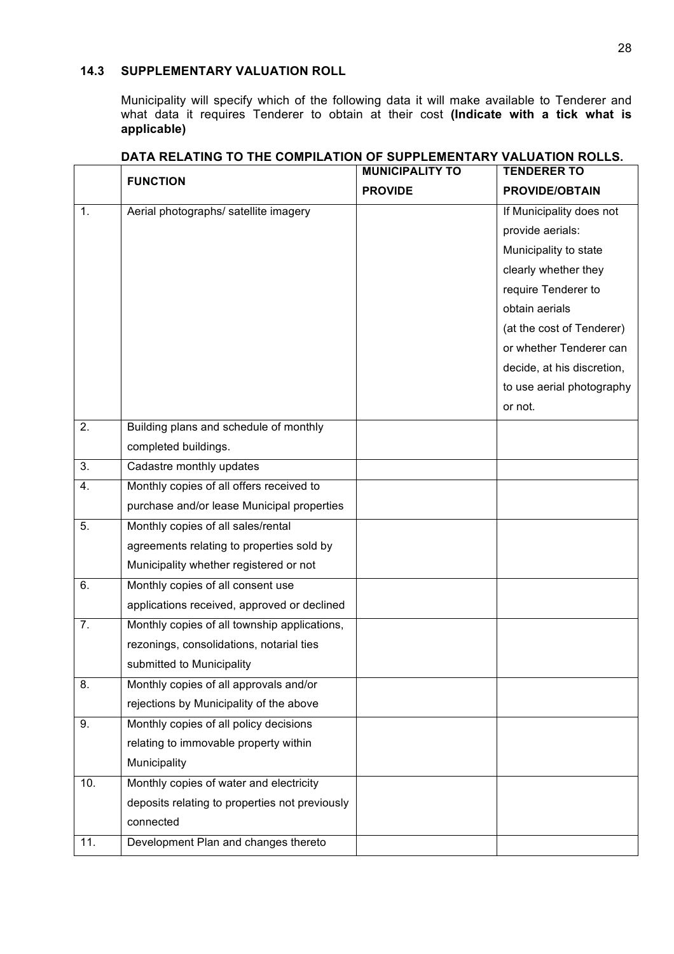### **14.3 SUPPLEMENTARY VALUATION ROLL**

 $\overline{1}$ 

Municipality will specify which of the following data it will make available to Tenderer and what data it requires Tenderer to obtain at their cost **(Indicate with a tick what is what data** it requires Tenderer to obtain at their cost **(Indicate with a tick what is applicable)**

|     | <b>FUNCTION</b>                                | <b>MUNICIPALITY TO</b><br><b>PROVIDE</b> | <b>TENDERER TO</b><br><b>PROVIDE/OBTAIN</b> |
|-----|------------------------------------------------|------------------------------------------|---------------------------------------------|
| 1.  | Aerial photographs/ satellite imagery          |                                          | If Municipality does not                    |
|     |                                                |                                          | provide aerials:                            |
|     |                                                |                                          | Municipality to state                       |
|     |                                                |                                          | clearly whether they                        |
|     |                                                |                                          | require Tenderer to                         |
|     |                                                |                                          | obtain aerials                              |
|     |                                                |                                          | (at the cost of Tenderer)                   |
|     |                                                |                                          | or whether Tenderer can                     |
|     |                                                |                                          | decide, at his discretion,                  |
|     |                                                |                                          | to use aerial photography                   |
|     |                                                |                                          | or not.                                     |
| 2.  | Building plans and schedule of monthly         |                                          |                                             |
|     | completed buildings.                           |                                          |                                             |
| 3.  | Cadastre monthly updates                       |                                          |                                             |
| 4.  | Monthly copies of all offers received to       |                                          |                                             |
|     | purchase and/or lease Municipal properties     |                                          |                                             |
| 5.  | Monthly copies of all sales/rental             |                                          |                                             |
|     | agreements relating to properties sold by      |                                          |                                             |
|     | Municipality whether registered or not         |                                          |                                             |
| 6.  | Monthly copies of all consent use              |                                          |                                             |
|     | applications received, approved or declined    |                                          |                                             |
| 7.  | Monthly copies of all township applications,   |                                          |                                             |
|     | rezonings, consolidations, notarial ties       |                                          |                                             |
|     | submitted to Municipality                      |                                          |                                             |
| 8.  | Monthly copies of all approvals and/or         |                                          |                                             |
|     | rejections by Municipality of the above        |                                          |                                             |
| 9.  | Monthly copies of all policy decisions         |                                          |                                             |
|     | relating to immovable property within          |                                          |                                             |
|     | Municipality                                   |                                          |                                             |
| 10. | Monthly copies of water and electricity        |                                          |                                             |
|     | deposits relating to properties not previously |                                          |                                             |
|     | connected                                      |                                          |                                             |
| 11. | Development Plan and changes thereto           |                                          |                                             |

### **DATA RELATING TO THE COMPILATION OF SUPPLEMENTARY VALUATION ROLLS.**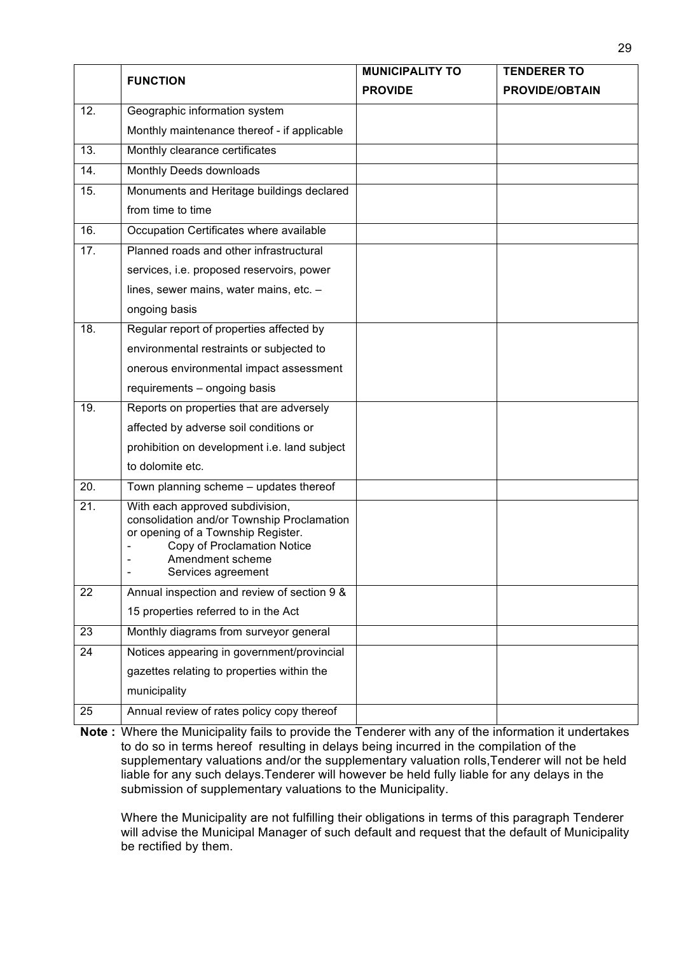|                 |                                                                                                                                                                                              | <b>MUNICIPALITY TO</b> | <b>TENDERER TO</b>    |
|-----------------|----------------------------------------------------------------------------------------------------------------------------------------------------------------------------------------------|------------------------|-----------------------|
| <b>FUNCTION</b> |                                                                                                                                                                                              | <b>PROVIDE</b>         | <b>PROVIDE/OBTAIN</b> |
| 12.             | Geographic information system                                                                                                                                                                |                        |                       |
|                 | Monthly maintenance thereof - if applicable                                                                                                                                                  |                        |                       |
| 13.             | Monthly clearance certificates                                                                                                                                                               |                        |                       |
| 14.             | Monthly Deeds downloads                                                                                                                                                                      |                        |                       |
| 15.             | Monuments and Heritage buildings declared                                                                                                                                                    |                        |                       |
|                 | from time to time                                                                                                                                                                            |                        |                       |
| 16.             | Occupation Certificates where available                                                                                                                                                      |                        |                       |
| 17.             | Planned roads and other infrastructural                                                                                                                                                      |                        |                       |
|                 | services, i.e. proposed reservoirs, power                                                                                                                                                    |                        |                       |
|                 | lines, sewer mains, water mains, etc. -                                                                                                                                                      |                        |                       |
|                 | ongoing basis                                                                                                                                                                                |                        |                       |
| 18.             | Regular report of properties affected by                                                                                                                                                     |                        |                       |
|                 | environmental restraints or subjected to                                                                                                                                                     |                        |                       |
|                 | onerous environmental impact assessment                                                                                                                                                      |                        |                       |
|                 | requirements - ongoing basis                                                                                                                                                                 |                        |                       |
| 19.             | Reports on properties that are adversely                                                                                                                                                     |                        |                       |
|                 | affected by adverse soil conditions or                                                                                                                                                       |                        |                       |
|                 | prohibition on development i.e. land subject                                                                                                                                                 |                        |                       |
|                 | to dolomite etc.                                                                                                                                                                             |                        |                       |
| 20.             | Town planning scheme - updates thereof                                                                                                                                                       |                        |                       |
| 21.             | With each approved subdivision,<br>consolidation and/or Township Proclamation<br>or opening of a Township Register.<br>Copy of Proclamation Notice<br>Amendment scheme<br>Services agreement |                        |                       |
| 22              | Annual inspection and review of section 9 &                                                                                                                                                  |                        |                       |
|                 | 15 properties referred to in the Act                                                                                                                                                         |                        |                       |
| 23              | Monthly diagrams from surveyor general                                                                                                                                                       |                        |                       |
| 24              | Notices appearing in government/provincial                                                                                                                                                   |                        |                       |
|                 | gazettes relating to properties within the                                                                                                                                                   |                        |                       |
|                 | municipality                                                                                                                                                                                 |                        |                       |
| 25              | Annual review of rates policy copy thereof                                                                                                                                                   |                        |                       |

**Note :** Where the Municipality fails to provide the Tenderer with any of the information it undertakes to do so in terms hereof resulting in delays being incurred in the compilation of the supplementary valuations and/or the supplementary valuation rolls,Tenderer will not be held liable for any such delays.Tenderer will however be held fully liable for any delays in the submission of supplementary valuations to the Municipality.

Where the Municipality are not fulfilling their obligations in terms of this paragraph Tenderer will advise the Municipal Manager of such default and request that the default of Municipality be rectified by them.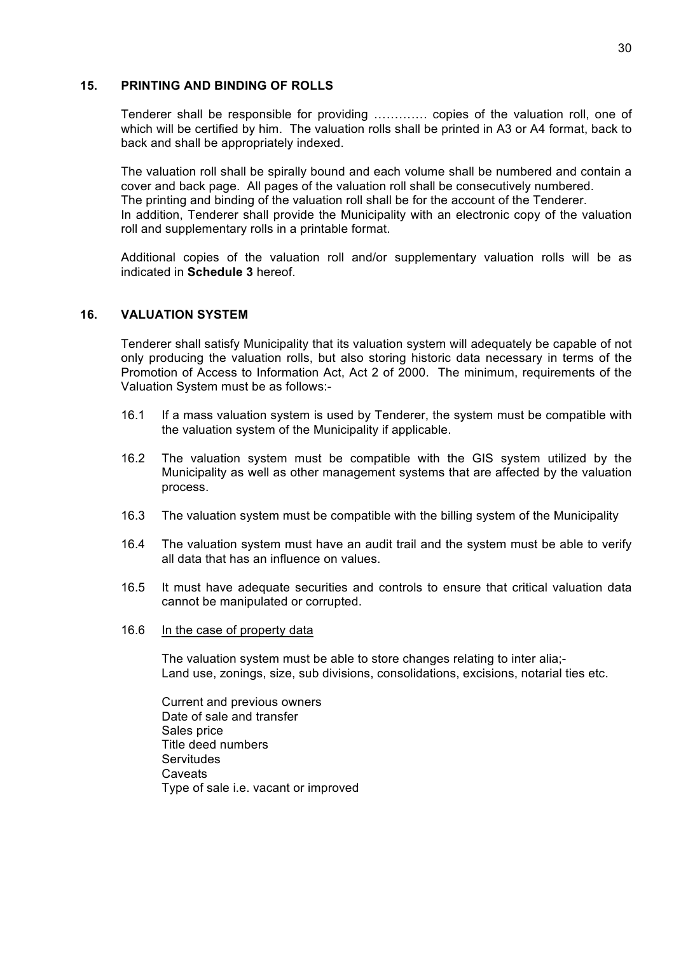#### **15. PRINTING AND BINDING OF ROLLS**

Tenderer shall be responsible for providing …………. copies of the valuation roll, one of which will be certified by him. The valuation rolls shall be printed in A3 or A4 format, back to back and shall be appropriately indexed.

The valuation roll shall be spirally bound and each volume shall be numbered and contain a cover and back page. All pages of the valuation roll shall be consecutively numbered. The printing and binding of the valuation roll shall be for the account of the Tenderer. In addition, Tenderer shall provide the Municipality with an electronic copy of the valuation roll and supplementary rolls in a printable format.

Additional copies of the valuation roll and/or supplementary valuation rolls will be as indicated in **Schedule 3** hereof.

#### **16. VALUATION SYSTEM**

Tenderer shall satisfy Municipality that its valuation system will adequately be capable of not only producing the valuation rolls, but also storing historic data necessary in terms of the Promotion of Access to Information Act, Act 2 of 2000. The minimum, requirements of the Valuation System must be as follows:-

- 16.1 If a mass valuation system is used by Tenderer, the system must be compatible with the valuation system of the Municipality if applicable.
- 16.2 The valuation system must be compatible with the GIS system utilized by the Municipality as well as other management systems that are affected by the valuation process.
- 16.3 The valuation system must be compatible with the billing system of the Municipality
- 16.4 The valuation system must have an audit trail and the system must be able to verify all data that has an influence on values.
- 16.5 It must have adequate securities and controls to ensure that critical valuation data cannot be manipulated or corrupted.
- 16.6 In the case of property data

The valuation system must be able to store changes relating to inter alia;- Land use, zonings, size, sub divisions, consolidations, excisions, notarial ties etc.

Current and previous owners Date of sale and transfer Sales price Title deed numbers **Servitudes Caveats** Type of sale i.e. vacant or improved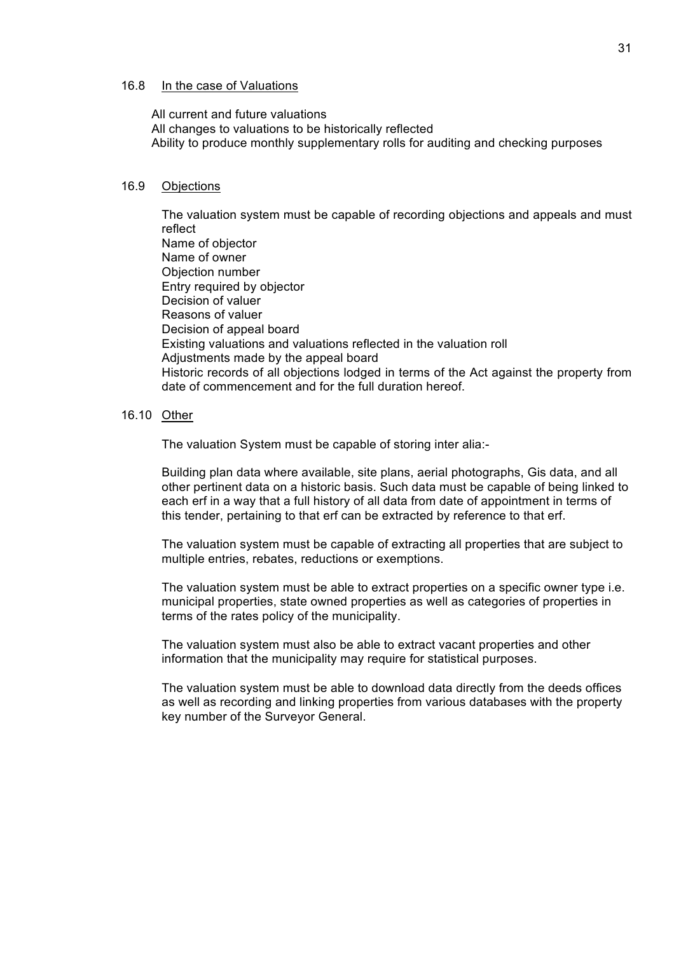#### 16.8 In the case of Valuations

All current and future valuations All changes to valuations to be historically reflected Ability to produce monthly supplementary rolls for auditing and checking purposes

#### 16.9 Objections

The valuation system must be capable of recording objections and appeals and must reflect Name of objector Name of owner Objection number Entry required by objector Decision of valuer Reasons of valuer Decision of appeal board Existing valuations and valuations reflected in the valuation roll Adjustments made by the appeal board Historic records of all objections lodged in terms of the Act against the property from date of commencement and for the full duration hereof.

#### 16.10 Other

The valuation System must be capable of storing inter alia:-

Building plan data where available, site plans, aerial photographs, Gis data, and all other pertinent data on a historic basis. Such data must be capable of being linked to each erf in a way that a full history of all data from date of appointment in terms of this tender, pertaining to that erf can be extracted by reference to that erf.

The valuation system must be capable of extracting all properties that are subject to multiple entries, rebates, reductions or exemptions.

The valuation system must be able to extract properties on a specific owner type i.e. municipal properties, state owned properties as well as categories of properties in terms of the rates policy of the municipality.

The valuation system must also be able to extract vacant properties and other information that the municipality may require for statistical purposes.

The valuation system must be able to download data directly from the deeds offices as well as recording and linking properties from various databases with the property key number of the Surveyor General.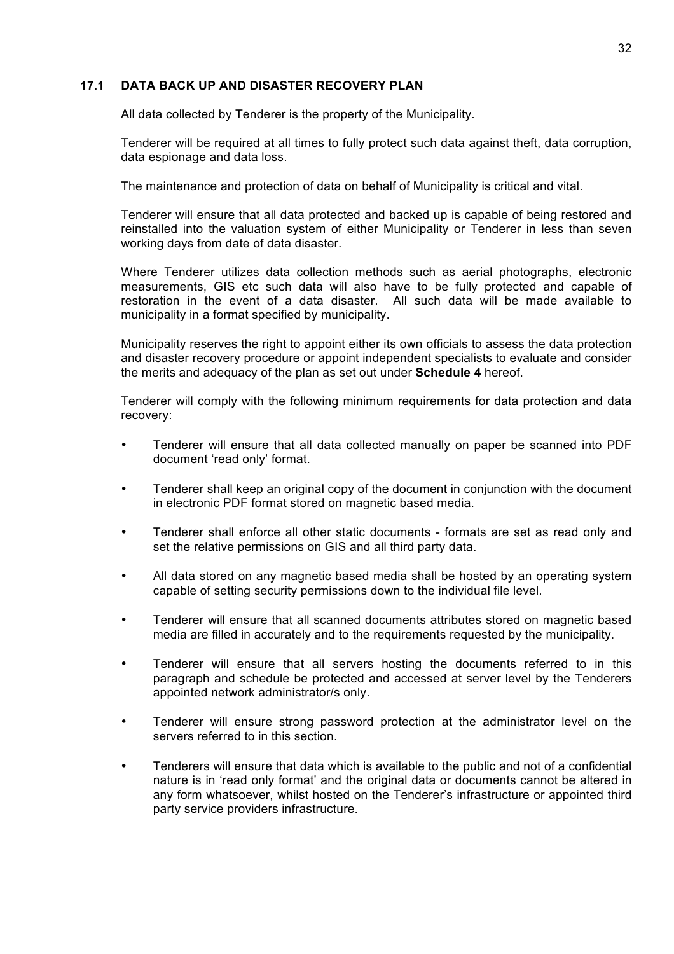### **17.1 DATA BACK UP AND DISASTER RECOVERY PLAN**

All data collected by Tenderer is the property of the Municipality.

Tenderer will be required at all times to fully protect such data against theft, data corruption, data espionage and data loss.

The maintenance and protection of data on behalf of Municipality is critical and vital.

Tenderer will ensure that all data protected and backed up is capable of being restored and reinstalled into the valuation system of either Municipality or Tenderer in less than seven working days from date of data disaster.

Where Tenderer utilizes data collection methods such as aerial photographs, electronic measurements, GIS etc such data will also have to be fully protected and capable of restoration in the event of a data disaster. All such data will be made available to municipality in a format specified by municipality.

Municipality reserves the right to appoint either its own officials to assess the data protection and disaster recovery procedure or appoint independent specialists to evaluate and consider the merits and adequacy of the plan as set out under **Schedule 4** hereof.

Tenderer will comply with the following minimum requirements for data protection and data recovery:

- Tenderer will ensure that all data collected manually on paper be scanned into PDF document 'read only' format.
- Tenderer shall keep an original copy of the document in conjunction with the document in electronic PDF format stored on magnetic based media.
- Tenderer shall enforce all other static documents formats are set as read only and set the relative permissions on GIS and all third party data.
- All data stored on any magnetic based media shall be hosted by an operating system capable of setting security permissions down to the individual file level.
- Tenderer will ensure that all scanned documents attributes stored on magnetic based media are filled in accurately and to the requirements requested by the municipality.
- Tenderer will ensure that all servers hosting the documents referred to in this paragraph and schedule be protected and accessed at server level by the Tenderers appointed network administrator/s only.
- Tenderer will ensure strong password protection at the administrator level on the servers referred to in this section.
- Tenderers will ensure that data which is available to the public and not of a confidential nature is in 'read only format' and the original data or documents cannot be altered in any form whatsoever, whilst hosted on the Tenderer's infrastructure or appointed third party service providers infrastructure.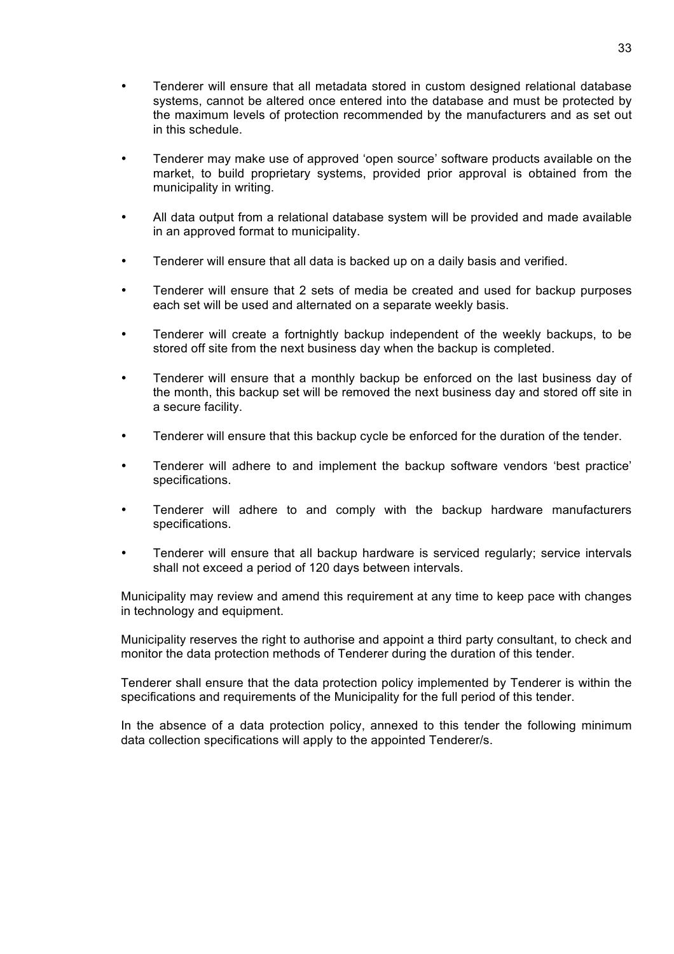- Tenderer will ensure that all metadata stored in custom designed relational database systems, cannot be altered once entered into the database and must be protected by the maximum levels of protection recommended by the manufacturers and as set out in this schedule.
- Tenderer may make use of approved 'open source' software products available on the market, to build proprietary systems, provided prior approval is obtained from the municipality in writing.
- All data output from a relational database system will be provided and made available in an approved format to municipality.
- Tenderer will ensure that all data is backed up on a daily basis and verified.
- Tenderer will ensure that 2 sets of media be created and used for backup purposes each set will be used and alternated on a separate weekly basis.
- Tenderer will create a fortnightly backup independent of the weekly backups, to be stored off site from the next business day when the backup is completed.
- Tenderer will ensure that a monthly backup be enforced on the last business day of the month, this backup set will be removed the next business day and stored off site in a secure facility.
- Tenderer will ensure that this backup cycle be enforced for the duration of the tender.
- Tenderer will adhere to and implement the backup software vendors 'best practice' specifications.
- Tenderer will adhere to and comply with the backup hardware manufacturers specifications.
- Tenderer will ensure that all backup hardware is serviced regularly; service intervals shall not exceed a period of 120 days between intervals.

Municipality may review and amend this requirement at any time to keep pace with changes in technology and equipment.

Municipality reserves the right to authorise and appoint a third party consultant, to check and monitor the data protection methods of Tenderer during the duration of this tender.

Tenderer shall ensure that the data protection policy implemented by Tenderer is within the specifications and requirements of the Municipality for the full period of this tender.

In the absence of a data protection policy, annexed to this tender the following minimum data collection specifications will apply to the appointed Tenderer/s.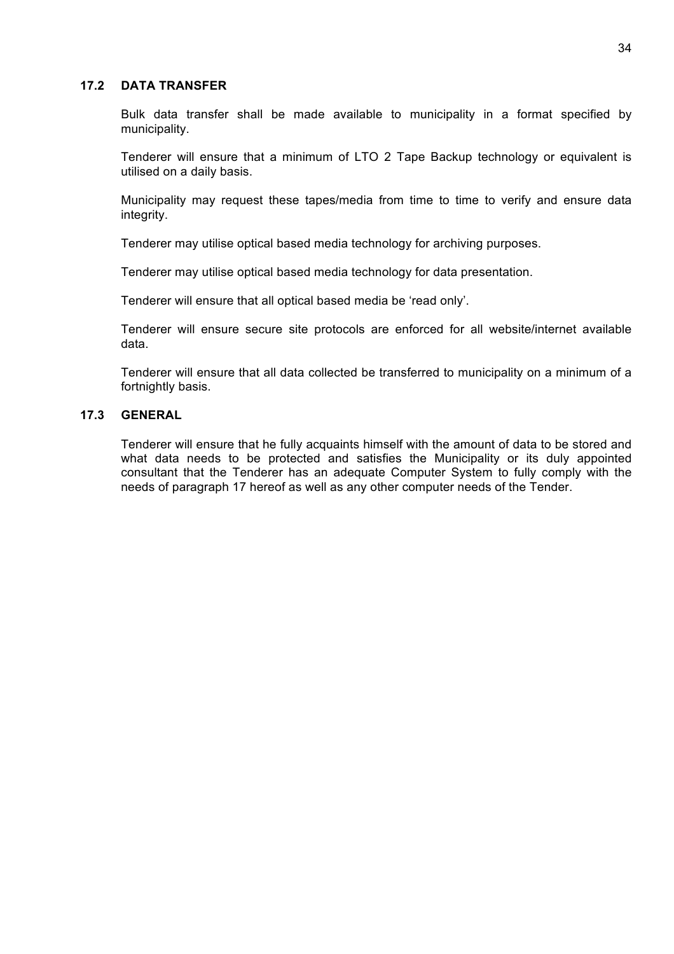#### **17.2 DATA TRANSFER**

Bulk data transfer shall be made available to municipality in a format specified by municipality.

Tenderer will ensure that a minimum of LTO 2 Tape Backup technology or equivalent is utilised on a daily basis.

Municipality may request these tapes/media from time to time to verify and ensure data integrity.

Tenderer may utilise optical based media technology for archiving purposes.

Tenderer may utilise optical based media technology for data presentation.

Tenderer will ensure that all optical based media be 'read only'.

Tenderer will ensure secure site protocols are enforced for all website/internet available data.

Tenderer will ensure that all data collected be transferred to municipality on a minimum of a fortnightly basis.

#### **17.3 GENERAL**

Tenderer will ensure that he fully acquaints himself with the amount of data to be stored and what data needs to be protected and satisfies the Municipality or its duly appointed consultant that the Tenderer has an adequate Computer System to fully comply with the needs of paragraph 17 hereof as well as any other computer needs of the Tender.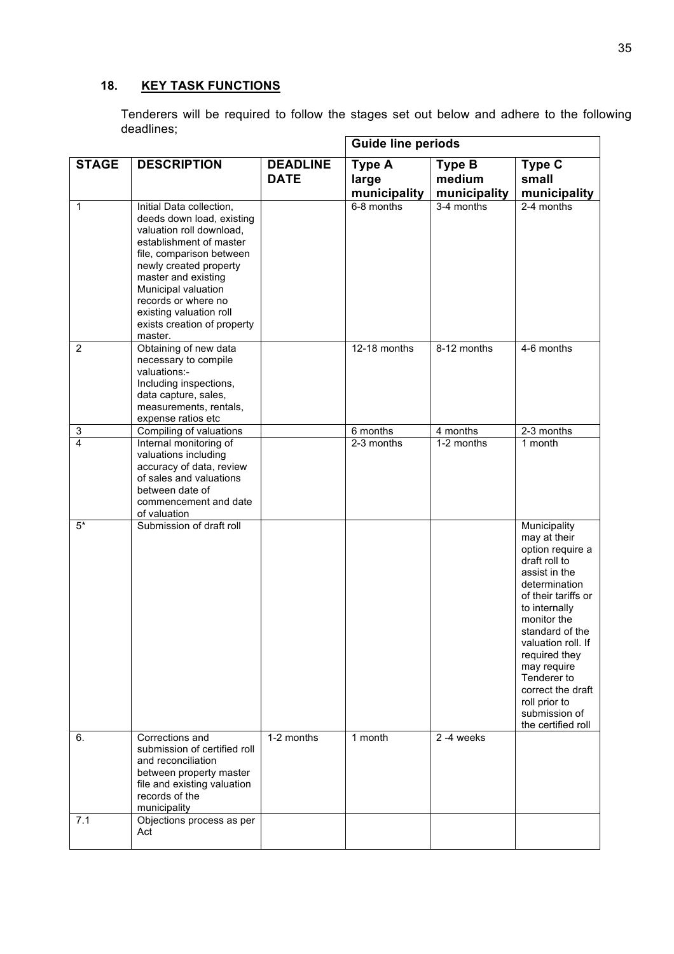# **18. KEY TASK FUNCTIONS**

Tenderers will be required to follow the stages set out below and adhere to the following deadlines;

|                           |                                                                                                                                                                                                                                                                                                              |                                | <b>Guide line periods</b>              |                                         |                                                                                                                                                                                                                                                                                                                                 |
|---------------------------|--------------------------------------------------------------------------------------------------------------------------------------------------------------------------------------------------------------------------------------------------------------------------------------------------------------|--------------------------------|----------------------------------------|-----------------------------------------|---------------------------------------------------------------------------------------------------------------------------------------------------------------------------------------------------------------------------------------------------------------------------------------------------------------------------------|
| <b>STAGE</b>              | <b>DESCRIPTION</b>                                                                                                                                                                                                                                                                                           | <b>DEADLINE</b><br><b>DATE</b> | <b>Type A</b><br>large<br>municipality | <b>Type B</b><br>medium<br>municipality | <b>Type C</b><br>small<br>municipality                                                                                                                                                                                                                                                                                          |
| $\mathbf{1}$              | Initial Data collection,<br>deeds down load, existing<br>valuation roll download,<br>establishment of master<br>file, comparison between<br>newly created property<br>master and existing<br>Municipal valuation<br>records or where no<br>existing valuation roll<br>exists creation of property<br>master. |                                | 6-8 months                             | 3-4 months                              | $2-4$ months                                                                                                                                                                                                                                                                                                                    |
| $\overline{2}$            | Obtaining of new data<br>necessary to compile<br>valuations:-<br>Including inspections,<br>data capture, sales,<br>measurements, rentals,<br>expense ratios etc                                                                                                                                              |                                | 12-18 months                           | 8-12 months                             | 4-6 months                                                                                                                                                                                                                                                                                                                      |
| $\ensuremath{\mathsf{3}}$ | Compiling of valuations                                                                                                                                                                                                                                                                                      |                                | 6 months                               | 4 months                                | 2-3 months                                                                                                                                                                                                                                                                                                                      |
| $\overline{\mathbf{A}}$   | Internal monitoring of<br>valuations including<br>accuracy of data, review<br>of sales and valuations<br>between date of<br>commencement and date<br>of valuation                                                                                                                                            |                                | 2-3 months                             | 1-2 months                              | 1 month                                                                                                                                                                                                                                                                                                                         |
| $5*$<br>6.                | Submission of draft roll<br>Corrections and                                                                                                                                                                                                                                                                  | 1-2 months                     | 1 month                                | 2-4 weeks                               | Municipality<br>may at their<br>option require a<br>draft roll to<br>assist in the<br>determination<br>of their tariffs or<br>to internally<br>monitor the<br>standard of the<br>valuation roll. If<br>required they<br>may require<br>Tenderer to<br>correct the draft<br>roll prior to<br>submission of<br>the certified roll |
|                           | submission of certified roll<br>and reconciliation<br>between property master<br>file and existing valuation<br>records of the<br>municipality                                                                                                                                                               |                                |                                        |                                         |                                                                                                                                                                                                                                                                                                                                 |
| 7.1                       | Objections process as per<br>Act                                                                                                                                                                                                                                                                             |                                |                                        |                                         |                                                                                                                                                                                                                                                                                                                                 |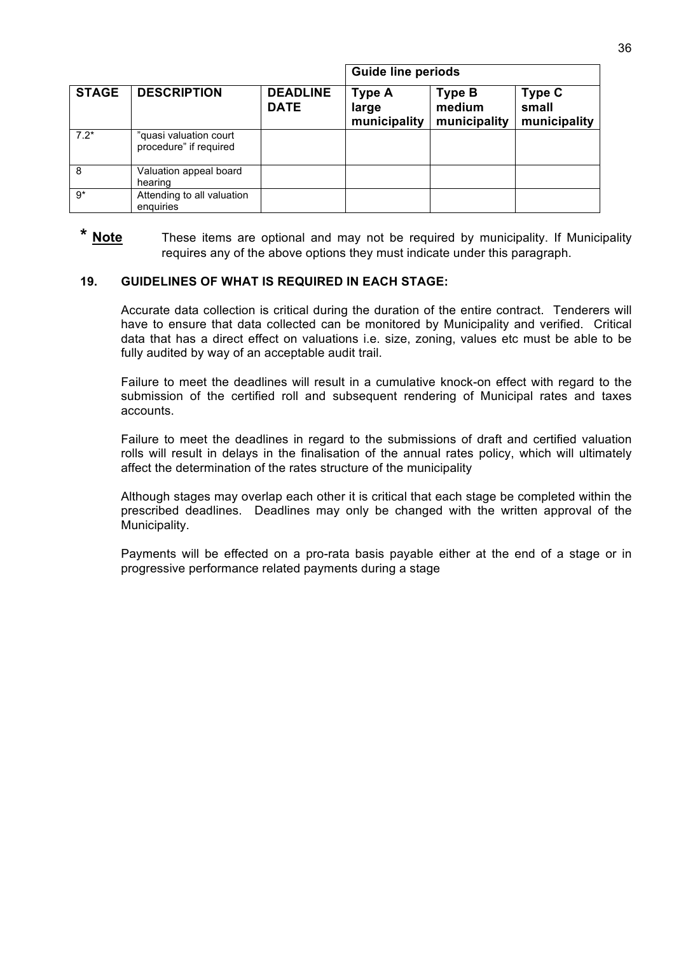|              |                                                  |                                | <b>Guide line periods</b>              |                                         |                                        |
|--------------|--------------------------------------------------|--------------------------------|----------------------------------------|-----------------------------------------|----------------------------------------|
| <b>STAGE</b> | <b>DESCRIPTION</b>                               | <b>DEADLINE</b><br><b>DATE</b> | <b>Type A</b><br>large<br>municipality | <b>Type B</b><br>medium<br>municipality | <b>Type C</b><br>small<br>municipality |
| $7.2*$       | "quasi valuation court<br>procedure" if required |                                |                                        |                                         |                                        |
| - 8          | Valuation appeal board<br>hearing                |                                |                                        |                                         |                                        |
| $9*$         | Attending to all valuation<br>enguiries          |                                |                                        |                                         |                                        |

\* Note These items are optional and may not be required by municipality. If Municipality requires any of the above options they must indicate under this paragraph.

#### **19. GUIDELINES OF WHAT IS REQUIRED IN EACH STAGE:**

Accurate data collection is critical during the duration of the entire contract. Tenderers will have to ensure that data collected can be monitored by Municipality and verified. Critical data that has a direct effect on valuations i.e. size, zoning, values etc must be able to be fully audited by way of an acceptable audit trail.

Failure to meet the deadlines will result in a cumulative knock-on effect with regard to the submission of the certified roll and subsequent rendering of Municipal rates and taxes accounts.

Failure to meet the deadlines in regard to the submissions of draft and certified valuation rolls will result in delays in the finalisation of the annual rates policy, which will ultimately affect the determination of the rates structure of the municipality

Although stages may overlap each other it is critical that each stage be completed within the prescribed deadlines. Deadlines may only be changed with the written approval of the Municipality.

Payments will be effected on a pro-rata basis payable either at the end of a stage or in progressive performance related payments during a stage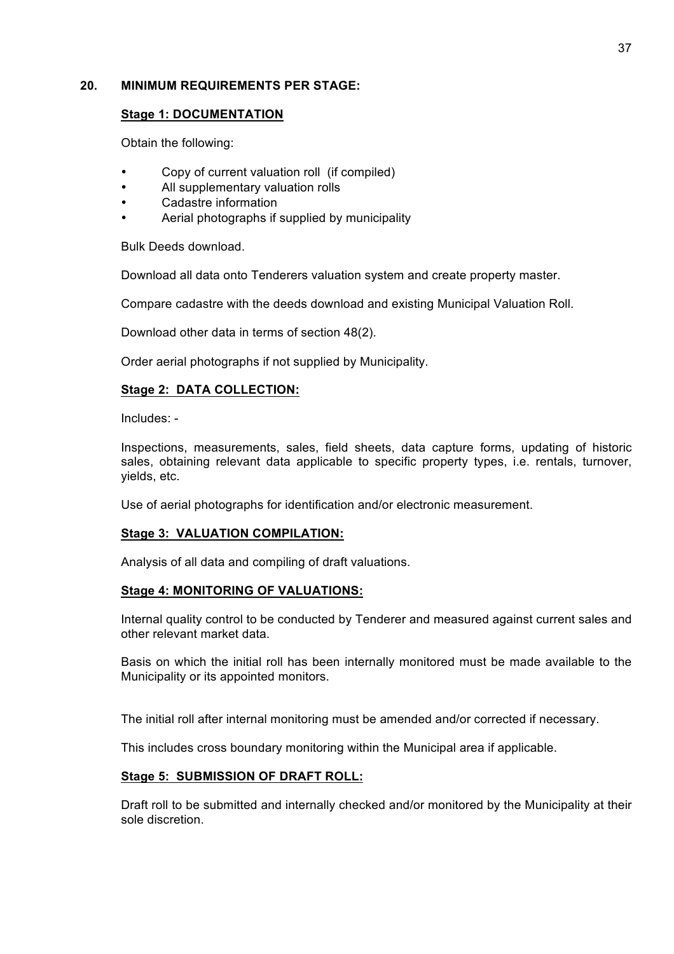### **20. MINIMUM REQUIREMENTS PER STAGE:**

#### **Stage 1: DOCUMENTATION**

Obtain the following:

- Copy of current valuation roll (if compiled)
- All supplementary valuation rolls
- Cadastre information
- Aerial photographs if supplied by municipality

Bulk Deeds download.

Download all data onto Tenderers valuation system and create property master.

Compare cadastre with the deeds download and existing Municipal Valuation Roll.

Download other data in terms of section 48(2).

Order aerial photographs if not supplied by Municipality.

### **Stage 2: DATA COLLECTION:**

Includes: -

Inspections, measurements, sales, field sheets, data capture forms, updating of historic sales, obtaining relevant data applicable to specific property types, i.e. rentals, turnover, yields, etc.

Use of aerial photographs for identification and/or electronic measurement.

#### **Stage 3: VALUATION COMPILATION:**

Analysis of all data and compiling of draft valuations.

#### **Stage 4: MONITORING OF VALUATIONS:**

Internal quality control to be conducted by Tenderer and measured against current sales and other relevant market data.

Basis on which the initial roll has been internally monitored must be made available to the Municipality or its appointed monitors.

The initial roll after internal monitoring must be amended and/or corrected if necessary.

This includes cross boundary monitoring within the Municipal area if applicable.

#### **Stage 5: SUBMISSION OF DRAFT ROLL:**

Draft roll to be submitted and internally checked and/or monitored by the Municipality at their sole discretion.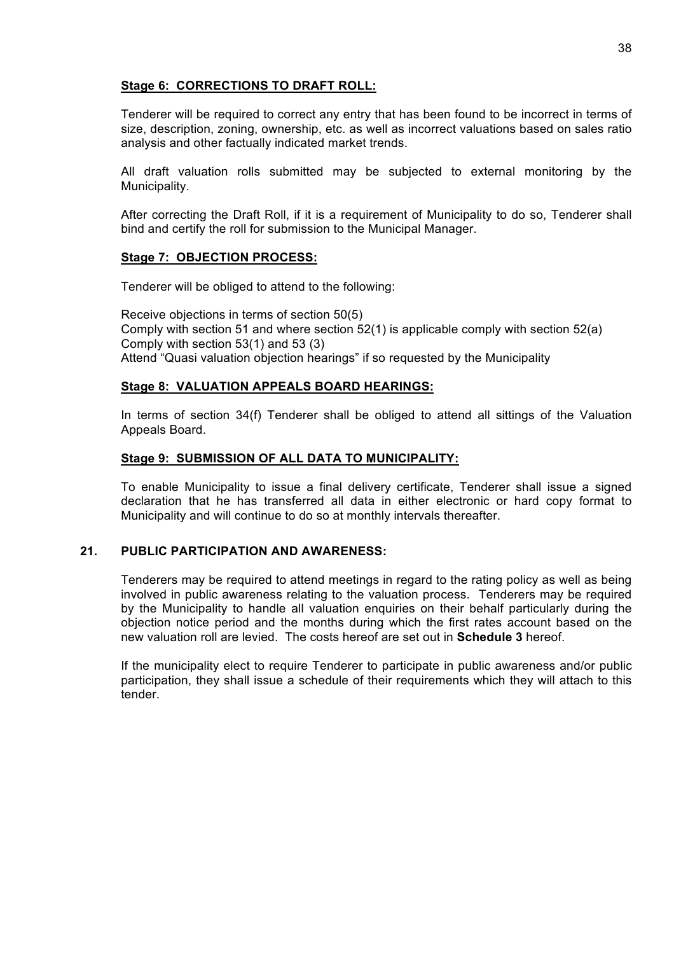### **Stage 6: CORRECTIONS TO DRAFT ROLL:**

Tenderer will be required to correct any entry that has been found to be incorrect in terms of size, description, zoning, ownership, etc. as well as incorrect valuations based on sales ratio analysis and other factually indicated market trends.

All draft valuation rolls submitted may be subjected to external monitoring by the Municipality.

After correcting the Draft Roll, if it is a requirement of Municipality to do so, Tenderer shall bind and certify the roll for submission to the Municipal Manager.

### **Stage 7: OBJECTION PROCESS:**

Tenderer will be obliged to attend to the following:

Receive objections in terms of section 50(5) Comply with section 51 and where section 52(1) is applicable comply with section 52(a) Comply with section 53(1) and 53 (3) Attend "Quasi valuation objection hearings" if so requested by the Municipality

### **Stage 8: VALUATION APPEALS BOARD HEARINGS:**

In terms of section 34(f) Tenderer shall be obliged to attend all sittings of the Valuation Appeals Board.

#### **Stage 9: SUBMISSION OF ALL DATA TO MUNICIPALITY:**

To enable Municipality to issue a final delivery certificate, Tenderer shall issue a signed declaration that he has transferred all data in either electronic or hard copy format to Municipality and will continue to do so at monthly intervals thereafter.

### **21. PUBLIC PARTICIPATION AND AWARENESS:**

Tenderers may be required to attend meetings in regard to the rating policy as well as being involved in public awareness relating to the valuation process. Tenderers may be required by the Municipality to handle all valuation enquiries on their behalf particularly during the objection notice period and the months during which the first rates account based on the new valuation roll are levied. The costs hereof are set out in **Schedule 3** hereof.

If the municipality elect to require Tenderer to participate in public awareness and/or public participation, they shall issue a schedule of their requirements which they will attach to this tender.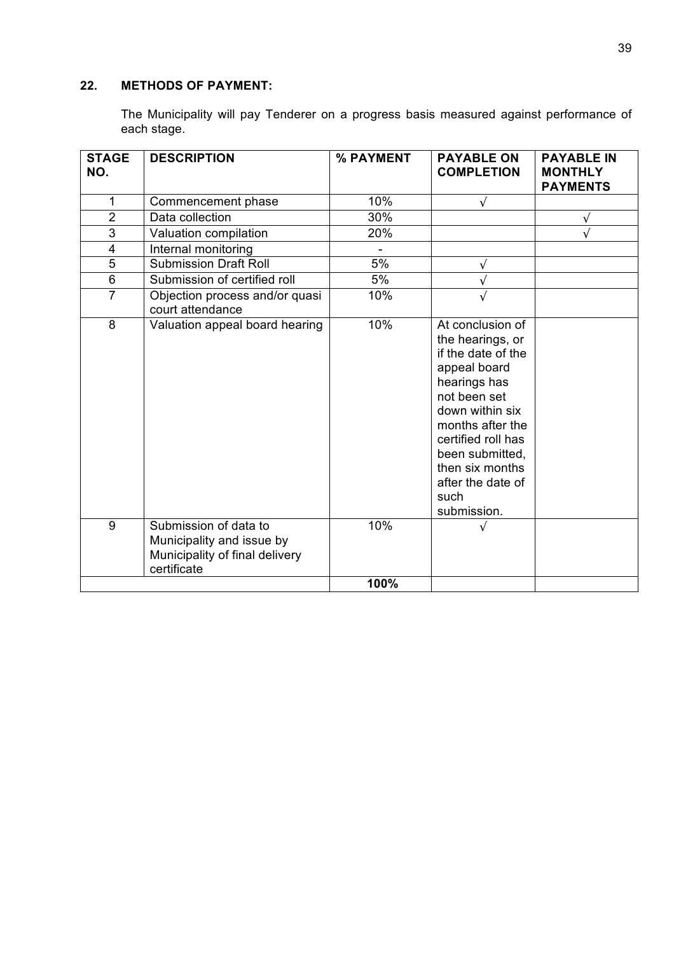# **22. METHODS OF PAYMENT:**

The Municipality will pay Tenderer on a progress basis measured against performance of each stage.

| <b>STAGE</b><br>NO.     | <b>DESCRIPTION</b>                                                                                  | % PAYMENT | <b>PAYABLE ON</b><br><b>COMPLETION</b>                                                                                                                                                                                                                    | <b>PAYABLE IN</b><br><b>MONTHLY</b><br><b>PAYMENTS</b> |
|-------------------------|-----------------------------------------------------------------------------------------------------|-----------|-----------------------------------------------------------------------------------------------------------------------------------------------------------------------------------------------------------------------------------------------------------|--------------------------------------------------------|
| 1                       | Commencement phase                                                                                  | 10%       | $\sqrt{}$                                                                                                                                                                                                                                                 |                                                        |
| $\overline{2}$          | Data collection                                                                                     | 30%       |                                                                                                                                                                                                                                                           | $\sqrt{ }$                                             |
| $\overline{3}$          | Valuation compilation                                                                               | 20%       |                                                                                                                                                                                                                                                           | $\sqrt{ }$                                             |
| $\overline{\mathbf{4}}$ | Internal monitoring                                                                                 |           |                                                                                                                                                                                                                                                           |                                                        |
| $\overline{5}$          | <b>Submission Draft Roll</b>                                                                        | 5%        | $\sqrt{}$                                                                                                                                                                                                                                                 |                                                        |
| $\overline{6}$          | Submission of certified roll                                                                        | 5%        |                                                                                                                                                                                                                                                           |                                                        |
| $\overline{7}$          | Objection process and/or quasi<br>court attendance                                                  | 10%       |                                                                                                                                                                                                                                                           |                                                        |
| 8                       | Valuation appeal board hearing                                                                      | 10%       | At conclusion of<br>the hearings, or<br>if the date of the<br>appeal board<br>hearings has<br>not been set<br>down within six<br>months after the<br>certified roll has<br>been submitted,<br>then six months<br>after the date of<br>such<br>submission. |                                                        |
| 9                       | Submission of data to<br>Municipality and issue by<br>Municipality of final delivery<br>certificate | 10%       |                                                                                                                                                                                                                                                           |                                                        |
|                         |                                                                                                     | 100%      |                                                                                                                                                                                                                                                           |                                                        |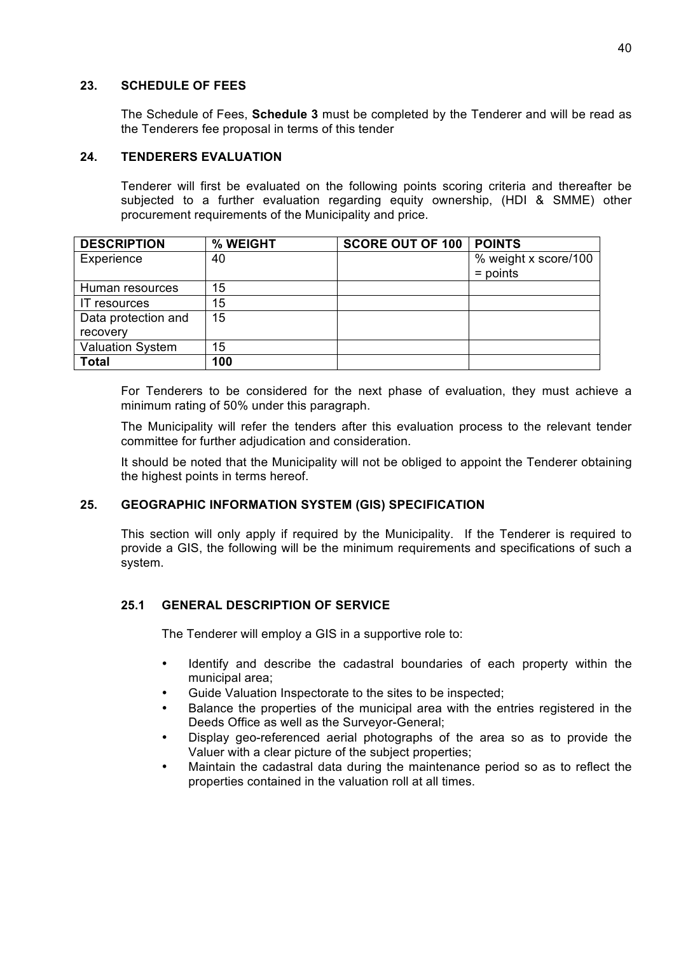#### **23. SCHEDULE OF FEES**

The Schedule of Fees, **Schedule 3** must be completed by the Tenderer and will be read as the Tenderers fee proposal in terms of this tender

#### **24. TENDERERS EVALUATION**

Tenderer will first be evaluated on the following points scoring criteria and thereafter be subjected to a further evaluation regarding equity ownership, (HDI & SMME) other procurement requirements of the Municipality and price.

| <b>DESCRIPTION</b>      | % WEIGHT | <b>SCORE OUT OF 100</b> | <b>POINTS</b>                      |
|-------------------------|----------|-------------------------|------------------------------------|
| Experience              | 40       |                         | % weight x score/100<br>$=$ points |
| Human resources         | 15       |                         |                                    |
| <b>IT</b> resources     | 15       |                         |                                    |
| Data protection and     | 15       |                         |                                    |
| recovery                |          |                         |                                    |
| <b>Valuation System</b> | 15       |                         |                                    |
| <b>Total</b>            | 100      |                         |                                    |

For Tenderers to be considered for the next phase of evaluation, they must achieve a minimum rating of 50% under this paragraph.

The Municipality will refer the tenders after this evaluation process to the relevant tender committee for further adjudication and consideration.

It should be noted that the Municipality will not be obliged to appoint the Tenderer obtaining the highest points in terms hereof.

### **25. GEOGRAPHIC INFORMATION SYSTEM (GIS) SPECIFICATION**

This section will only apply if required by the Municipality. If the Tenderer is required to provide a GIS, the following will be the minimum requirements and specifications of such a system.

### **25.1 GENERAL DESCRIPTION OF SERVICE**

The Tenderer will employ a GIS in a supportive role to:

- Identify and describe the cadastral boundaries of each property within the municipal area;
- Guide Valuation Inspectorate to the sites to be inspected;
- Balance the properties of the municipal area with the entries registered in the Deeds Office as well as the Surveyor-General;
- Display geo-referenced aerial photographs of the area so as to provide the Valuer with a clear picture of the subject properties;
- Maintain the cadastral data during the maintenance period so as to reflect the properties contained in the valuation roll at all times.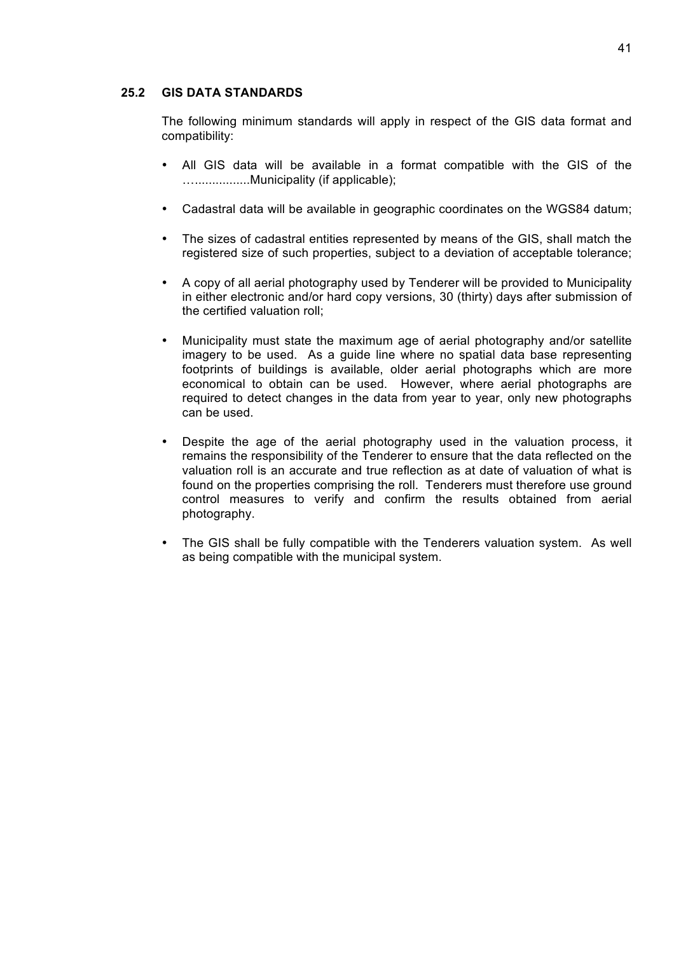#### **25.2 GIS DATA STANDARDS**

The following minimum standards will apply in respect of the GIS data format and compatibility:

- All GIS data will be available in a format compatible with the GIS of the …................Municipality (if applicable);
- Cadastral data will be available in geographic coordinates on the WGS84 datum;
- The sizes of cadastral entities represented by means of the GIS, shall match the registered size of such properties, subject to a deviation of acceptable tolerance;
- A copy of all aerial photography used by Tenderer will be provided to Municipality in either electronic and/or hard copy versions, 30 (thirty) days after submission of the certified valuation roll;
- Municipality must state the maximum age of aerial photography and/or satellite imagery to be used. As a guide line where no spatial data base representing footprints of buildings is available, older aerial photographs which are more economical to obtain can be used. However, where aerial photographs are required to detect changes in the data from year to year, only new photographs can be used.
- Despite the age of the aerial photography used in the valuation process, it remains the responsibility of the Tenderer to ensure that the data reflected on the valuation roll is an accurate and true reflection as at date of valuation of what is found on the properties comprising the roll. Tenderers must therefore use ground control measures to verify and confirm the results obtained from aerial photography.
- The GIS shall be fully compatible with the Tenderers valuation system. As well as being compatible with the municipal system.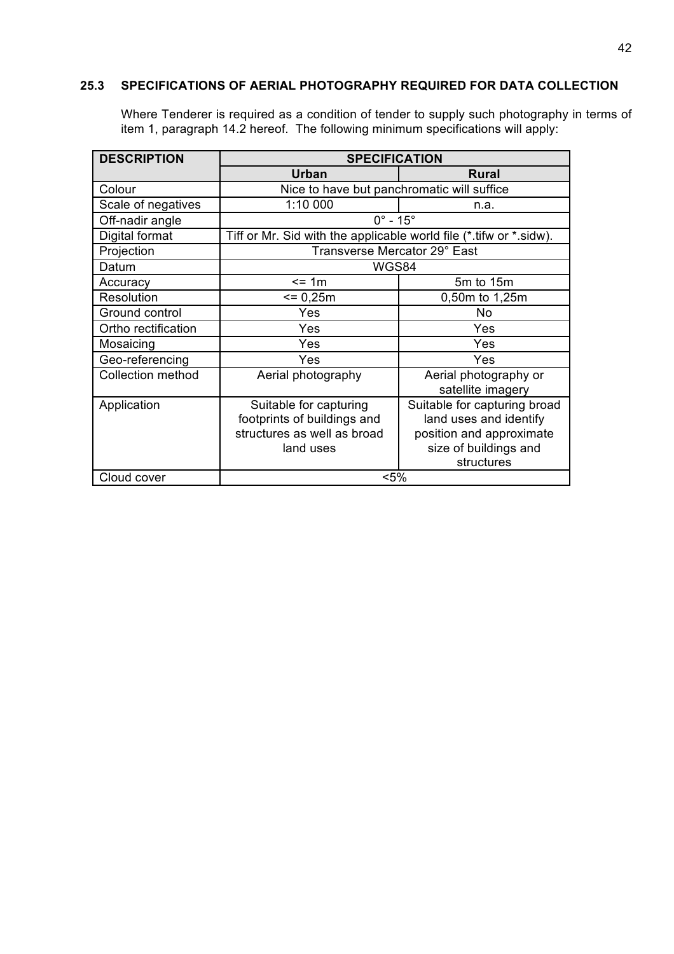### **25.3 SPECIFICATIONS OF AERIAL PHOTOGRAPHY REQUIRED FOR DATA COLLECTION**

Where Tenderer is required as a condition of tender to supply such photography in terms of item 1, paragraph 14.2 hereof. The following minimum specifications will apply:

| <b>DESCRIPTION</b>       | <b>SPECIFICATION</b>                                                                              |                                                                                                                           |  |  |
|--------------------------|---------------------------------------------------------------------------------------------------|---------------------------------------------------------------------------------------------------------------------------|--|--|
|                          | Urban                                                                                             | <b>Rural</b>                                                                                                              |  |  |
| Colour                   | Nice to have but panchromatic will suffice                                                        |                                                                                                                           |  |  |
| Scale of negatives       | 1:10 000                                                                                          | n.a.                                                                                                                      |  |  |
| Off-nadir angle          | $0^\circ$ - 15 $^\circ$                                                                           |                                                                                                                           |  |  |
| Digital format           | Tiff or Mr. Sid with the applicable world file (*.tifw or *.sidw).                                |                                                                                                                           |  |  |
| Projection               | Transverse Mercator 29° East                                                                      |                                                                                                                           |  |  |
| Datum                    | WGS84                                                                                             |                                                                                                                           |  |  |
| Accuracy                 | $= 1m$                                                                                            | 5m to 15m                                                                                                                 |  |  |
| Resolution               | $= 0,25m$                                                                                         | 0,50m to 1,25m                                                                                                            |  |  |
| Ground control           | Yes                                                                                               | No                                                                                                                        |  |  |
| Ortho rectification      | Yes                                                                                               | Yes                                                                                                                       |  |  |
| Mosaicing                | Yes                                                                                               | Yes                                                                                                                       |  |  |
| Geo-referencing          | Yes                                                                                               | Yes                                                                                                                       |  |  |
| <b>Collection method</b> | Aerial photography                                                                                | Aerial photography or<br>satellite imagery                                                                                |  |  |
| Application              | Suitable for capturing<br>footprints of buildings and<br>structures as well as broad<br>land uses | Suitable for capturing broad<br>land uses and identify<br>position and approximate<br>size of buildings and<br>structures |  |  |
| Cloud cover              | $< 5\%$                                                                                           |                                                                                                                           |  |  |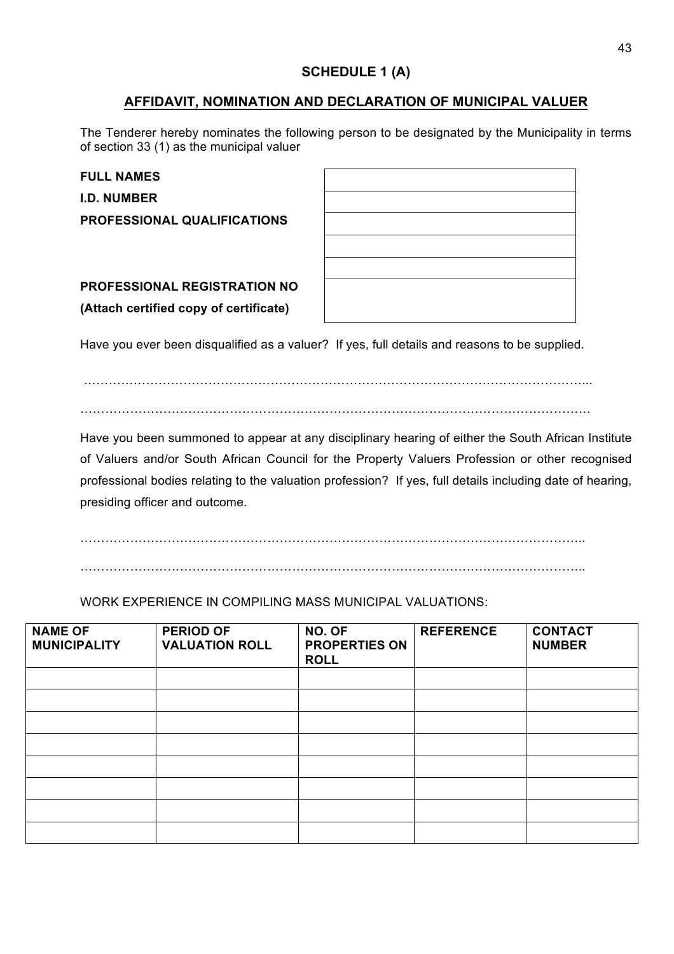# **SCHEDULE 1 (A)**

# **AFFIDAVIT, NOMINATION AND DECLARATION OF MUNICIPAL VALUER**

The Tenderer hereby nominates the following person to be designated by the Municipality in terms of section 33 (1) as the municipal valuer

**FULL NAMES I.D. NUMBER**

**PROFESSIONAL QUALIFICATIONS**

**PROFESSIONAL REGISTRATION NO (Attach certified copy of certificate)**

| <u> 1988 - Ann an Dùbhlachd ann an Dùbhlachd ann an Dùbhlachd ann an Dùbhlachd ann an Dùbhlachd ann an Dùbhlachd</u> |  |                                   |
|----------------------------------------------------------------------------------------------------------------------|--|-----------------------------------|
|                                                                                                                      |  |                                   |
| <u> 1988 - Ann an Dùbhlachd ann an Dùbhlachd ann an Dùbhlachd ann an Dùbhlachd ann an Dùbhlachd ann an Dùbhlachd</u> |  |                                   |
|                                                                                                                      |  | the control of the control of     |
|                                                                                                                      |  |                                   |
|                                                                                                                      |  | and the control of the control of |
|                                                                                                                      |  |                                   |
|                                                                                                                      |  |                                   |
|                                                                                                                      |  |                                   |

Have you ever been disqualified as a valuer? If yes, full details and reasons to be supplied.

…………………………………………………………………………………………………………... ……………………………………………………………………………………………………………

Have you been summoned to appear at any disciplinary hearing of either the South African Institute of Valuers and/or South African Council for the Property Valuers Profession or other recognised professional bodies relating to the valuation profession? If yes, full details including date of hearing, presiding officer and outcome.

 $\mathcal{L}^{\text{max}}_{\text{max}}$  $\mathcal{L}^{\text{max}}_{\text{max}}$ 

WORK EXPERIENCE IN COMPILING MASS MUNICIPAL VALUATIONS:

| <b>NAME OF</b><br><b>MUNICIPALITY</b> | <b>PERIOD OF</b><br><b>VALUATION ROLL</b> | NO. OF<br><b>PROPERTIES ON</b><br><b>ROLL</b> | <b>REFERENCE</b> | <b>CONTACT</b><br><b>NUMBER</b> |
|---------------------------------------|-------------------------------------------|-----------------------------------------------|------------------|---------------------------------|
|                                       |                                           |                                               |                  |                                 |
|                                       |                                           |                                               |                  |                                 |
|                                       |                                           |                                               |                  |                                 |
|                                       |                                           |                                               |                  |                                 |
|                                       |                                           |                                               |                  |                                 |
|                                       |                                           |                                               |                  |                                 |
|                                       |                                           |                                               |                  |                                 |
|                                       |                                           |                                               |                  |                                 |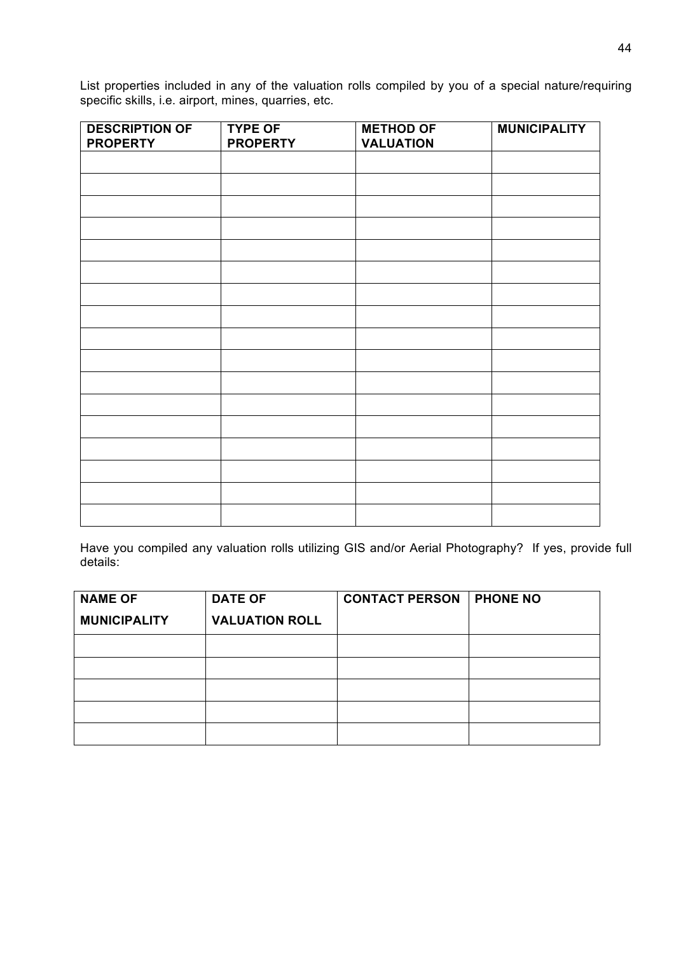List properties included in any of the valuation rolls compiled by you of a special nature/requiring specific skills, i.e. airport, mines, quarries, etc.

| <b>DESCRIPTION OF</b><br><b>PROPERTY</b> | <b>TYPE OF</b><br><b>PROPERTY</b> | <b>METHOD OF</b><br><b>VALUATION</b> | <b>MUNICIPALITY</b> |
|------------------------------------------|-----------------------------------|--------------------------------------|---------------------|
|                                          |                                   |                                      |                     |
|                                          |                                   |                                      |                     |
|                                          |                                   |                                      |                     |
|                                          |                                   |                                      |                     |
|                                          |                                   |                                      |                     |
|                                          |                                   |                                      |                     |
|                                          |                                   |                                      |                     |
|                                          |                                   |                                      |                     |
|                                          |                                   |                                      |                     |
|                                          |                                   |                                      |                     |
|                                          |                                   |                                      |                     |
|                                          |                                   |                                      |                     |
|                                          |                                   |                                      |                     |
|                                          |                                   |                                      |                     |
|                                          |                                   |                                      |                     |
|                                          |                                   |                                      |                     |
|                                          |                                   |                                      |                     |
|                                          |                                   |                                      |                     |

Have you compiled any valuation rolls utilizing GIS and/or Aerial Photography? If yes, provide full details:

| <b>NAME OF</b>      | <b>DATE OF</b>        | <b>CONTACT PERSON</b> | <b>PHONE NO</b> |
|---------------------|-----------------------|-----------------------|-----------------|
| <b>MUNICIPALITY</b> | <b>VALUATION ROLL</b> |                       |                 |
|                     |                       |                       |                 |
|                     |                       |                       |                 |
|                     |                       |                       |                 |
|                     |                       |                       |                 |
|                     |                       |                       |                 |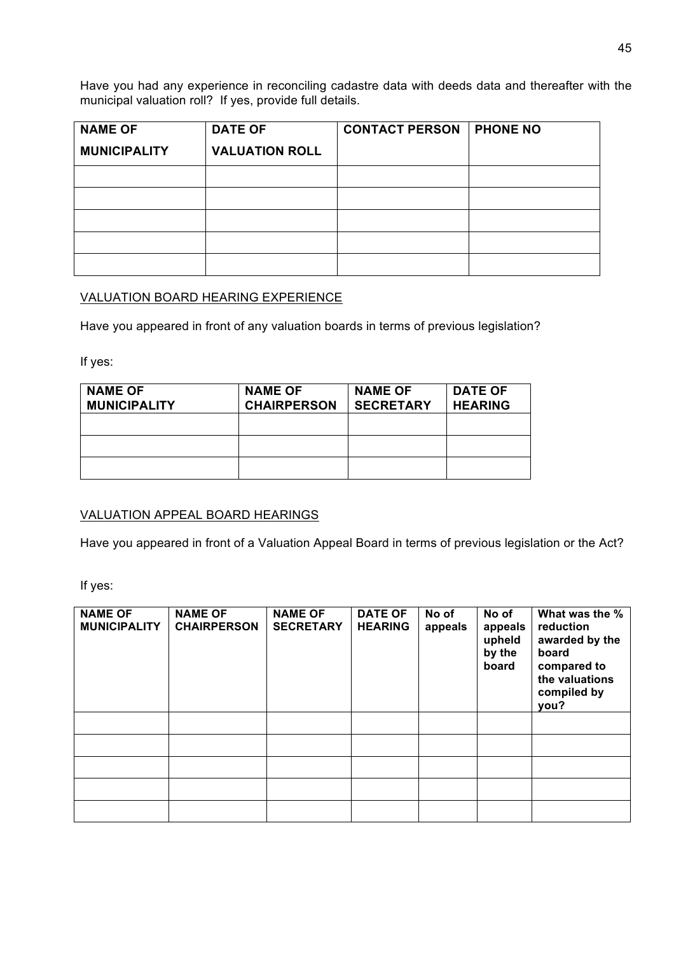Have you had any experience in reconciling cadastre data with deeds data and thereafter with the municipal valuation roll? If yes, provide full details.

| <b>NAME OF</b>      | <b>DATE OF</b>        | <b>CONTACT PERSON</b> | <b>PHONE NO</b> |
|---------------------|-----------------------|-----------------------|-----------------|
| <b>MUNICIPALITY</b> | <b>VALUATION ROLL</b> |                       |                 |
|                     |                       |                       |                 |
|                     |                       |                       |                 |
|                     |                       |                       |                 |
|                     |                       |                       |                 |
|                     |                       |                       |                 |

## VALUATION BOARD HEARING EXPERIENCE

Have you appeared in front of any valuation boards in terms of previous legislation?

If yes:

| <b>NAME OF</b><br><b>MUNICIPALITY</b> | <b>NAME OF</b><br><b>CHAIRPERSON</b> | <b>NAME OF</b><br><b>SECRETARY</b> | <b>DATE OF</b><br><b>HEARING</b> |
|---------------------------------------|--------------------------------------|------------------------------------|----------------------------------|
|                                       |                                      |                                    |                                  |
|                                       |                                      |                                    |                                  |
|                                       |                                      |                                    |                                  |

### VALUATION APPEAL BOARD HEARINGS

Have you appeared in front of a Valuation Appeal Board in terms of previous legislation or the Act?

If yes:

| <b>NAME OF</b><br><b>MUNICIPALITY</b> | <b>NAME OF</b><br><b>CHAIRPERSON</b> | <b>NAME OF</b><br><b>SECRETARY</b> | <b>DATE OF</b><br><b>HEARING</b> | No of<br>appeals | No of<br>appeals<br>upheld<br>by the<br>board | What was the %<br>reduction<br>awarded by the<br>board<br>compared to<br>the valuations<br>compiled by<br>you? |
|---------------------------------------|--------------------------------------|------------------------------------|----------------------------------|------------------|-----------------------------------------------|----------------------------------------------------------------------------------------------------------------|
|                                       |                                      |                                    |                                  |                  |                                               |                                                                                                                |
|                                       |                                      |                                    |                                  |                  |                                               |                                                                                                                |
|                                       |                                      |                                    |                                  |                  |                                               |                                                                                                                |
|                                       |                                      |                                    |                                  |                  |                                               |                                                                                                                |
|                                       |                                      |                                    |                                  |                  |                                               |                                                                                                                |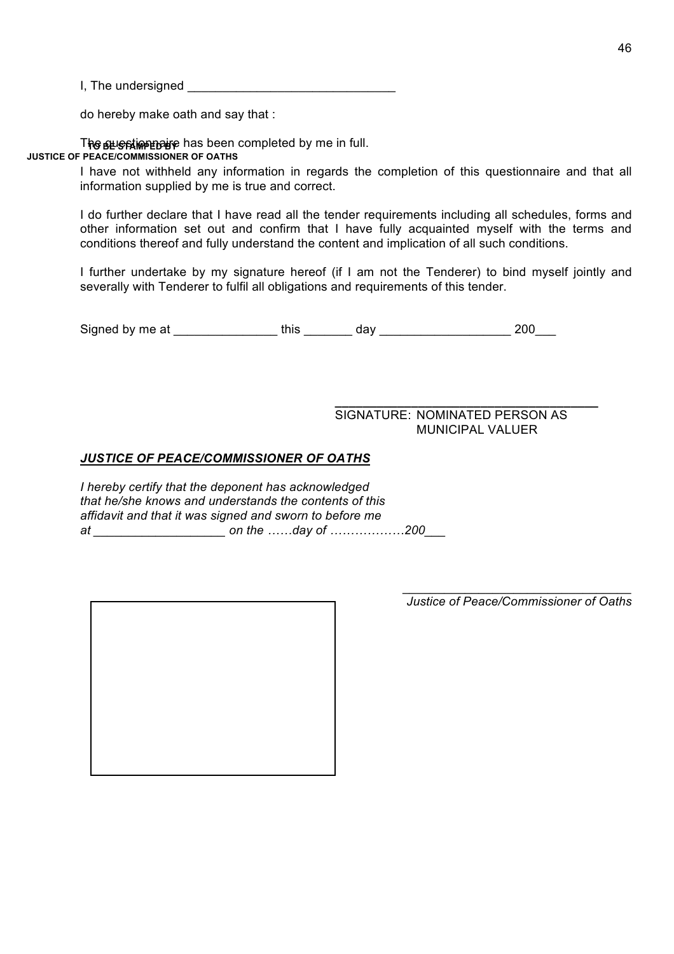I, The undersigned \_\_\_\_\_\_\_\_\_\_\_\_\_\_\_\_\_\_\_\_\_\_\_\_\_\_\_\_\_\_

do hereby make oath and say that :

The sus stime paye has been completed by me in full. **JUSTICE OF PEACE/COMMISSIONER OF OATHS**

> I have not withheld any information in regards the completion of this questionnaire and that all information supplied by me is true and correct.

> I do further declare that I have read all the tender requirements including all schedules, forms and other information set out and confirm that I have fully acquainted myself with the terms and conditions thereof and fully understand the content and implication of all such conditions.

> I further undertake by my signature hereof (if I am not the Tenderer) to bind myself jointly and severally with Tenderer to fulfil all obligations and requirements of this tender.

Signed by me at this day day  $\frac{1}{200}$ 

**\_\_\_\_\_\_\_\_\_\_\_\_\_\_\_\_\_\_\_\_\_\_\_\_\_\_\_\_\_\_\_\_\_\_\_\_\_\_** SIGNATURE: NOMINATED PERSON AS MUNICIPAL VALUER

#### *JUSTICE OF PEACE/COMMISSIONER OF OATHS*

*I hereby certify that the deponent has acknowledged that he/she knows and understands the contents of this affidavit and that it was signed and sworn to before me at \_\_\_\_\_\_\_\_\_\_\_\_\_\_\_\_\_\_\_ on the ……day of ………………200\_\_\_*

*Justice of Peace/Commissioner of Oaths*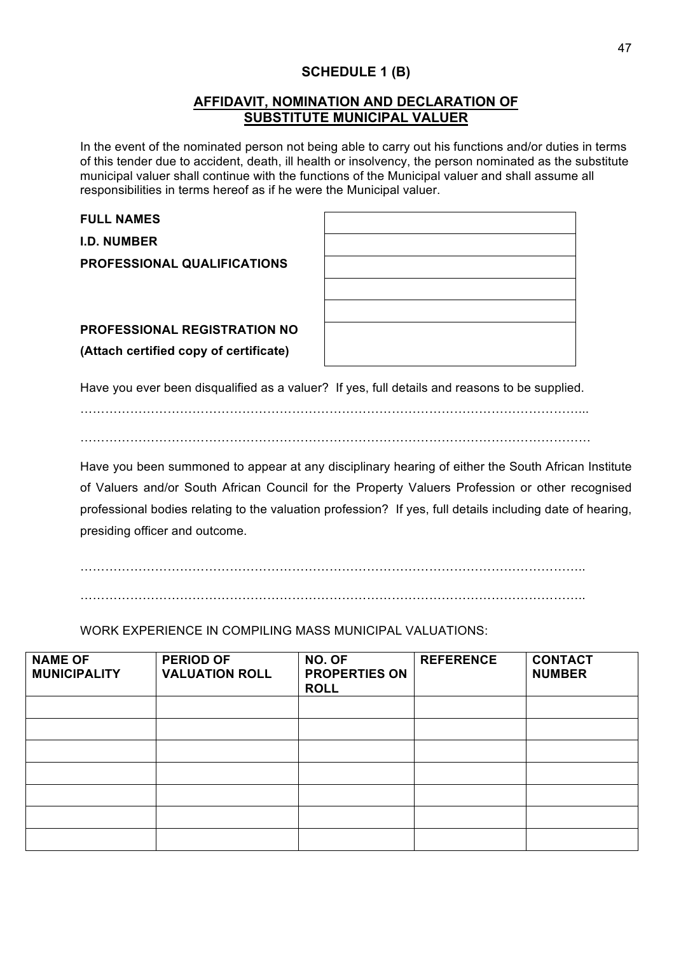# **SCHEDULE 1 (B)**

## **AFFIDAVIT, NOMINATION AND DECLARATION OF SUBSTITUTE MUNICIPAL VALUER**

In the event of the nominated person not being able to carry out his functions and/or duties in terms of this tender due to accident, death, ill health or insolvency, the person nominated as the substitute municipal valuer shall continue with the functions of the Municipal valuer and shall assume all responsibilities in terms hereof as if he were the Municipal valuer.

| <b>FULL NAMES</b>                      |                                                                                               |
|----------------------------------------|-----------------------------------------------------------------------------------------------|
| <b>I.D. NUMBER</b>                     |                                                                                               |
| <b>PROFESSIONAL QUALIFICATIONS</b>     |                                                                                               |
|                                        |                                                                                               |
|                                        |                                                                                               |
| PROFESSIONAL REGISTRATION NO           |                                                                                               |
| (Attach certified copy of certificate) |                                                                                               |
|                                        | Have you ever been disqualified as a valuer? If yes, full details and reasons to be supplied. |
|                                        |                                                                                               |

……………………………………………………………………………………………………………

Have you been summoned to appear at any disciplinary hearing of either the South African Institute of Valuers and/or South African Council for the Property Valuers Profession or other recognised professional bodies relating to the valuation profession? If yes, full details including date of hearing, presiding officer and outcome.

…………………………………………………………………………………………………………..

WORK EXPERIENCE IN COMPILING MASS MUNICIPAL VALUATIONS:

| <b>NAME OF</b><br><b>MUNICIPALITY</b> | <b>PERIOD OF</b><br><b>VALUATION ROLL</b> | NO. OF<br><b>PROPERTIES ON</b><br><b>ROLL</b> | <b>REFERENCE</b> | <b>CONTACT</b><br><b>NUMBER</b> |
|---------------------------------------|-------------------------------------------|-----------------------------------------------|------------------|---------------------------------|
|                                       |                                           |                                               |                  |                                 |
|                                       |                                           |                                               |                  |                                 |
|                                       |                                           |                                               |                  |                                 |
|                                       |                                           |                                               |                  |                                 |
|                                       |                                           |                                               |                  |                                 |
|                                       |                                           |                                               |                  |                                 |
|                                       |                                           |                                               |                  |                                 |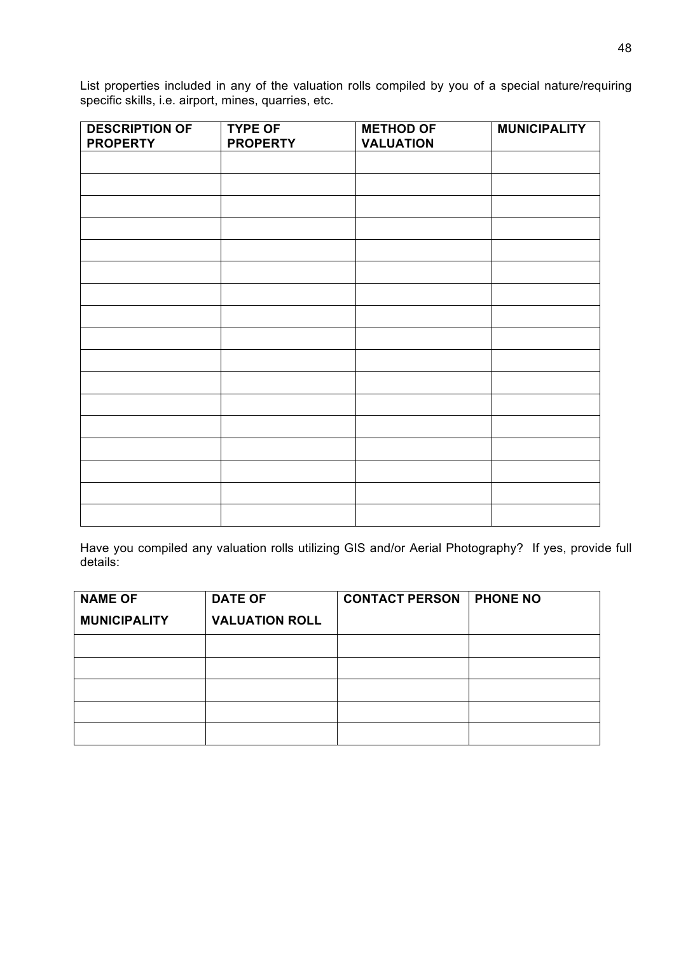List properties included in any of the valuation rolls compiled by you of a special nature/requiring specific skills, i.e. airport, mines, quarries, etc.

| <b>DESCRIPTION OF</b> | <b>TYPE OF</b>  | <b>METHOD OF</b> | <b>MUNICIPALITY</b> |
|-----------------------|-----------------|------------------|---------------------|
| <b>PROPERTY</b>       | <b>PROPERTY</b> | <b>VALUATION</b> |                     |
|                       |                 |                  |                     |
|                       |                 |                  |                     |
|                       |                 |                  |                     |
|                       |                 |                  |                     |
|                       |                 |                  |                     |
|                       |                 |                  |                     |
|                       |                 |                  |                     |
|                       |                 |                  |                     |
|                       |                 |                  |                     |
|                       |                 |                  |                     |
|                       |                 |                  |                     |
|                       |                 |                  |                     |
|                       |                 |                  |                     |
|                       |                 |                  |                     |
|                       |                 |                  |                     |
|                       |                 |                  |                     |
|                       |                 |                  |                     |

Have you compiled any valuation rolls utilizing GIS and/or Aerial Photography? If yes, provide full details:

| <b>NAME OF</b>      | <b>DATE OF</b>        | <b>CONTACT PERSON</b> | <b>PHONE NO</b> |
|---------------------|-----------------------|-----------------------|-----------------|
| <b>MUNICIPALITY</b> | <b>VALUATION ROLL</b> |                       |                 |
|                     |                       |                       |                 |
|                     |                       |                       |                 |
|                     |                       |                       |                 |
|                     |                       |                       |                 |
|                     |                       |                       |                 |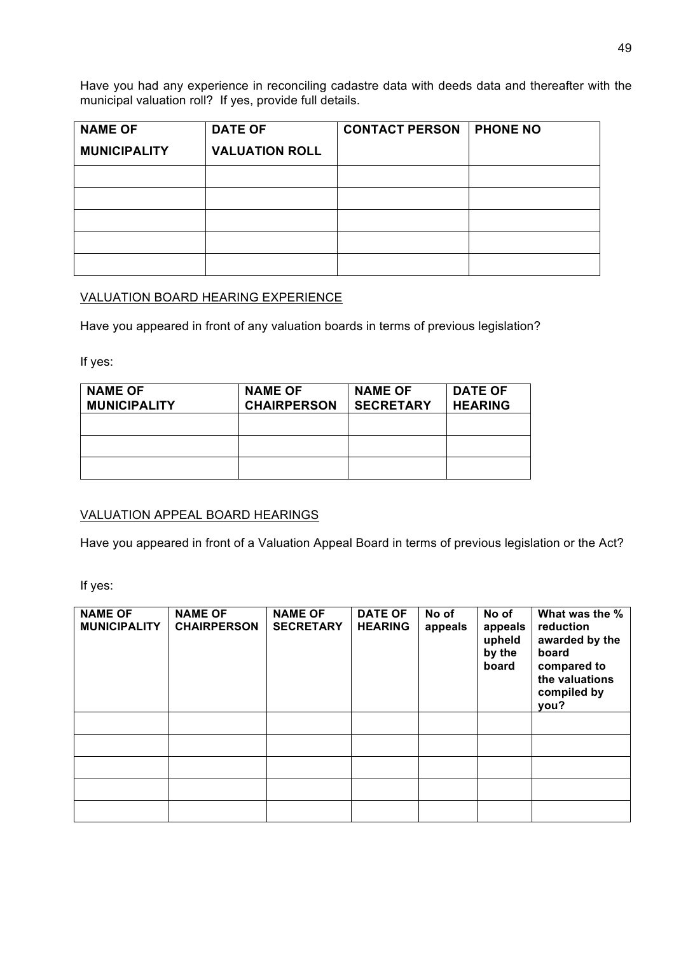Have you had any experience in reconciling cadastre data with deeds data and thereafter with the municipal valuation roll? If yes, provide full details.

| <b>NAME OF</b>      | <b>DATE OF</b>        | <b>CONTACT PERSON</b> | <b>PHONE NO</b> |
|---------------------|-----------------------|-----------------------|-----------------|
| <b>MUNICIPALITY</b> | <b>VALUATION ROLL</b> |                       |                 |
|                     |                       |                       |                 |
|                     |                       |                       |                 |
|                     |                       |                       |                 |
|                     |                       |                       |                 |
|                     |                       |                       |                 |

## VALUATION BOARD HEARING EXPERIENCE

Have you appeared in front of any valuation boards in terms of previous legislation?

If yes:

| <b>NAME OF</b><br><b>MUNICIPALITY</b> | <b>NAME OF</b><br><b>CHAIRPERSON</b> | <b>NAME OF</b><br><b>SECRETARY</b> | <b>DATE OF</b><br><b>HEARING</b> |
|---------------------------------------|--------------------------------------|------------------------------------|----------------------------------|
|                                       |                                      |                                    |                                  |
|                                       |                                      |                                    |                                  |
|                                       |                                      |                                    |                                  |

### VALUATION APPEAL BOARD HEARINGS

Have you appeared in front of a Valuation Appeal Board in terms of previous legislation or the Act?

If yes:

| <b>NAME OF</b><br><b>MUNICIPALITY</b> | <b>NAME OF</b><br><b>CHAIRPERSON</b> | <b>NAME OF</b><br><b>SECRETARY</b> | <b>DATE OF</b><br><b>HEARING</b> | No of<br>appeals | No of<br>appeals<br>upheld<br>by the<br>board | What was the %<br>reduction<br>awarded by the<br>board<br>compared to<br>the valuations<br>compiled by<br>you? |
|---------------------------------------|--------------------------------------|------------------------------------|----------------------------------|------------------|-----------------------------------------------|----------------------------------------------------------------------------------------------------------------|
|                                       |                                      |                                    |                                  |                  |                                               |                                                                                                                |
|                                       |                                      |                                    |                                  |                  |                                               |                                                                                                                |
|                                       |                                      |                                    |                                  |                  |                                               |                                                                                                                |
|                                       |                                      |                                    |                                  |                  |                                               |                                                                                                                |
|                                       |                                      |                                    |                                  |                  |                                               |                                                                                                                |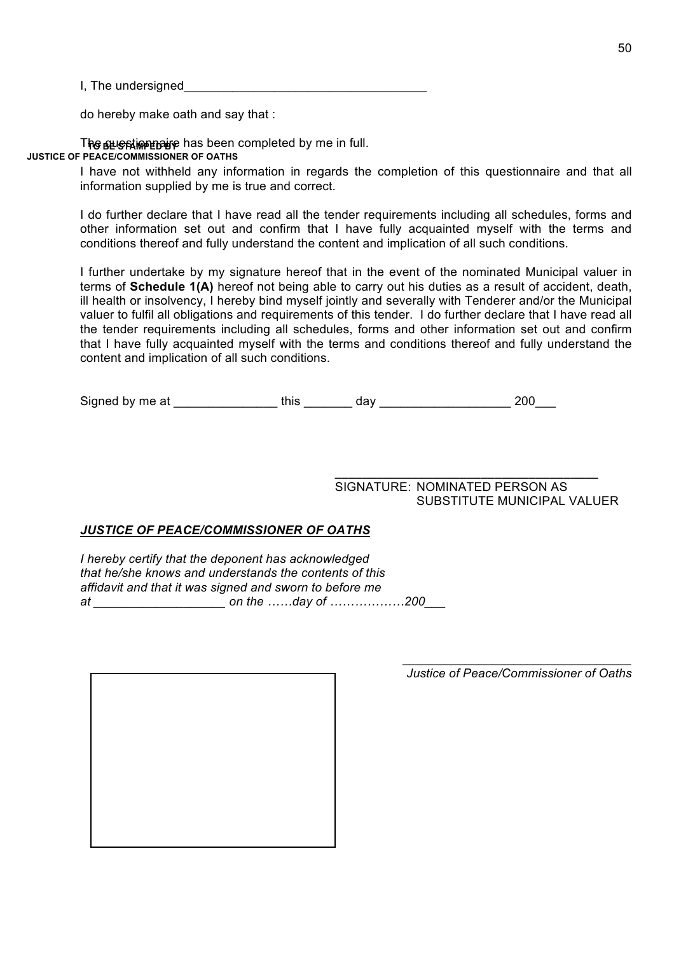I, The undersigned

do hereby make oath and say that :

The sus stime paye has been completed by me in full. **JUSTICE OF PEACE/COMMISSIONER OF OATHS**

> I have not withheld any information in regards the completion of this questionnaire and that all information supplied by me is true and correct.

> I do further declare that I have read all the tender requirements including all schedules, forms and other information set out and confirm that I have fully acquainted myself with the terms and conditions thereof and fully understand the content and implication of all such conditions.

> I further undertake by my signature hereof that in the event of the nominated Municipal valuer in terms of **Schedule 1(A)** hereof not being able to carry out his duties as a result of accident, death, ill health or insolvency, I hereby bind myself jointly and severally with Tenderer and/or the Municipal valuer to fulfil all obligations and requirements of this tender. I do further declare that I have read all the tender requirements including all schedules, forms and other information set out and confirm that I have fully acquainted myself with the terms and conditions thereof and fully understand the content and implication of all such conditions.

Signed by me at \_\_\_\_\_\_\_\_\_\_\_\_\_\_\_ this \_\_\_\_\_\_\_ day \_\_\_\_\_\_\_\_\_\_\_\_\_\_\_\_\_\_\_ 200\_\_\_

SIGNATURE: NOMINATED PERSON AS SUBSTITUTE MUNICIPAL VALUER

**\_\_\_\_\_\_\_\_\_\_\_\_\_\_\_\_\_\_\_\_\_\_\_\_\_\_\_\_\_\_\_\_\_\_\_\_\_\_**

#### *JUSTICE OF PEACE/COMMISSIONER OF OATHS*

*I hereby certify that the deponent has acknowledged that he/she knows and understands the contents of this affidavit and that it was signed and sworn to before me at \_\_\_\_\_\_\_\_\_\_\_\_\_\_\_\_\_\_\_ on the ……day of ………………200\_\_\_*

*Justice of Peace/Commissioner of Oaths*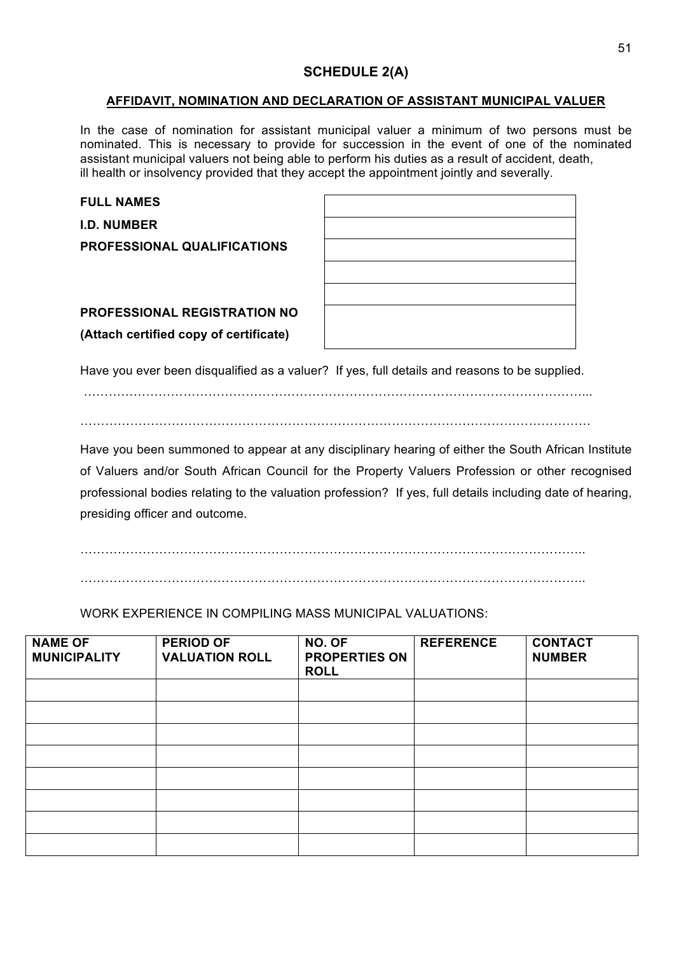# **SCHEDULE 2(A)**

#### **AFFIDAVIT, NOMINATION AND DECLARATION OF ASSISTANT MUNICIPAL VALUER**

In the case of nomination for assistant municipal valuer a minimum of two persons must be nominated. This is necessary to provide for succession in the event of one of the nominated assistant municipal valuers not being able to perform his duties as a result of accident, death, ill health or insolvency provided that they accept the appointment jointly and severally.

| <b>FULL NAMES</b>                      |  |
|----------------------------------------|--|
| <b>I.D. NUMBER</b>                     |  |
| <b>PROFESSIONAL QUALIFICATIONS</b>     |  |
|                                        |  |
|                                        |  |
| <b>PROFESSIONAL REGISTRATION NO</b>    |  |
| (Attach certified copy of certificate) |  |
|                                        |  |

Have you ever been disqualified as a valuer? If yes, full details and reasons to be supplied.

…………………………………………………………………………………………………………... . The contract of the contract of the contract of the contract of the contract of the contract of the contract of the contract of the contract of the contract of the contract of the contract of the contract of the contrac

Have you been summoned to appear at any disciplinary hearing of either the South African Institute of Valuers and/or South African Council for the Property Valuers Profession or other recognised professional bodies relating to the valuation profession? If yes, full details including date of hearing, presiding officer and outcome.

…………………………………………………………………………………………………………..

…………………………………………………………………………………………………………..

WORK EXPERIENCE IN COMPILING MASS MUNICIPAL VALUATIONS:

| <b>NAME OF</b><br><b>MUNICIPALITY</b> | <b>PERIOD OF</b><br><b>VALUATION ROLL</b> | NO. OF<br><b>PROPERTIES ON</b><br><b>ROLL</b> | <b>REFERENCE</b> | <b>CONTACT</b><br><b>NUMBER</b> |
|---------------------------------------|-------------------------------------------|-----------------------------------------------|------------------|---------------------------------|
|                                       |                                           |                                               |                  |                                 |
|                                       |                                           |                                               |                  |                                 |
|                                       |                                           |                                               |                  |                                 |
|                                       |                                           |                                               |                  |                                 |
|                                       |                                           |                                               |                  |                                 |
|                                       |                                           |                                               |                  |                                 |
|                                       |                                           |                                               |                  |                                 |
|                                       |                                           |                                               |                  |                                 |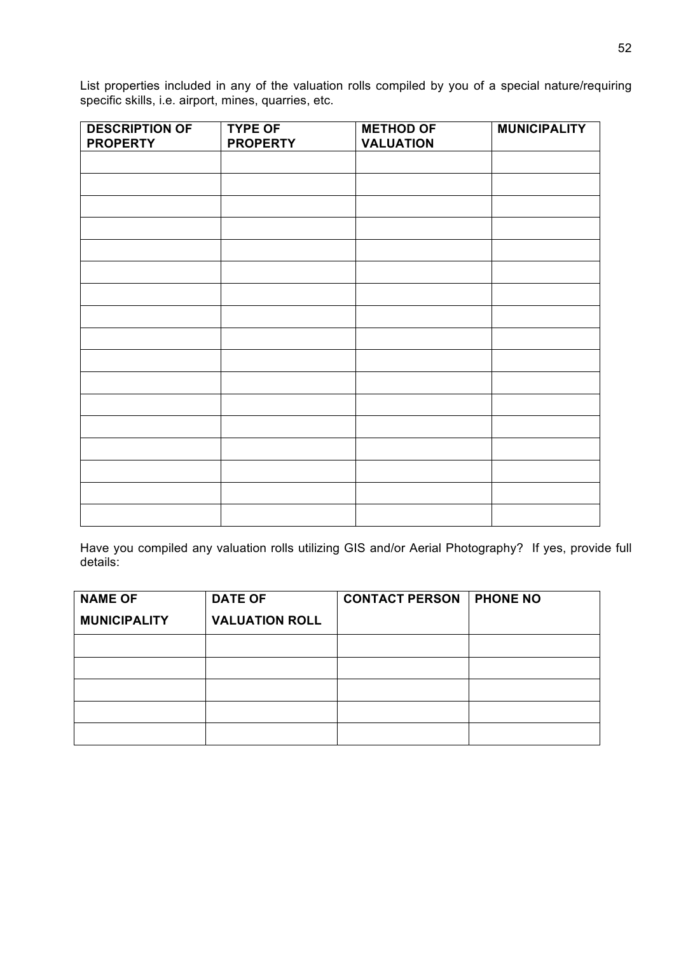List properties included in any of the valuation rolls compiled by you of a special nature/requiring specific skills, i.e. airport, mines, quarries, etc.

| <b>DESCRIPTION OF</b><br><b>PROPERTY</b> | <b>TYPE OF</b><br><b>PROPERTY</b> | <b>METHOD OF</b><br><b>VALUATION</b> | <b>MUNICIPALITY</b> |
|------------------------------------------|-----------------------------------|--------------------------------------|---------------------|
|                                          |                                   |                                      |                     |
|                                          |                                   |                                      |                     |
|                                          |                                   |                                      |                     |
|                                          |                                   |                                      |                     |
|                                          |                                   |                                      |                     |
|                                          |                                   |                                      |                     |
|                                          |                                   |                                      |                     |
|                                          |                                   |                                      |                     |
|                                          |                                   |                                      |                     |
|                                          |                                   |                                      |                     |
|                                          |                                   |                                      |                     |
|                                          |                                   |                                      |                     |
|                                          |                                   |                                      |                     |
|                                          |                                   |                                      |                     |
|                                          |                                   |                                      |                     |
|                                          |                                   |                                      |                     |
|                                          |                                   |                                      |                     |
|                                          |                                   |                                      |                     |

Have you compiled any valuation rolls utilizing GIS and/or Aerial Photography? If yes, provide full details:

| <b>NAME OF</b>      | <b>DATE OF</b>        | <b>CONTACT PERSON</b> | <b>PHONE NO</b> |
|---------------------|-----------------------|-----------------------|-----------------|
| <b>MUNICIPALITY</b> | <b>VALUATION ROLL</b> |                       |                 |
|                     |                       |                       |                 |
|                     |                       |                       |                 |
|                     |                       |                       |                 |
|                     |                       |                       |                 |
|                     |                       |                       |                 |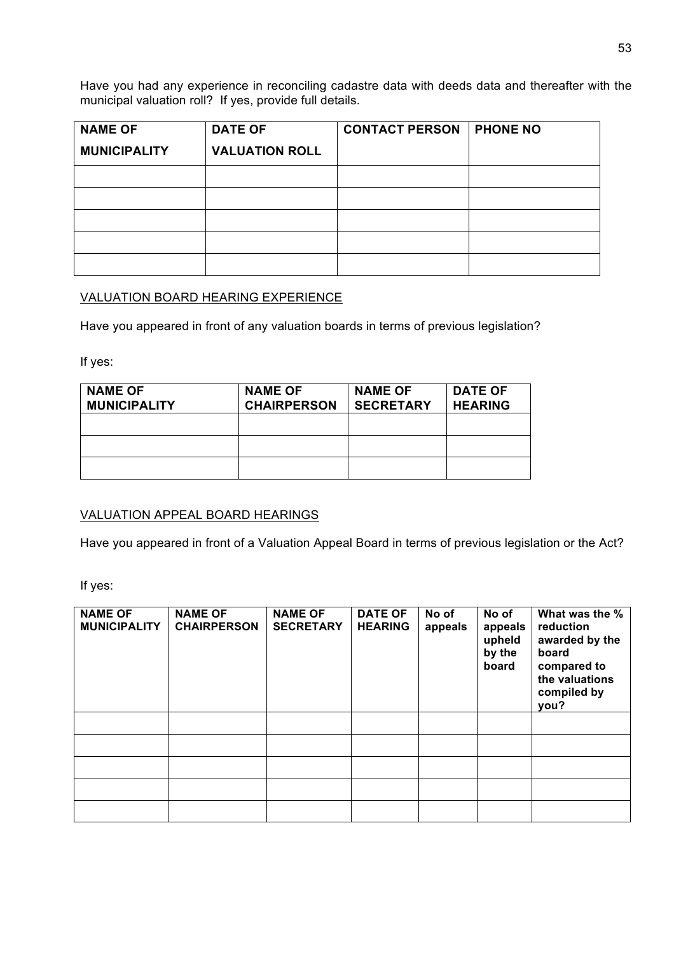Have you had any experience in reconciling cadastre data with deeds data and thereafter with the municipal valuation roll? If yes, provide full details.

| <b>NAME OF</b>      | <b>DATE OF</b>        | <b>CONTACT PERSON</b> | <b>PHONE NO</b> |
|---------------------|-----------------------|-----------------------|-----------------|
| <b>MUNICIPALITY</b> | <b>VALUATION ROLL</b> |                       |                 |
|                     |                       |                       |                 |
|                     |                       |                       |                 |
|                     |                       |                       |                 |
|                     |                       |                       |                 |
|                     |                       |                       |                 |

## VALUATION BOARD HEARING EXPERIENCE

Have you appeared in front of any valuation boards in terms of previous legislation?

If yes:

| <b>NAME OF</b><br><b>MUNICIPALITY</b> | <b>NAME OF</b><br><b>CHAIRPERSON</b> | <b>NAME OF</b><br><b>SECRETARY</b> | <b>DATE OF</b><br><b>HEARING</b> |
|---------------------------------------|--------------------------------------|------------------------------------|----------------------------------|
|                                       |                                      |                                    |                                  |
|                                       |                                      |                                    |                                  |
|                                       |                                      |                                    |                                  |

### VALUATION APPEAL BOARD HEARINGS

Have you appeared in front of a Valuation Appeal Board in terms of previous legislation or the Act?

If yes:

| <b>NAME OF</b><br><b>MUNICIPALITY</b> | <b>NAME OF</b><br><b>CHAIRPERSON</b> | <b>NAME OF</b><br><b>SECRETARY</b> | <b>DATE OF</b><br><b>HEARING</b> | No of<br>appeals | No of<br>appeals<br>upheld<br>by the<br>board | What was the %<br>reduction<br>awarded by the<br>board<br>compared to<br>the valuations<br>compiled by<br>you? |
|---------------------------------------|--------------------------------------|------------------------------------|----------------------------------|------------------|-----------------------------------------------|----------------------------------------------------------------------------------------------------------------|
|                                       |                                      |                                    |                                  |                  |                                               |                                                                                                                |
|                                       |                                      |                                    |                                  |                  |                                               |                                                                                                                |
|                                       |                                      |                                    |                                  |                  |                                               |                                                                                                                |
|                                       |                                      |                                    |                                  |                  |                                               |                                                                                                                |
|                                       |                                      |                                    |                                  |                  |                                               |                                                                                                                |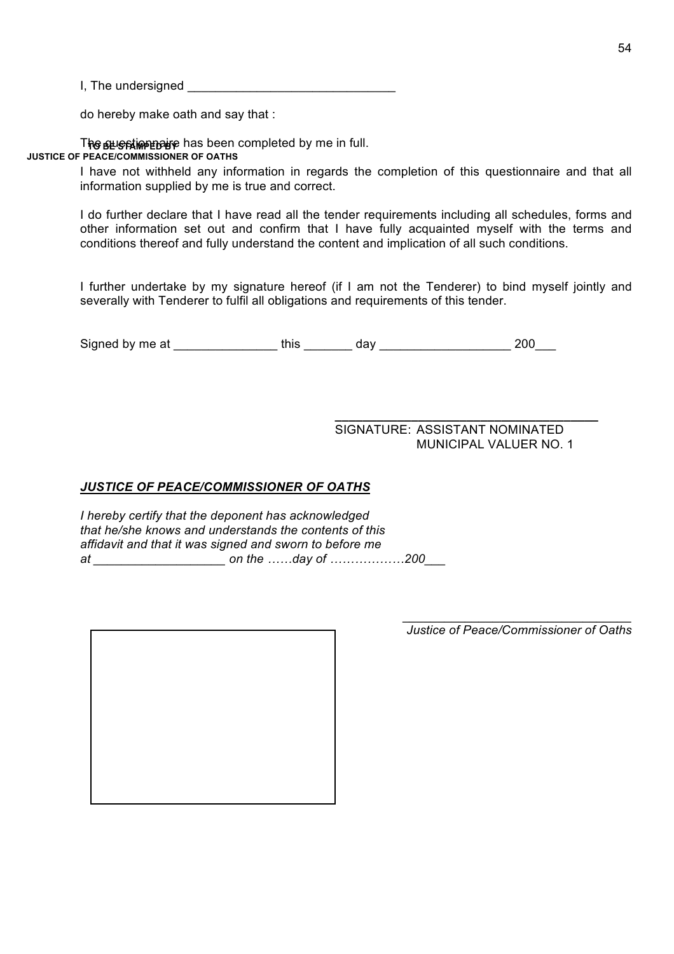I, The undersigned \_\_\_\_\_\_\_\_\_\_\_\_\_\_\_\_\_\_\_\_\_\_\_\_\_\_\_\_\_\_

do hereby make oath and say that :

The sus stime paye has been completed by me in full. **JUSTICE OF PEACE/COMMISSIONER OF OATHS**

> I have not withheld any information in regards the completion of this questionnaire and that all information supplied by me is true and correct.

> I do further declare that I have read all the tender requirements including all schedules, forms and other information set out and confirm that I have fully acquainted myself with the terms and conditions thereof and fully understand the content and implication of all such conditions.

> I further undertake by my signature hereof (if I am not the Tenderer) to bind myself jointly and severally with Tenderer to fulfil all obligations and requirements of this tender.

Signed by me at \_\_\_\_\_\_\_\_\_\_\_\_\_\_\_ this \_\_\_\_\_\_\_ day \_\_\_\_\_\_\_\_\_\_\_\_\_\_\_\_\_\_\_ 200\_\_\_

SIGNATURE: ASSISTANT NOMINATED MUNICIPAL VALUER NO. 1

**\_\_\_\_\_\_\_\_\_\_\_\_\_\_\_\_\_\_\_\_\_\_\_\_\_\_\_\_\_\_\_\_\_\_\_\_\_\_**

### *JUSTICE OF PEACE/COMMISSIONER OF OATHS*

*I hereby certify that the deponent has acknowledged that he/she knows and understands the contents of this affidavit and that it was signed and sworn to before me at \_\_\_\_\_\_\_\_\_\_\_\_\_\_\_\_\_\_\_ on the ……day of ………………200\_\_\_*

*\_\_\_\_\_\_\_\_\_\_\_\_\_\_\_\_\_\_\_\_\_\_\_\_\_\_\_\_\_\_\_\_\_ Justice of Peace/Commissioner of Oaths*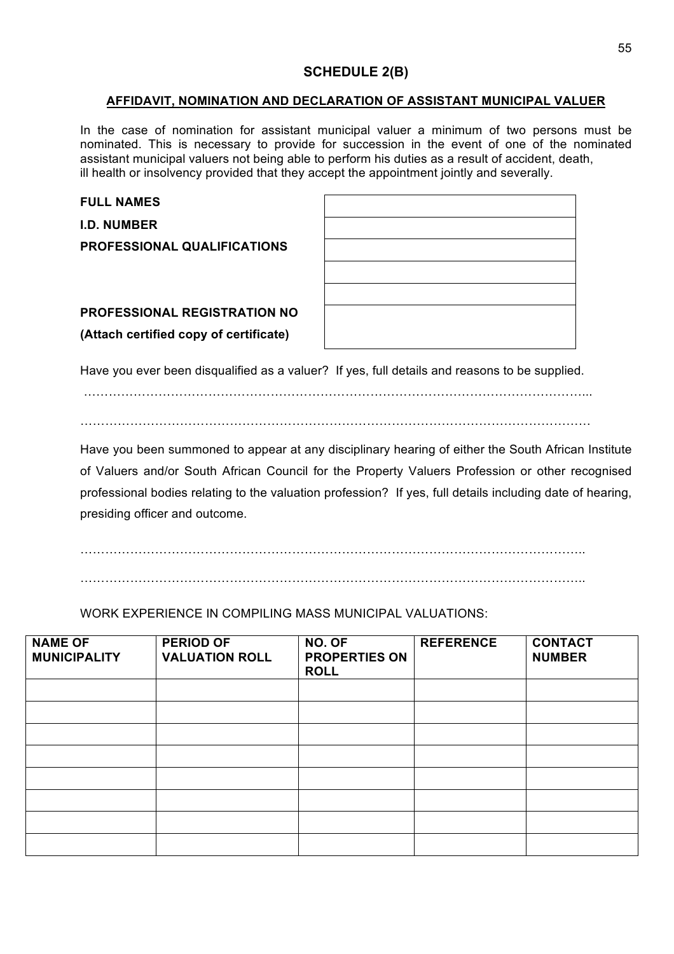# **SCHEDULE 2(B)**

#### **AFFIDAVIT, NOMINATION AND DECLARATION OF ASSISTANT MUNICIPAL VALUER**

In the case of nomination for assistant municipal valuer a minimum of two persons must be nominated. This is necessary to provide for succession in the event of one of the nominated assistant municipal valuers not being able to perform his duties as a result of accident, death, ill health or insolvency provided that they accept the appointment jointly and severally.

| <b>FULL NAMES</b>                      |  |
|----------------------------------------|--|
| <b>I.D. NUMBER</b>                     |  |
| <b>PROFESSIONAL QUALIFICATIONS</b>     |  |
|                                        |  |
|                                        |  |
| <b>PROFESSIONAL REGISTRATION NO</b>    |  |
| (Attach certified copy of certificate) |  |
|                                        |  |

Have you ever been disqualified as a valuer? If yes, full details and reasons to be supplied.

…………………………………………………………………………………………………………... . The contract of the contract of the contract of the contract of the contract of the contract of the contract of the contract of the contract of the contract of the contract of the contract of the contract of the contrac

Have you been summoned to appear at any disciplinary hearing of either the South African Institute of Valuers and/or South African Council for the Property Valuers Profession or other recognised professional bodies relating to the valuation profession? If yes, full details including date of hearing, presiding officer and outcome.

…………………………………………………………………………………………………………..

…………………………………………………………………………………………………………..

WORK EXPERIENCE IN COMPILING MASS MUNICIPAL VALUATIONS:

| <b>NAME OF</b><br><b>MUNICIPALITY</b> | <b>PERIOD OF</b><br><b>VALUATION ROLL</b> | NO. OF<br><b>PROPERTIES ON</b><br><b>ROLL</b> | <b>REFERENCE</b> | <b>CONTACT</b><br><b>NUMBER</b> |
|---------------------------------------|-------------------------------------------|-----------------------------------------------|------------------|---------------------------------|
|                                       |                                           |                                               |                  |                                 |
|                                       |                                           |                                               |                  |                                 |
|                                       |                                           |                                               |                  |                                 |
|                                       |                                           |                                               |                  |                                 |
|                                       |                                           |                                               |                  |                                 |
|                                       |                                           |                                               |                  |                                 |
|                                       |                                           |                                               |                  |                                 |
|                                       |                                           |                                               |                  |                                 |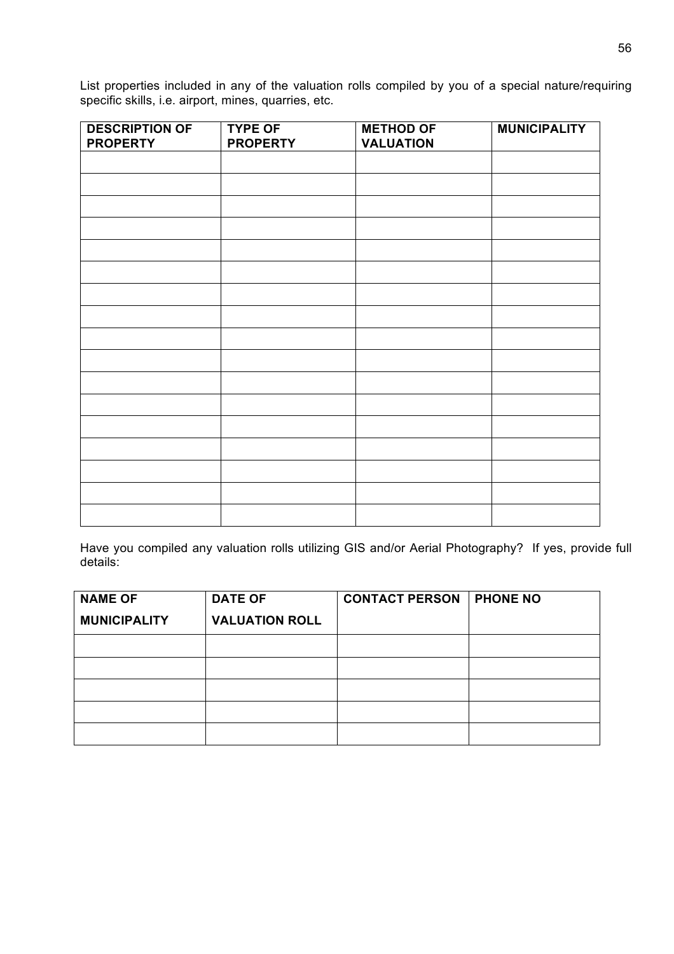List properties included in any of the valuation rolls compiled by you of a special nature/requiring specific skills, i.e. airport, mines, quarries, etc.

| <b>DESCRIPTION OF</b> | <b>TYPE OF</b>  | <b>METHOD OF</b> | <b>MUNICIPALITY</b> |
|-----------------------|-----------------|------------------|---------------------|
| <b>PROPERTY</b>       | <b>PROPERTY</b> | <b>VALUATION</b> |                     |
|                       |                 |                  |                     |
|                       |                 |                  |                     |
|                       |                 |                  |                     |
|                       |                 |                  |                     |
|                       |                 |                  |                     |
|                       |                 |                  |                     |
|                       |                 |                  |                     |
|                       |                 |                  |                     |
|                       |                 |                  |                     |
|                       |                 |                  |                     |
|                       |                 |                  |                     |
|                       |                 |                  |                     |
|                       |                 |                  |                     |
|                       |                 |                  |                     |
|                       |                 |                  |                     |
|                       |                 |                  |                     |
|                       |                 |                  |                     |

Have you compiled any valuation rolls utilizing GIS and/or Aerial Photography? If yes, provide full details:

| <b>NAME OF</b>      | <b>DATE OF</b>        | <b>CONTACT PERSON</b> | <b>PHONE NO</b> |
|---------------------|-----------------------|-----------------------|-----------------|
| <b>MUNICIPALITY</b> | <b>VALUATION ROLL</b> |                       |                 |
|                     |                       |                       |                 |
|                     |                       |                       |                 |
|                     |                       |                       |                 |
|                     |                       |                       |                 |
|                     |                       |                       |                 |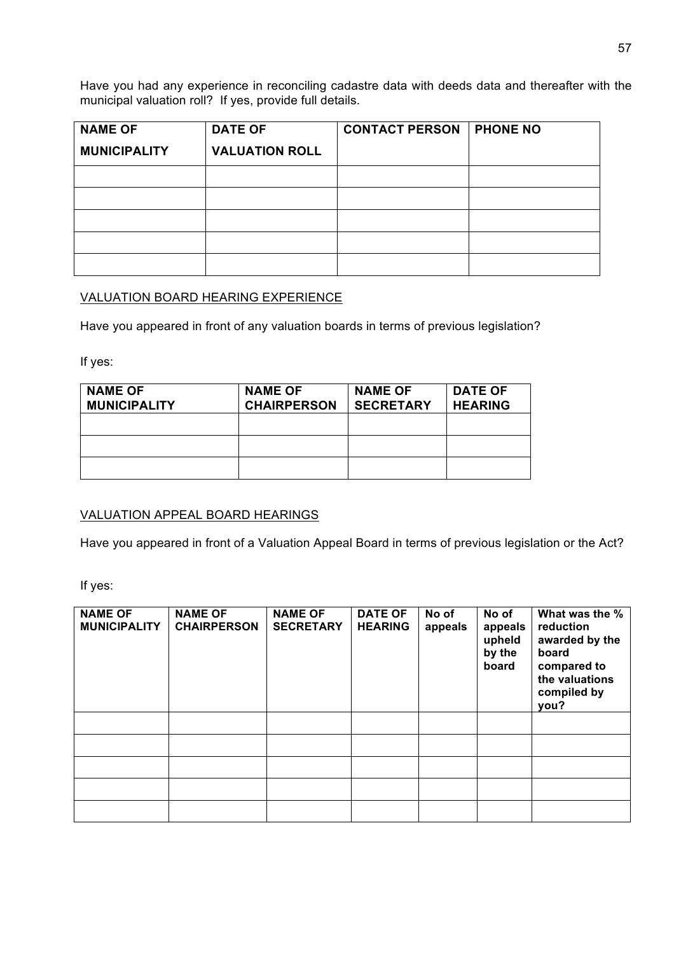Have you had any experience in reconciling cadastre data with deeds data and thereafter with the municipal valuation roll? If yes, provide full details.

| <b>NAME OF</b>      | <b>DATE OF</b>        | <b>CONTACT PERSON</b> | <b>PHONE NO</b> |
|---------------------|-----------------------|-----------------------|-----------------|
| <b>MUNICIPALITY</b> | <b>VALUATION ROLL</b> |                       |                 |
|                     |                       |                       |                 |
|                     |                       |                       |                 |
|                     |                       |                       |                 |
|                     |                       |                       |                 |
|                     |                       |                       |                 |

## VALUATION BOARD HEARING EXPERIENCE

Have you appeared in front of any valuation boards in terms of previous legislation?

If yes:

| <b>NAME OF</b><br><b>MUNICIPALITY</b> | <b>NAME OF</b><br><b>CHAIRPERSON</b> | <b>NAME OF</b><br><b>SECRETARY</b> | <b>DATE OF</b><br><b>HEARING</b> |
|---------------------------------------|--------------------------------------|------------------------------------|----------------------------------|
|                                       |                                      |                                    |                                  |
|                                       |                                      |                                    |                                  |
|                                       |                                      |                                    |                                  |

### VALUATION APPEAL BOARD HEARINGS

Have you appeared in front of a Valuation Appeal Board in terms of previous legislation or the Act?

If yes:

| <b>NAME OF</b><br><b>MUNICIPALITY</b> | <b>NAME OF</b><br><b>CHAIRPERSON</b> | <b>NAME OF</b><br><b>SECRETARY</b> | <b>DATE OF</b><br><b>HEARING</b> | No of<br>appeals | No of<br>appeals<br>upheld<br>by the<br>board | What was the %<br>reduction<br>awarded by the<br>board<br>compared to<br>the valuations<br>compiled by<br>you? |
|---------------------------------------|--------------------------------------|------------------------------------|----------------------------------|------------------|-----------------------------------------------|----------------------------------------------------------------------------------------------------------------|
|                                       |                                      |                                    |                                  |                  |                                               |                                                                                                                |
|                                       |                                      |                                    |                                  |                  |                                               |                                                                                                                |
|                                       |                                      |                                    |                                  |                  |                                               |                                                                                                                |
|                                       |                                      |                                    |                                  |                  |                                               |                                                                                                                |
|                                       |                                      |                                    |                                  |                  |                                               |                                                                                                                |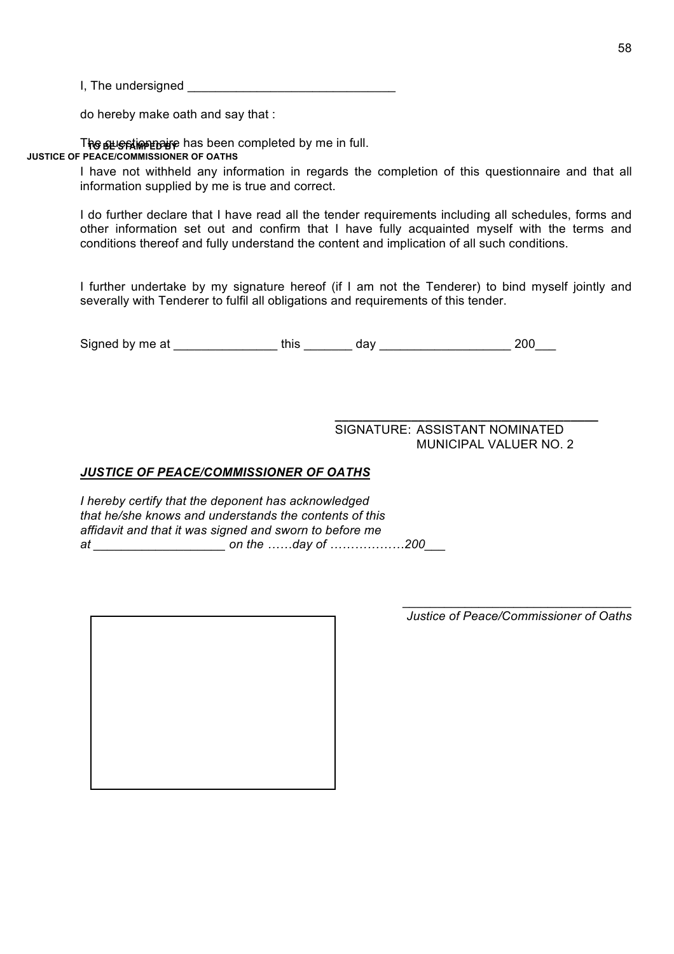$I,$  The undersigned  $\blacksquare$ 

do hereby make oath and say that :

The sus stime paye has been completed by me in full. **JUSTICE OF PEACE/COMMISSIONER OF OATHS**

> I have not withheld any information in regards the completion of this questionnaire and that all information supplied by me is true and correct.

> I do further declare that I have read all the tender requirements including all schedules, forms and other information set out and confirm that I have fully acquainted myself with the terms and conditions thereof and fully understand the content and implication of all such conditions.

> I further undertake by my signature hereof (if I am not the Tenderer) to bind myself jointly and severally with Tenderer to fulfil all obligations and requirements of this tender.

Signed by me at \_\_\_\_\_\_\_\_\_\_\_\_\_\_\_ this \_\_\_\_\_\_\_ day \_\_\_\_\_\_\_\_\_\_\_\_\_\_\_\_\_\_\_ 200\_\_\_

**\_\_\_\_\_\_\_\_\_\_\_\_\_\_\_\_\_\_\_\_\_\_\_\_\_\_\_\_\_\_\_\_\_\_\_\_\_\_** SIGNATURE: ASSISTANT NOMINATED MUNICIPAL VALUER NO. 2

## *JUSTICE OF PEACE/COMMISSIONER OF OATHS*

*I hereby certify that the deponent has acknowledged that he/she knows and understands the contents of this affidavit and that it was signed and sworn to before me at \_\_\_\_\_\_\_\_\_\_\_\_\_\_\_\_\_\_\_ on the ……day of ………………200\_\_\_*

*\_\_\_\_\_\_\_\_\_\_\_\_\_\_\_\_\_\_\_\_\_\_\_\_\_\_\_\_\_\_\_\_\_ Justice of Peace/Commissioner of Oaths*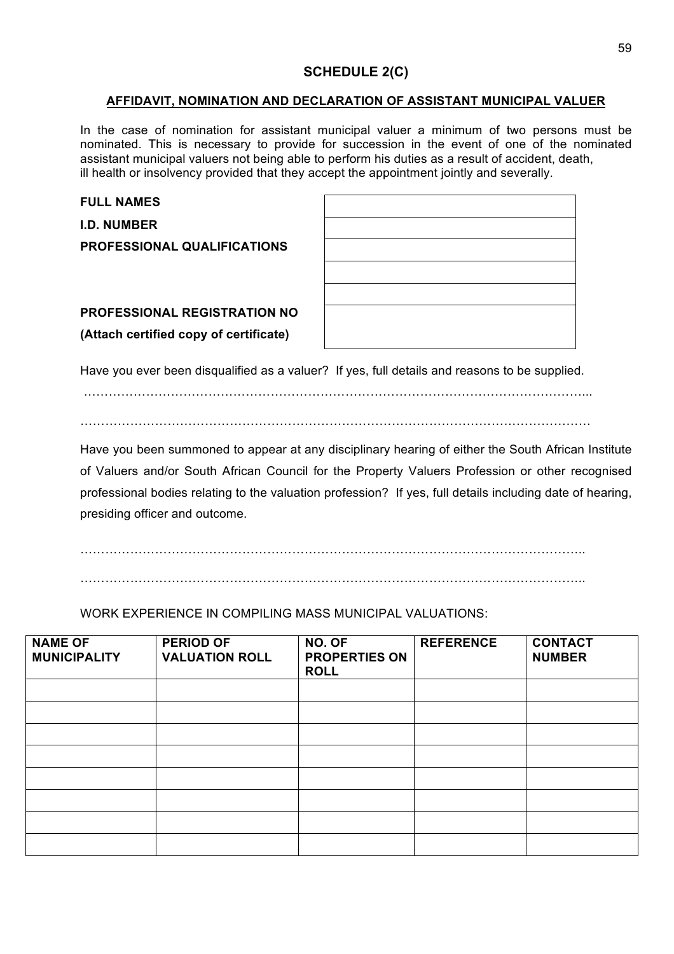# **SCHEDULE 2(C)**

#### **AFFIDAVIT, NOMINATION AND DECLARATION OF ASSISTANT MUNICIPAL VALUER**

In the case of nomination for assistant municipal valuer a minimum of two persons must be nominated. This is necessary to provide for succession in the event of one of the nominated assistant municipal valuers not being able to perform his duties as a result of accident, death, ill health or insolvency provided that they accept the appointment jointly and severally.

| <b>FULL NAMES</b>                      |  |
|----------------------------------------|--|
| <b>I.D. NUMBER</b>                     |  |
| <b>PROFESSIONAL QUALIFICATIONS</b>     |  |
|                                        |  |
|                                        |  |
| <b>PROFESSIONAL REGISTRATION NO</b>    |  |
| (Attach certified copy of certificate) |  |
|                                        |  |

Have you ever been disqualified as a valuer? If yes, full details and reasons to be supplied.

…………………………………………………………………………………………………………... . The contract of the contract of the contract of the contract of the contract of the contract of the contract of the contract of the contract of the contract of the contract of the contract of the contract of the contrac

Have you been summoned to appear at any disciplinary hearing of either the South African Institute of Valuers and/or South African Council for the Property Valuers Profession or other recognised professional bodies relating to the valuation profession? If yes, full details including date of hearing, presiding officer and outcome.

…………………………………………………………………………………………………………..

…………………………………………………………………………………………………………..

WORK EXPERIENCE IN COMPILING MASS MUNICIPAL VALUATIONS:

| <b>NAME OF</b><br><b>MUNICIPALITY</b> | <b>PERIOD OF</b><br><b>VALUATION ROLL</b> | NO. OF<br><b>PROPERTIES ON</b><br><b>ROLL</b> | <b>REFERENCE</b> | <b>CONTACT</b><br><b>NUMBER</b> |
|---------------------------------------|-------------------------------------------|-----------------------------------------------|------------------|---------------------------------|
|                                       |                                           |                                               |                  |                                 |
|                                       |                                           |                                               |                  |                                 |
|                                       |                                           |                                               |                  |                                 |
|                                       |                                           |                                               |                  |                                 |
|                                       |                                           |                                               |                  |                                 |
|                                       |                                           |                                               |                  |                                 |
|                                       |                                           |                                               |                  |                                 |
|                                       |                                           |                                               |                  |                                 |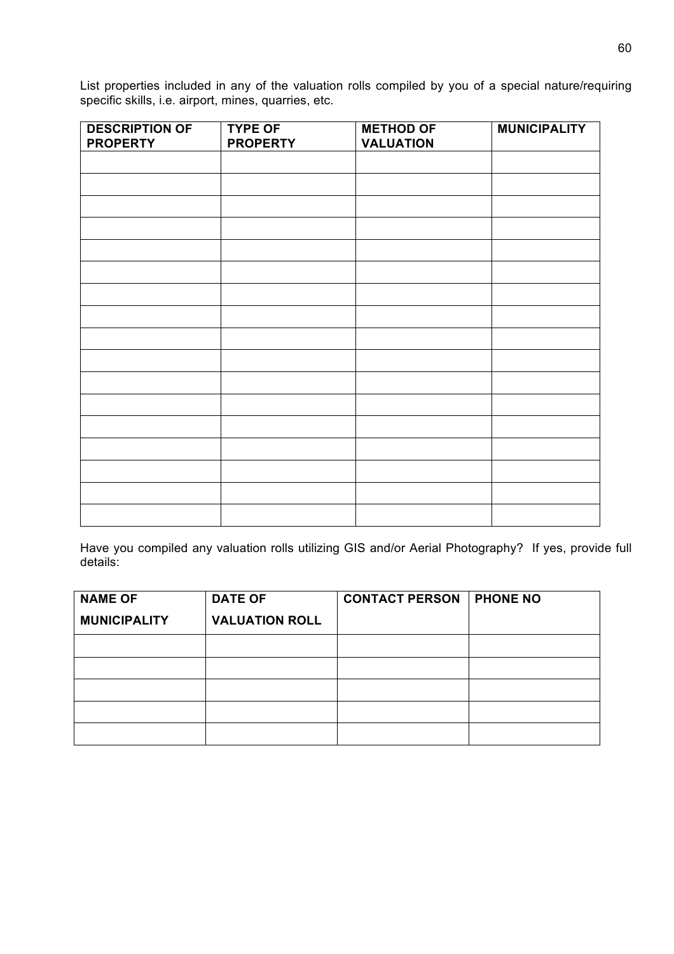List properties included in any of the valuation rolls compiled by you of a special nature/requiring specific skills, i.e. airport, mines, quarries, etc.

| <b>DESCRIPTION OF</b> | <b>TYPE OF</b>  | <b>METHOD OF</b> | <b>MUNICIPALITY</b> |
|-----------------------|-----------------|------------------|---------------------|
| <b>PROPERTY</b>       | <b>PROPERTY</b> | <b>VALUATION</b> |                     |
|                       |                 |                  |                     |
|                       |                 |                  |                     |
|                       |                 |                  |                     |
|                       |                 |                  |                     |
|                       |                 |                  |                     |
|                       |                 |                  |                     |
|                       |                 |                  |                     |
|                       |                 |                  |                     |
|                       |                 |                  |                     |
|                       |                 |                  |                     |
|                       |                 |                  |                     |
|                       |                 |                  |                     |
|                       |                 |                  |                     |
|                       |                 |                  |                     |
|                       |                 |                  |                     |
|                       |                 |                  |                     |
|                       |                 |                  |                     |

Have you compiled any valuation rolls utilizing GIS and/or Aerial Photography? If yes, provide full details:

| <b>NAME OF</b>      | <b>DATE OF</b>        | <b>CONTACT PERSON</b> | <b>PHONE NO</b> |
|---------------------|-----------------------|-----------------------|-----------------|
| <b>MUNICIPALITY</b> | <b>VALUATION ROLL</b> |                       |                 |
|                     |                       |                       |                 |
|                     |                       |                       |                 |
|                     |                       |                       |                 |
|                     |                       |                       |                 |
|                     |                       |                       |                 |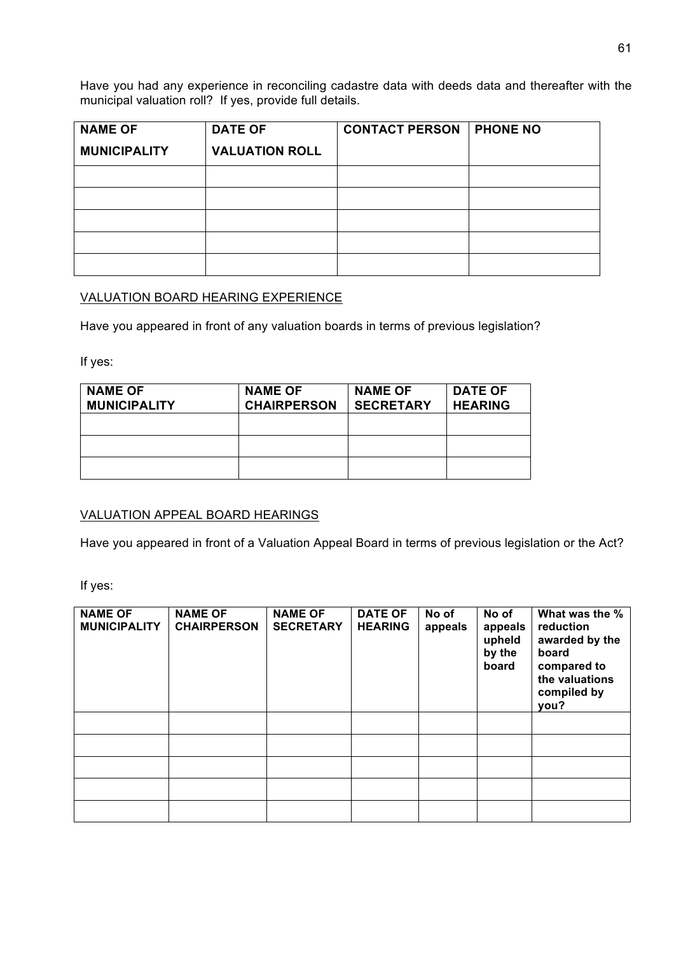Have you had any experience in reconciling cadastre data with deeds data and thereafter with the municipal valuation roll? If yes, provide full details.

| <b>NAME OF</b>      | <b>DATE OF</b>        | <b>CONTACT PERSON</b> | <b>PHONE NO</b> |
|---------------------|-----------------------|-----------------------|-----------------|
| <b>MUNICIPALITY</b> | <b>VALUATION ROLL</b> |                       |                 |
|                     |                       |                       |                 |
|                     |                       |                       |                 |
|                     |                       |                       |                 |
|                     |                       |                       |                 |
|                     |                       |                       |                 |

### VALUATION BOARD HEARING EXPERIENCE

Have you appeared in front of any valuation boards in terms of previous legislation?

If yes:

| <b>NAME OF</b><br><b>MUNICIPALITY</b> | <b>NAME OF</b><br><b>CHAIRPERSON</b> | <b>NAME OF</b><br><b>SECRETARY</b> | <b>DATE OF</b><br><b>HEARING</b> |
|---------------------------------------|--------------------------------------|------------------------------------|----------------------------------|
|                                       |                                      |                                    |                                  |
|                                       |                                      |                                    |                                  |
|                                       |                                      |                                    |                                  |

### VALUATION APPEAL BOARD HEARINGS

Have you appeared in front of a Valuation Appeal Board in terms of previous legislation or the Act?

If yes:

| <b>NAME OF</b><br><b>MUNICIPALITY</b> | <b>NAME OF</b><br><b>CHAIRPERSON</b> | <b>NAME OF</b><br><b>SECRETARY</b> | <b>DATE OF</b><br><b>HEARING</b> | No of<br>appeals | No of<br>appeals<br>upheld<br>by the<br>board | What was the %<br>reduction<br>awarded by the<br>board<br>compared to<br>the valuations<br>compiled by<br>you? |
|---------------------------------------|--------------------------------------|------------------------------------|----------------------------------|------------------|-----------------------------------------------|----------------------------------------------------------------------------------------------------------------|
|                                       |                                      |                                    |                                  |                  |                                               |                                                                                                                |
|                                       |                                      |                                    |                                  |                  |                                               |                                                                                                                |
|                                       |                                      |                                    |                                  |                  |                                               |                                                                                                                |
|                                       |                                      |                                    |                                  |                  |                                               |                                                                                                                |
|                                       |                                      |                                    |                                  |                  |                                               |                                                                                                                |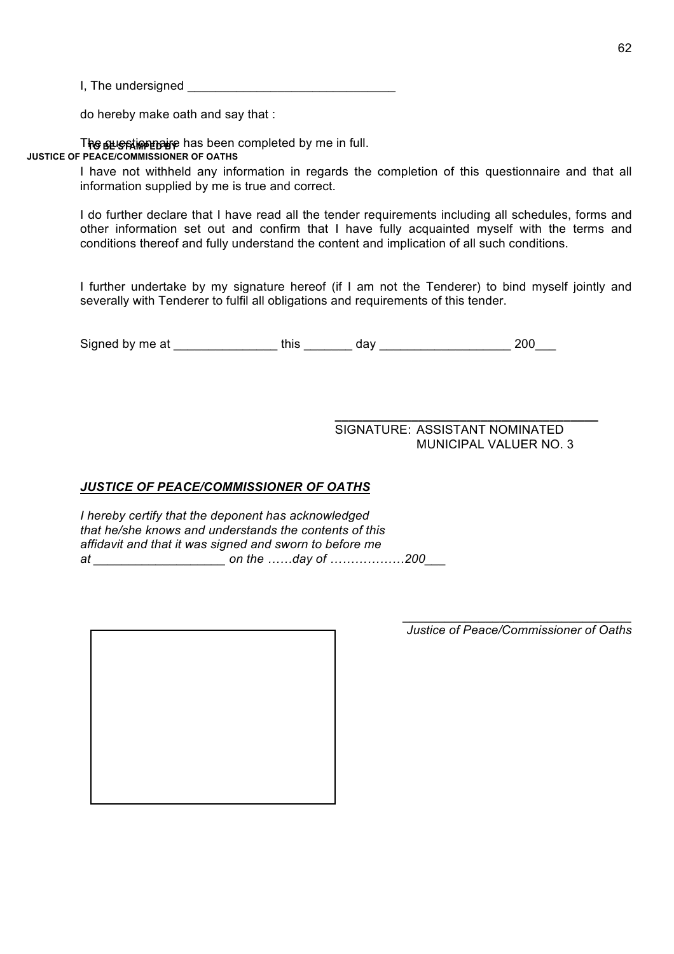I, The undersigned \_\_\_\_\_\_\_\_\_\_\_\_\_\_\_\_\_\_\_\_\_\_\_\_\_\_\_\_\_\_

do hereby make oath and say that :

The sus stime paye has been completed by me in full. **JUSTICE OF PEACE/COMMISSIONER OF OATHS**

> I have not withheld any information in regards the completion of this questionnaire and that all information supplied by me is true and correct.

> I do further declare that I have read all the tender requirements including all schedules, forms and other information set out and confirm that I have fully acquainted myself with the terms and conditions thereof and fully understand the content and implication of all such conditions.

> I further undertake by my signature hereof (if I am not the Tenderer) to bind myself jointly and severally with Tenderer to fulfil all obligations and requirements of this tender.

Signed by me at \_\_\_\_\_\_\_\_\_\_\_\_\_\_\_ this \_\_\_\_\_\_\_ day \_\_\_\_\_\_\_\_\_\_\_\_\_\_\_\_\_\_\_ 200\_\_\_

SIGNATURE: ASSISTANT NOMINATED MUNICIPAL VALUER NO. 3

**\_\_\_\_\_\_\_\_\_\_\_\_\_\_\_\_\_\_\_\_\_\_\_\_\_\_\_\_\_\_\_\_\_\_\_\_\_\_**

### *JUSTICE OF PEACE/COMMISSIONER OF OATHS*

*I hereby certify that the deponent has acknowledged that he/she knows and understands the contents of this affidavit and that it was signed and sworn to before me at \_\_\_\_\_\_\_\_\_\_\_\_\_\_\_\_\_\_\_ on the ……day of ………………200\_\_\_*

*\_\_\_\_\_\_\_\_\_\_\_\_\_\_\_\_\_\_\_\_\_\_\_\_\_\_\_\_\_\_\_\_\_ Justice of Peace/Commissioner of Oaths*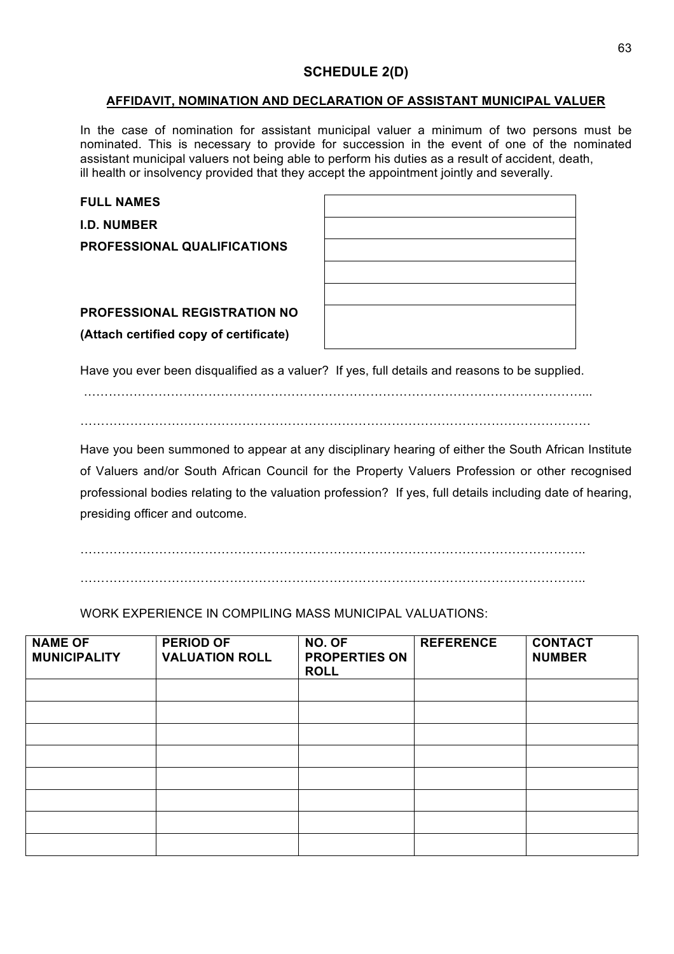# **SCHEDULE 2(D)**

#### **AFFIDAVIT, NOMINATION AND DECLARATION OF ASSISTANT MUNICIPAL VALUER**

In the case of nomination for assistant municipal valuer a minimum of two persons must be nominated. This is necessary to provide for succession in the event of one of the nominated assistant municipal valuers not being able to perform his duties as a result of accident, death, ill health or insolvency provided that they accept the appointment jointly and severally.

| <b>FULL NAMES</b>                      |  |
|----------------------------------------|--|
| <b>I.D. NUMBER</b>                     |  |
| <b>PROFESSIONAL QUALIFICATIONS</b>     |  |
|                                        |  |
|                                        |  |
| <b>PROFESSIONAL REGISTRATION NO</b>    |  |
| (Attach certified copy of certificate) |  |
|                                        |  |

Have you ever been disqualified as a valuer? If yes, full details and reasons to be supplied.

…………………………………………………………………………………………………………... ……………………………………………………………………………………………………………

Have you been summoned to appear at any disciplinary hearing of either the South African Institute of Valuers and/or South African Council for the Property Valuers Profession or other recognised professional bodies relating to the valuation profession? If yes, full details including date of hearing, presiding officer and outcome.

…………………………………………………………………………………………………………..

…………………………………………………………………………………………………………..

WORK EXPERIENCE IN COMPILING MASS MUNICIPAL VALUATIONS:

| <b>NAME OF</b><br><b>MUNICIPALITY</b> | <b>PERIOD OF</b><br><b>VALUATION ROLL</b> | NO. OF<br><b>PROPERTIES ON</b><br><b>ROLL</b> | <b>REFERENCE</b> | <b>CONTACT</b><br><b>NUMBER</b> |
|---------------------------------------|-------------------------------------------|-----------------------------------------------|------------------|---------------------------------|
|                                       |                                           |                                               |                  |                                 |
|                                       |                                           |                                               |                  |                                 |
|                                       |                                           |                                               |                  |                                 |
|                                       |                                           |                                               |                  |                                 |
|                                       |                                           |                                               |                  |                                 |
|                                       |                                           |                                               |                  |                                 |
|                                       |                                           |                                               |                  |                                 |
|                                       |                                           |                                               |                  |                                 |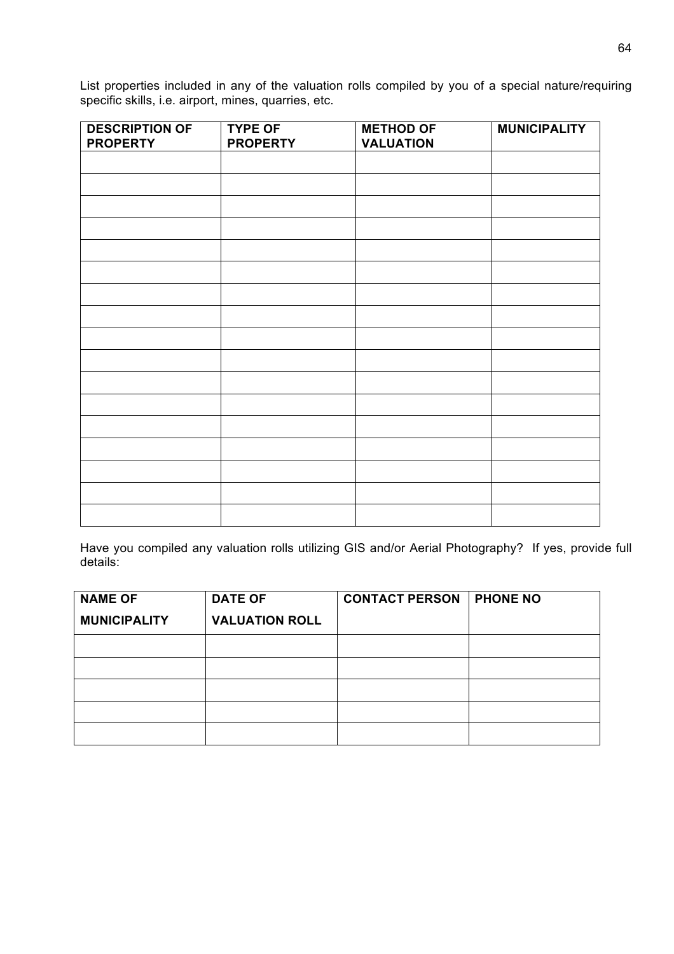List properties included in any of the valuation rolls compiled by you of a special nature/requiring specific skills, i.e. airport, mines, quarries, etc.

| <b>DESCRIPTION OF</b> | <b>TYPE OF</b>  | <b>METHOD OF</b> | <b>MUNICIPALITY</b> |
|-----------------------|-----------------|------------------|---------------------|
| <b>PROPERTY</b>       | <b>PROPERTY</b> | <b>VALUATION</b> |                     |
|                       |                 |                  |                     |
|                       |                 |                  |                     |
|                       |                 |                  |                     |
|                       |                 |                  |                     |
|                       |                 |                  |                     |
|                       |                 |                  |                     |
|                       |                 |                  |                     |
|                       |                 |                  |                     |
|                       |                 |                  |                     |
|                       |                 |                  |                     |
|                       |                 |                  |                     |
|                       |                 |                  |                     |
|                       |                 |                  |                     |
|                       |                 |                  |                     |
|                       |                 |                  |                     |
|                       |                 |                  |                     |
|                       |                 |                  |                     |

Have you compiled any valuation rolls utilizing GIS and/or Aerial Photography? If yes, provide full details:

| <b>NAME OF</b>      | <b>DATE OF</b>        | <b>CONTACT PERSON</b> | <b>PHONE NO</b> |
|---------------------|-----------------------|-----------------------|-----------------|
| <b>MUNICIPALITY</b> | <b>VALUATION ROLL</b> |                       |                 |
|                     |                       |                       |                 |
|                     |                       |                       |                 |
|                     |                       |                       |                 |
|                     |                       |                       |                 |
|                     |                       |                       |                 |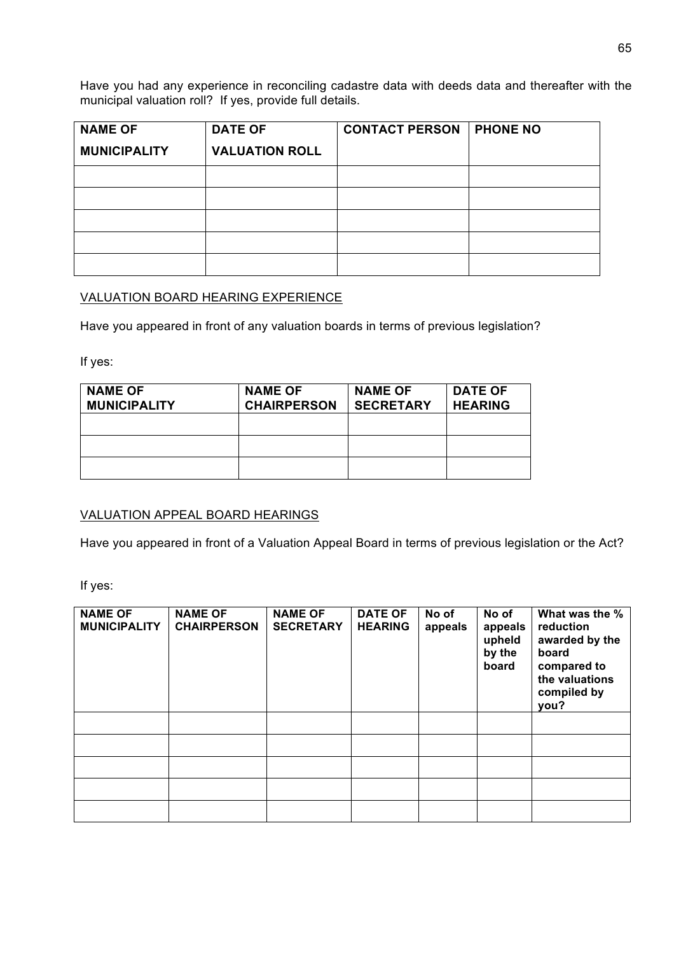Have you had any experience in reconciling cadastre data with deeds data and thereafter with the municipal valuation roll? If yes, provide full details.

| <b>NAME OF</b>      | <b>DATE OF</b>        | <b>CONTACT PERSON</b> | <b>PHONE NO</b> |
|---------------------|-----------------------|-----------------------|-----------------|
| <b>MUNICIPALITY</b> | <b>VALUATION ROLL</b> |                       |                 |
|                     |                       |                       |                 |
|                     |                       |                       |                 |
|                     |                       |                       |                 |
|                     |                       |                       |                 |
|                     |                       |                       |                 |

## VALUATION BOARD HEARING EXPERIENCE

Have you appeared in front of any valuation boards in terms of previous legislation?

If yes:

| <b>NAME OF</b><br><b>MUNICIPALITY</b> | <b>NAME OF</b><br><b>CHAIRPERSON</b> | <b>NAME OF</b><br><b>SECRETARY</b> | <b>DATE OF</b><br><b>HEARING</b> |
|---------------------------------------|--------------------------------------|------------------------------------|----------------------------------|
|                                       |                                      |                                    |                                  |
|                                       |                                      |                                    |                                  |
|                                       |                                      |                                    |                                  |

### VALUATION APPEAL BOARD HEARINGS

Have you appeared in front of a Valuation Appeal Board in terms of previous legislation or the Act?

If yes:

| <b>NAME OF</b><br><b>MUNICIPALITY</b> | <b>NAME OF</b><br><b>CHAIRPERSON</b> | <b>NAME OF</b><br><b>SECRETARY</b> | <b>DATE OF</b><br><b>HEARING</b> | No of<br>appeals | No of<br>appeals<br>upheld<br>by the<br>board | What was the %<br>reduction<br>awarded by the<br>board<br>compared to<br>the valuations<br>compiled by<br>you? |
|---------------------------------------|--------------------------------------|------------------------------------|----------------------------------|------------------|-----------------------------------------------|----------------------------------------------------------------------------------------------------------------|
|                                       |                                      |                                    |                                  |                  |                                               |                                                                                                                |
|                                       |                                      |                                    |                                  |                  |                                               |                                                                                                                |
|                                       |                                      |                                    |                                  |                  |                                               |                                                                                                                |
|                                       |                                      |                                    |                                  |                  |                                               |                                                                                                                |
|                                       |                                      |                                    |                                  |                  |                                               |                                                                                                                |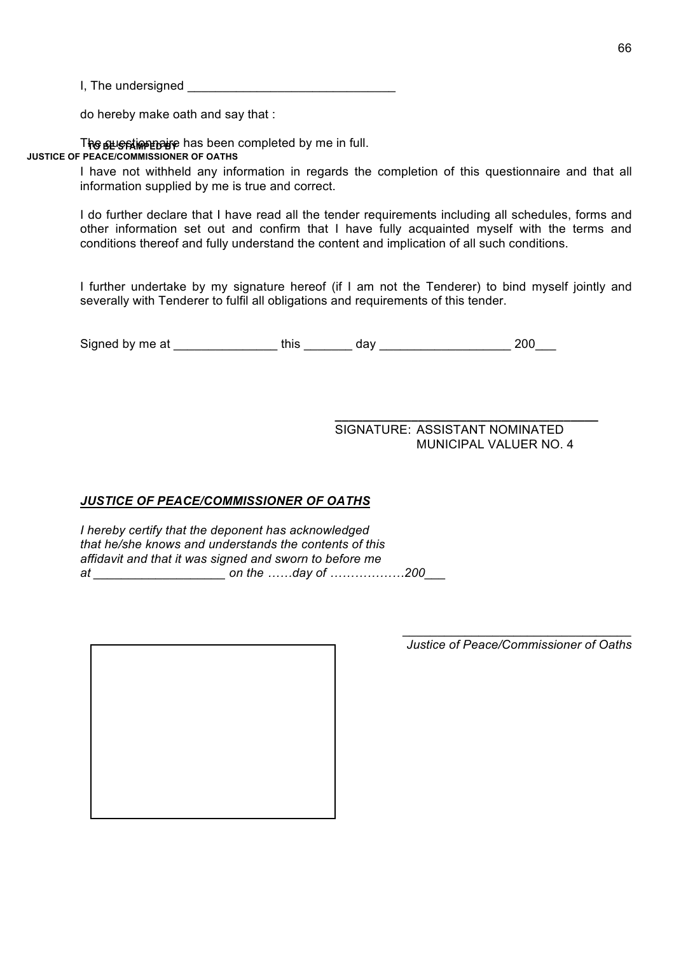I, The undersigned **EXALUST 2008** 

do hereby make oath and say that :

The sus stime paye has been completed by me in full. **JUSTICE OF PEACE/COMMISSIONER OF OATHS**

> I have not withheld any information in regards the completion of this questionnaire and that all information supplied by me is true and correct.

> I do further declare that I have read all the tender requirements including all schedules, forms and other information set out and confirm that I have fully acquainted myself with the terms and conditions thereof and fully understand the content and implication of all such conditions.

> I further undertake by my signature hereof (if I am not the Tenderer) to bind myself jointly and severally with Tenderer to fulfil all obligations and requirements of this tender.

Signed by me at \_\_\_\_\_\_\_\_\_\_\_\_\_\_\_ this \_\_\_\_\_\_\_ day \_\_\_\_\_\_\_\_\_\_\_\_\_\_\_\_\_\_\_ 200\_\_\_

**\_\_\_\_\_\_\_\_\_\_\_\_\_\_\_\_\_\_\_\_\_\_\_\_\_\_\_\_\_\_\_\_\_\_\_\_\_\_** SIGNATURE: ASSISTANT NOMINATED MUNICIPAL VALUER NO. 4

### *JUSTICE OF PEACE/COMMISSIONER OF OATHS*

*I hereby certify that the deponent has acknowledged that he/she knows and understands the contents of this affidavit and that it was signed and sworn to before me at \_\_\_\_\_\_\_\_\_\_\_\_\_\_\_\_\_\_\_ on the ……day of ………………200\_\_\_*

*\_\_\_\_\_\_\_\_\_\_\_\_\_\_\_\_\_\_\_\_\_\_\_\_\_\_\_\_\_\_\_\_\_ Justice of Peace/Commissioner of Oaths*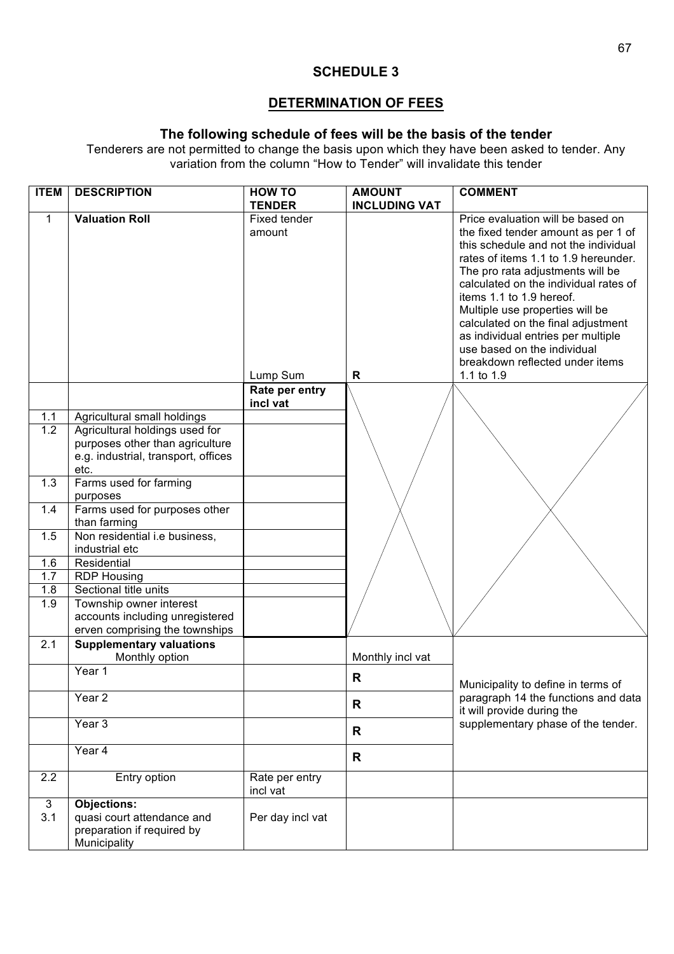# **SCHEDULE 3**

# **DETERMINATION OF FEES**

## **The following schedule of fees will be the basis of the tender**

Tenderers are not permitted to change the basis upon which they have been asked to tender. Any variation from the column "How to Tender" will invalidate this tender

| <b>ITEM</b>      | <b>DESCRIPTION</b>                                                     | <b>HOW TO</b>              | <b>AMOUNT</b>        | <b>COMMENT</b>                                                           |
|------------------|------------------------------------------------------------------------|----------------------------|----------------------|--------------------------------------------------------------------------|
|                  |                                                                        | <b>TENDER</b>              | <b>INCLUDING VAT</b> |                                                                          |
| 1                | <b>Valuation Roll</b>                                                  | Fixed tender<br>amount     |                      | Price evaluation will be based on<br>the fixed tender amount as per 1 of |
|                  |                                                                        |                            |                      | this schedule and not the individual                                     |
|                  |                                                                        |                            |                      | rates of items 1.1 to 1.9 hereunder.                                     |
|                  |                                                                        |                            |                      | The pro rata adjustments will be                                         |
|                  |                                                                        |                            |                      | calculated on the individual rates of                                    |
|                  |                                                                        |                            |                      | items 1.1 to 1.9 hereof.                                                 |
|                  |                                                                        |                            |                      | Multiple use properties will be<br>calculated on the final adjustment    |
|                  |                                                                        |                            |                      | as individual entries per multiple                                       |
|                  |                                                                        |                            |                      | use based on the individual                                              |
|                  |                                                                        |                            |                      | breakdown reflected under items                                          |
|                  |                                                                        | Lump Sum                   | $\mathsf{R}$         | 1.1 to 1.9                                                               |
|                  |                                                                        | Rate per entry<br>incl vat |                      |                                                                          |
| 1.1              | Agricultural small holdings                                            |                            |                      |                                                                          |
| $\overline{1.2}$ | Agricultural holdings used for                                         |                            |                      |                                                                          |
|                  | purposes other than agriculture<br>e.g. industrial, transport, offices |                            |                      |                                                                          |
|                  | etc.                                                                   |                            |                      |                                                                          |
| 1.3              | Farms used for farming                                                 |                            |                      |                                                                          |
|                  | purposes                                                               |                            |                      |                                                                          |
| 1.4              | Farms used for purposes other                                          |                            |                      |                                                                          |
|                  | than farming                                                           |                            |                      |                                                                          |
| 1.5              | Non residential i.e business,                                          |                            |                      |                                                                          |
| 1.6              | industrial etc<br>Residential                                          |                            |                      |                                                                          |
| 1.7              | <b>RDP Housing</b>                                                     |                            |                      |                                                                          |
| 1.8              | Sectional title units                                                  |                            |                      |                                                                          |
| 1.9              | Township owner interest                                                |                            |                      |                                                                          |
|                  | accounts including unregistered                                        |                            |                      |                                                                          |
|                  | erven comprising the townships                                         |                            |                      |                                                                          |
| 2.1              | <b>Supplementary valuations</b>                                        |                            |                      |                                                                          |
|                  | Monthly option<br>Year 1                                               |                            | Monthly incl vat     |                                                                          |
|                  |                                                                        |                            | $\mathsf{R}$         | Municipality to define in terms of                                       |
|                  | Year <sub>2</sub>                                                      |                            | R                    | paragraph 14 the functions and data<br>it will provide during the        |
|                  | Year 3                                                                 |                            | R                    | supplementary phase of the tender.                                       |
|                  | Year 4                                                                 |                            |                      |                                                                          |
|                  |                                                                        |                            | R                    |                                                                          |
| 2.2              | Entry option                                                           | Rate per entry<br>incl vat |                      |                                                                          |
| 3                | <b>Objections:</b>                                                     |                            |                      |                                                                          |
| 3.1              | quasi court attendance and                                             | Per day incl vat           |                      |                                                                          |
|                  | preparation if required by<br>Municipality                             |                            |                      |                                                                          |
|                  |                                                                        |                            |                      |                                                                          |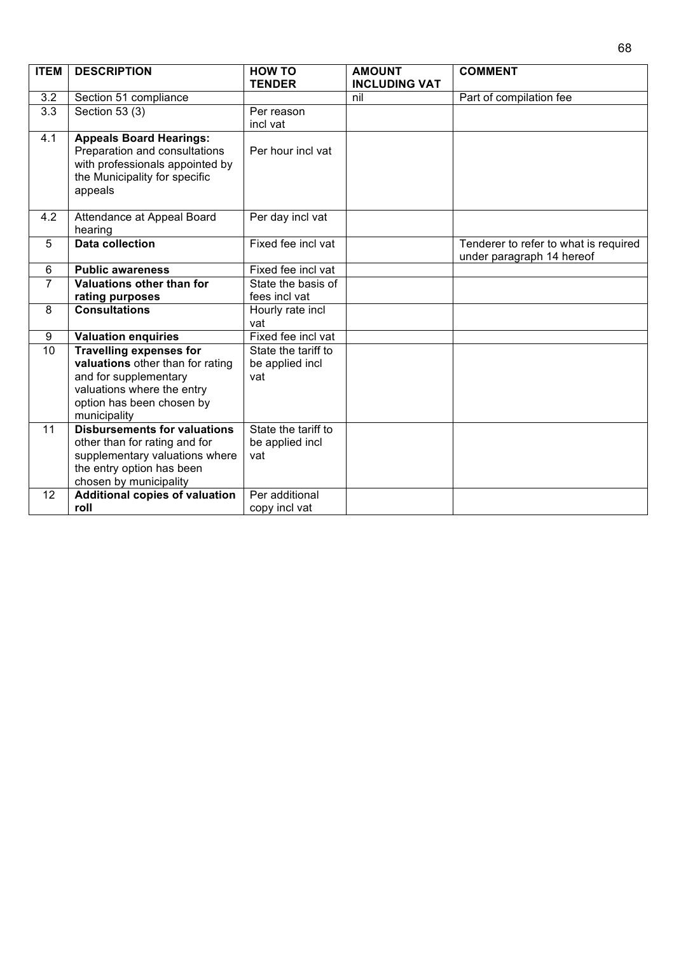| <b>ITEM</b>     | <b>DESCRIPTION</b>                                                                                                                             | <b>HOW TO</b>          | <b>AMOUNT</b>        | <b>COMMENT</b>                                                     |
|-----------------|------------------------------------------------------------------------------------------------------------------------------------------------|------------------------|----------------------|--------------------------------------------------------------------|
|                 |                                                                                                                                                | <b>TENDER</b>          | <b>INCLUDING VAT</b> |                                                                    |
| 3.2             | Section 51 compliance                                                                                                                          |                        | nil                  | Part of compilation fee                                            |
| 3.3             | Section 53 (3)                                                                                                                                 | Per reason             |                      |                                                                    |
|                 |                                                                                                                                                | incl vat               |                      |                                                                    |
| 4.1             | <b>Appeals Board Hearings:</b><br>Preparation and consultations<br>with professionals appointed by<br>the Municipality for specific<br>appeals | Per hour incl vat      |                      |                                                                    |
| 4.2             | Attendance at Appeal Board<br>hearing                                                                                                          | Per day incl vat       |                      |                                                                    |
| 5               | <b>Data collection</b>                                                                                                                         | Fixed fee incl vat     |                      | Tenderer to refer to what is required<br>under paragraph 14 hereof |
| 6               | <b>Public awareness</b>                                                                                                                        | Fixed fee incl vat     |                      |                                                                    |
| $\overline{7}$  | Valuations other than for                                                                                                                      | State the basis of     |                      |                                                                    |
|                 | rating purposes                                                                                                                                | fees incl vat          |                      |                                                                    |
| 8               | <b>Consultations</b>                                                                                                                           | Hourly rate incl       |                      |                                                                    |
|                 |                                                                                                                                                | vat                    |                      |                                                                    |
| 9               | <b>Valuation enquiries</b>                                                                                                                     | Fixed fee incl vat     |                      |                                                                    |
| 10              | <b>Travelling expenses for</b>                                                                                                                 | State the tariff to    |                      |                                                                    |
|                 | valuations other than for rating                                                                                                               | be applied incl        |                      |                                                                    |
|                 | and for supplementary                                                                                                                          | vat                    |                      |                                                                    |
|                 | valuations where the entry                                                                                                                     |                        |                      |                                                                    |
|                 | option has been chosen by                                                                                                                      |                        |                      |                                                                    |
|                 | municipality                                                                                                                                   |                        |                      |                                                                    |
| $\overline{11}$ | <b>Disbursements for valuations</b>                                                                                                            | State the tariff to    |                      |                                                                    |
|                 | other than for rating and for<br>supplementary valuations where                                                                                | be applied incl<br>vat |                      |                                                                    |
|                 | the entry option has been                                                                                                                      |                        |                      |                                                                    |
|                 | chosen by municipality                                                                                                                         |                        |                      |                                                                    |
| 12              | <b>Additional copies of valuation</b>                                                                                                          | Per additional         |                      |                                                                    |
|                 | roll                                                                                                                                           | copy incl vat          |                      |                                                                    |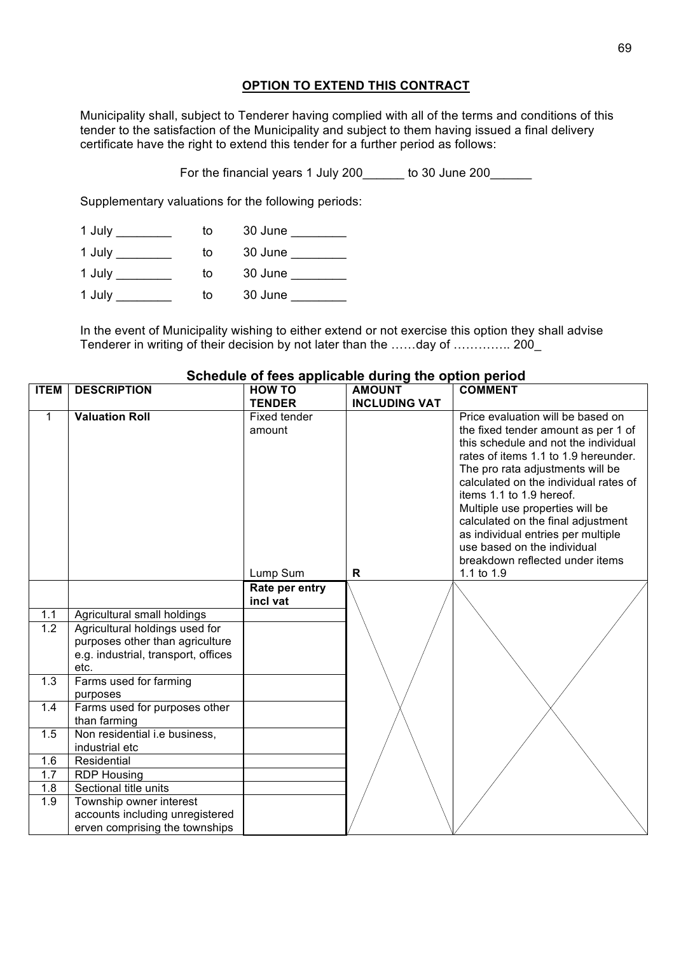## **OPTION TO EXTEND THIS CONTRACT**

Municipality shall, subject to Tenderer having complied with all of the terms and conditions of this tender to the satisfaction of the Municipality and subject to them having issued a final delivery certificate have the right to extend this tender for a further period as follows:

For the financial years 1 July 200 to 30 June 200

Supplementary valuations for the following periods:

| 1 July | to | 30 June |
|--------|----|---------|
| 1 July | to | 30 June |
| 1 July | to | 30 June |
| 1 July | to | 30 June |

In the event of Municipality wishing to either extend or not exercise this option they shall advise Tenderer in writing of their decision by not later than the ……day of ………….. 200\_

| <b>ITEM</b>      | <b>DESCRIPTION</b>                                                                                               | <b>HOW TO</b>              | <b>AMOUNT</b>        | <b>COMMENT</b>                                                                                                                                                                                                                                                                                                                                                                                                                                     |
|------------------|------------------------------------------------------------------------------------------------------------------|----------------------------|----------------------|----------------------------------------------------------------------------------------------------------------------------------------------------------------------------------------------------------------------------------------------------------------------------------------------------------------------------------------------------------------------------------------------------------------------------------------------------|
|                  |                                                                                                                  | <b>TENDER</b>              | <b>INCLUDING VAT</b> |                                                                                                                                                                                                                                                                                                                                                                                                                                                    |
| $\mathbf{1}$     | <b>Valuation Roll</b>                                                                                            | Fixed tender<br>amount     |                      | Price evaluation will be based on<br>the fixed tender amount as per 1 of<br>this schedule and not the individual<br>rates of items 1.1 to 1.9 hereunder.<br>The pro rata adjustments will be<br>calculated on the individual rates of<br>items 1.1 to 1.9 hereof.<br>Multiple use properties will be<br>calculated on the final adjustment<br>as individual entries per multiple<br>use based on the individual<br>breakdown reflected under items |
|                  |                                                                                                                  | Lump Sum                   | $\mathsf{R}$         | 1.1 to 1.9                                                                                                                                                                                                                                                                                                                                                                                                                                         |
|                  |                                                                                                                  | Rate per entry<br>incl vat |                      |                                                                                                                                                                                                                                                                                                                                                                                                                                                    |
| 1.1              | Agricultural small holdings                                                                                      |                            |                      |                                                                                                                                                                                                                                                                                                                                                                                                                                                    |
| $\overline{1.2}$ | Agricultural holdings used for<br>purposes other than agriculture<br>e.g. industrial, transport, offices<br>etc. |                            |                      |                                                                                                                                                                                                                                                                                                                                                                                                                                                    |
| 1.3              | Farms used for farming<br>purposes                                                                               |                            |                      |                                                                                                                                                                                                                                                                                                                                                                                                                                                    |
| 1.4              | Farms used for purposes other<br>than farming                                                                    |                            |                      |                                                                                                                                                                                                                                                                                                                                                                                                                                                    |
| 1.5              | Non residential i.e business,<br>industrial etc                                                                  |                            |                      |                                                                                                                                                                                                                                                                                                                                                                                                                                                    |
| 1.6              | Residential                                                                                                      |                            |                      |                                                                                                                                                                                                                                                                                                                                                                                                                                                    |
| 1.7              | <b>RDP Housing</b>                                                                                               |                            |                      |                                                                                                                                                                                                                                                                                                                                                                                                                                                    |
| 1.8              | Sectional title units                                                                                            |                            |                      |                                                                                                                                                                                                                                                                                                                                                                                                                                                    |
| 1.9              | Township owner interest                                                                                          |                            |                      |                                                                                                                                                                                                                                                                                                                                                                                                                                                    |
|                  | accounts including unregistered                                                                                  |                            |                      |                                                                                                                                                                                                                                                                                                                                                                                                                                                    |
|                  | erven comprising the townships                                                                                   |                            |                      |                                                                                                                                                                                                                                                                                                                                                                                                                                                    |

## **Schedule of fees applicable during the option period**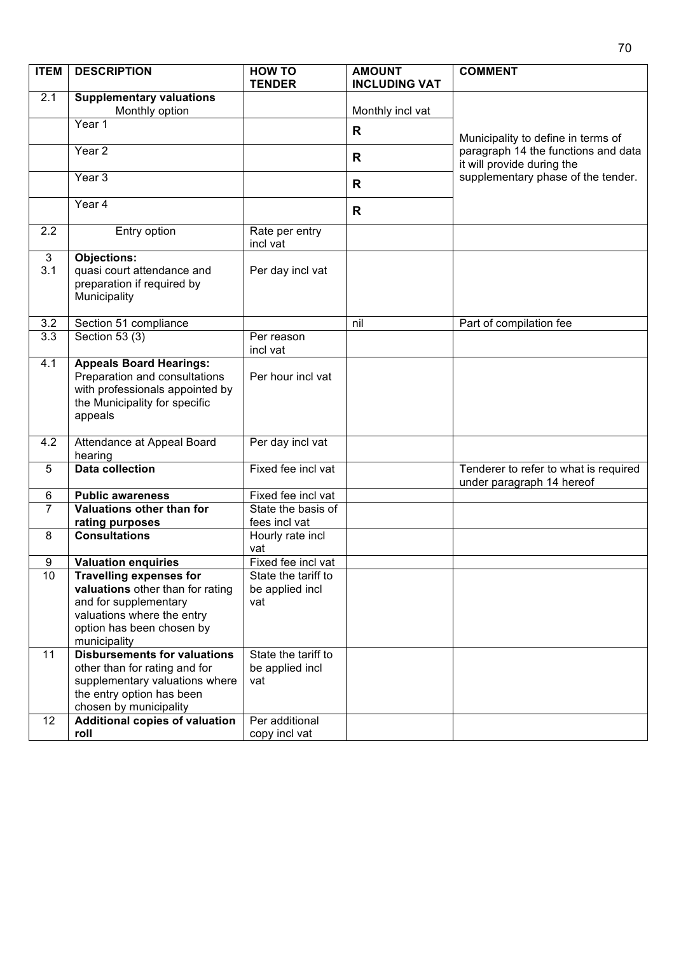| <b>ITEM</b>         | <b>DESCRIPTION</b>                                                                                                                                                     | <b>HOW TO</b><br><b>TENDER</b>                | <b>AMOUNT</b><br><b>INCLUDING VAT</b> | <b>COMMENT</b>                                                                                                                                |
|---------------------|------------------------------------------------------------------------------------------------------------------------------------------------------------------------|-----------------------------------------------|---------------------------------------|-----------------------------------------------------------------------------------------------------------------------------------------------|
| 2.1                 | <b>Supplementary valuations</b>                                                                                                                                        |                                               |                                       |                                                                                                                                               |
|                     | Monthly option                                                                                                                                                         |                                               | Monthly incl vat                      | Municipality to define in terms of<br>paragraph 14 the functions and data<br>it will provide during the<br>supplementary phase of the tender. |
|                     | Year 1                                                                                                                                                                 |                                               | R                                     |                                                                                                                                               |
|                     | Year <sub>2</sub>                                                                                                                                                      |                                               | R                                     |                                                                                                                                               |
|                     | Year <sub>3</sub>                                                                                                                                                      |                                               | R                                     |                                                                                                                                               |
|                     | Year 4                                                                                                                                                                 |                                               | $\mathsf{R}$                          |                                                                                                                                               |
| 2.2                 | Entry option                                                                                                                                                           | Rate per entry<br>incl vat                    |                                       |                                                                                                                                               |
| $\mathbf{3}$<br>3.1 | <b>Objections:</b><br>quasi court attendance and<br>preparation if required by<br>Municipality                                                                         | Per day incl vat                              |                                       |                                                                                                                                               |
| 3.2                 | Section 51 compliance                                                                                                                                                  |                                               | nil                                   | Part of compilation fee                                                                                                                       |
| $\overline{3.3}$    | Section $53(3)$                                                                                                                                                        | Per reason<br>incl vat                        |                                       |                                                                                                                                               |
| 4.1                 | <b>Appeals Board Hearings:</b><br>Preparation and consultations<br>with professionals appointed by<br>the Municipality for specific<br>appeals                         | Per hour incl vat                             |                                       |                                                                                                                                               |
| 4.2                 | Attendance at Appeal Board<br>hearing                                                                                                                                  | Per day incl vat                              |                                       |                                                                                                                                               |
| 5                   | <b>Data collection</b>                                                                                                                                                 | Fixed fee incl vat                            |                                       | Tenderer to refer to what is required<br>under paragraph 14 hereof                                                                            |
| 6                   | <b>Public awareness</b>                                                                                                                                                | Fixed fee incl vat                            |                                       |                                                                                                                                               |
| $\overline{7}$      | Valuations other than for                                                                                                                                              | State the basis of                            |                                       |                                                                                                                                               |
|                     | rating purposes                                                                                                                                                        | fees incl vat                                 |                                       |                                                                                                                                               |
| 8                   | <b>Consultations</b>                                                                                                                                                   | Hourly rate incl<br>vat                       |                                       |                                                                                                                                               |
| 9                   | <b>Valuation enquiries</b>                                                                                                                                             | Fixed fee incl vat                            |                                       |                                                                                                                                               |
| 10                  | <b>Travelling expenses for</b><br>valuations other than for rating<br>and for supplementary<br>valuations where the entry<br>option has been chosen by<br>municipality | State the tariff to<br>be applied incl<br>vat |                                       |                                                                                                                                               |
| 11                  | <b>Disbursements for valuations</b><br>other than for rating and for<br>supplementary valuations where<br>the entry option has been<br>chosen by municipality          | State the tariff to<br>be applied incl<br>vat |                                       |                                                                                                                                               |
| 12                  | <b>Additional copies of valuation</b><br>roll                                                                                                                          | Per additional<br>copy incl vat               |                                       |                                                                                                                                               |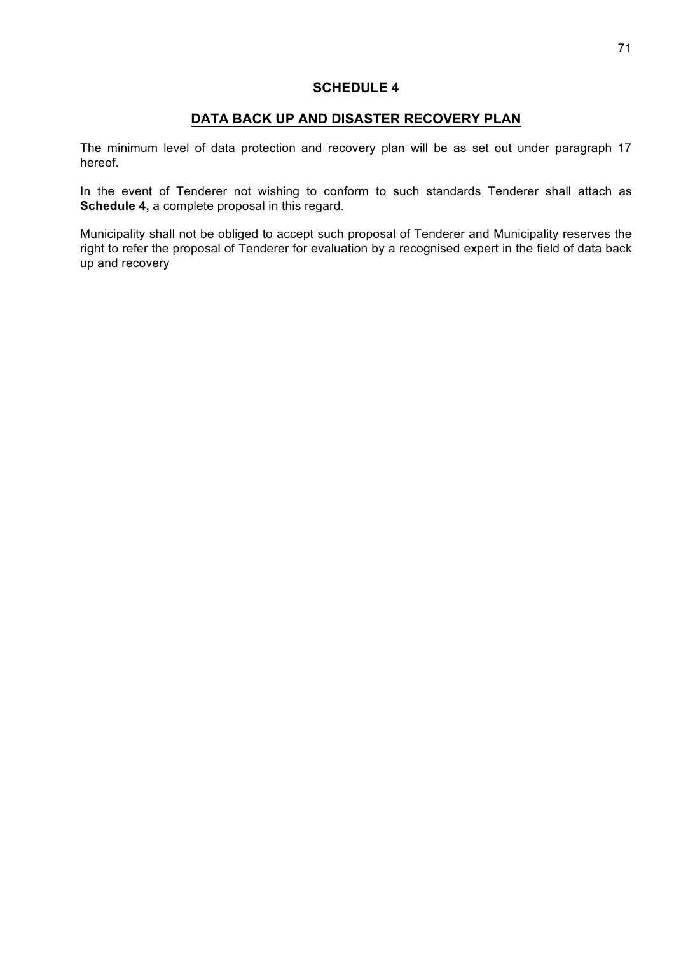# **SCHEDULE 4**

## **DATA BACK UP AND DISASTER RECOVERY PLAN**

The minimum level of data protection and recovery plan will be as set out under paragraph 17 hereof.

In the event of Tenderer not wishing to conform to such standards Tenderer shall attach as **Schedule 4,** a complete proposal in this regard.

Municipality shall not be obliged to accept such proposal of Tenderer and Municipality reserves the right to refer the proposal of Tenderer for evaluation by a recognised expert in the field of data back up and recovery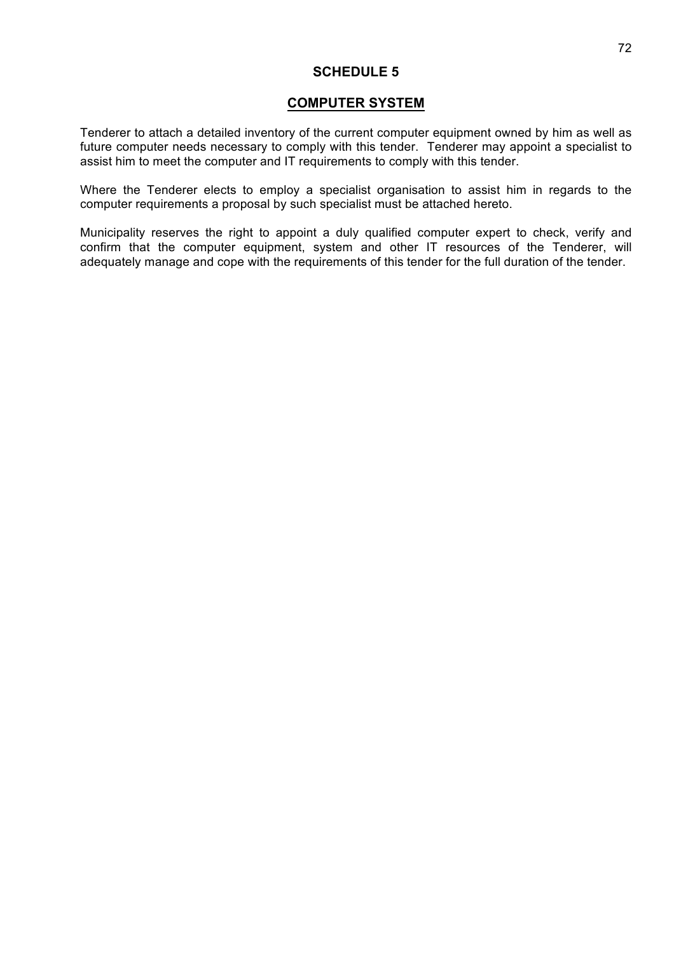## **SCHEDULE 5**

## **COMPUTER SYSTEM**

Tenderer to attach a detailed inventory of the current computer equipment owned by him as well as future computer needs necessary to comply with this tender. Tenderer may appoint a specialist to assist him to meet the computer and IT requirements to comply with this tender.

Where the Tenderer elects to employ a specialist organisation to assist him in regards to the computer requirements a proposal by such specialist must be attached hereto.

Municipality reserves the right to appoint a duly qualified computer expert to check, verify and confirm that the computer equipment, system and other IT resources of the Tenderer, will adequately manage and cope with the requirements of this tender for the full duration of the tender.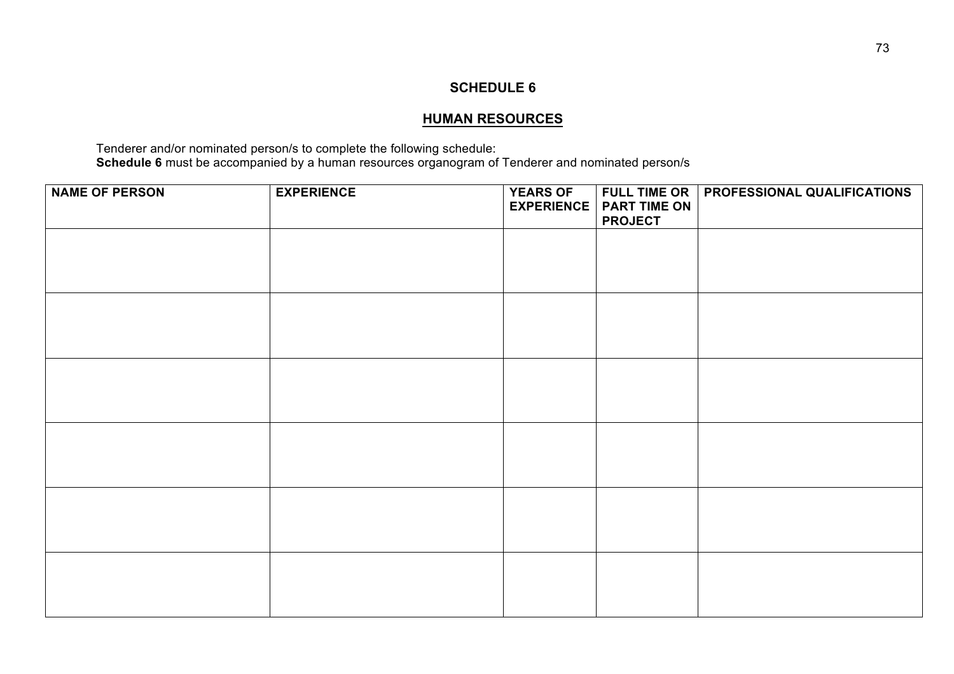#### **HUMAN RESOURCES**

Tenderer and/or nominated person/s to complete the following schedule: **Schedule 6** must be accompanied by a human resources organogram of Tenderer and nominated person/s

| <b>NAME OF PERSON</b> | <b>EXPERIENCE</b> | <b>YEARS OF</b><br><b>EXPERIENCE</b> | <b>PART TIME ON</b><br><b>PROJECT</b> | FULL TIME OR   PROFESSIONAL QUALIFICATIONS |
|-----------------------|-------------------|--------------------------------------|---------------------------------------|--------------------------------------------|
|                       |                   |                                      |                                       |                                            |
|                       |                   |                                      |                                       |                                            |
|                       |                   |                                      |                                       |                                            |
|                       |                   |                                      |                                       |                                            |
|                       |                   |                                      |                                       |                                            |
|                       |                   |                                      |                                       |                                            |
|                       |                   |                                      |                                       |                                            |
|                       |                   |                                      |                                       |                                            |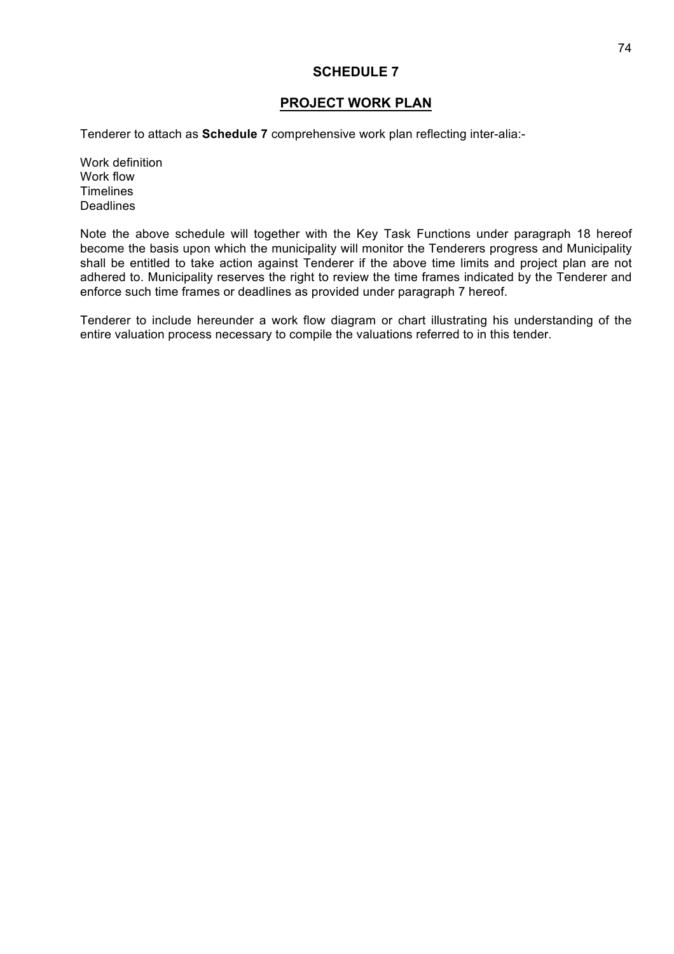#### **PROJECT WORK PLAN**

Tenderer to attach as **Schedule 7** comprehensive work plan reflecting inter-alia:-

Work definition Work flow **Timelines Deadlines** 

Note the above schedule will together with the Key Task Functions under paragraph 18 hereof become the basis upon which the municipality will monitor the Tenderers progress and Municipality shall be entitled to take action against Tenderer if the above time limits and project plan are not adhered to. Municipality reserves the right to review the time frames indicated by the Tenderer and enforce such time frames or deadlines as provided under paragraph 7 hereof.

Tenderer to include hereunder a work flow diagram or chart illustrating his understanding of the entire valuation process necessary to compile the valuations referred to in this tender.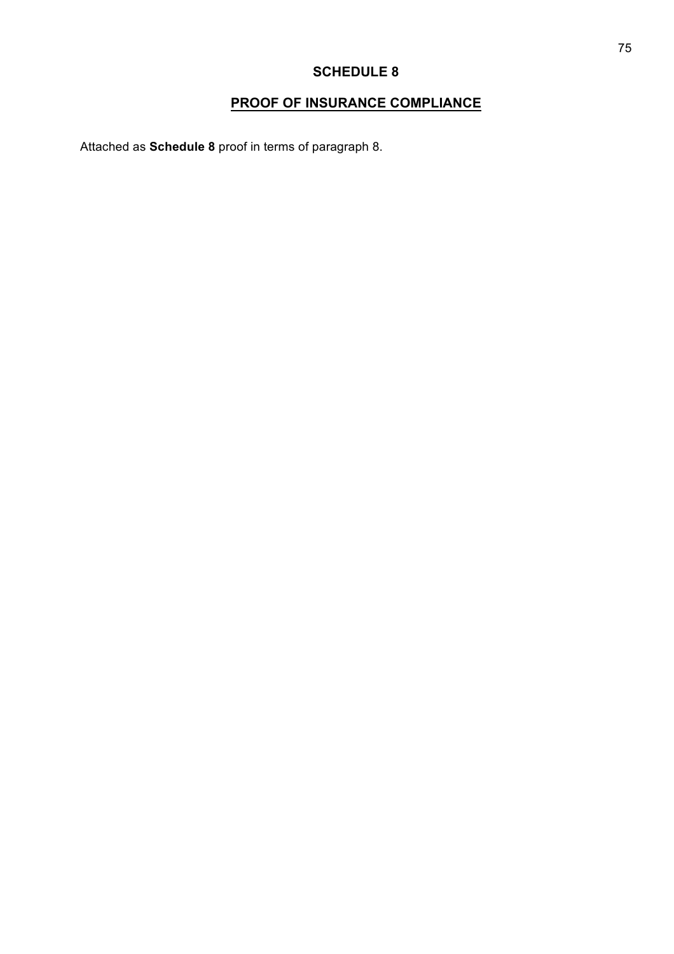# **PROOF OF INSURANCE COMPLIANCE**

Attached as **Schedule 8** proof in terms of paragraph 8.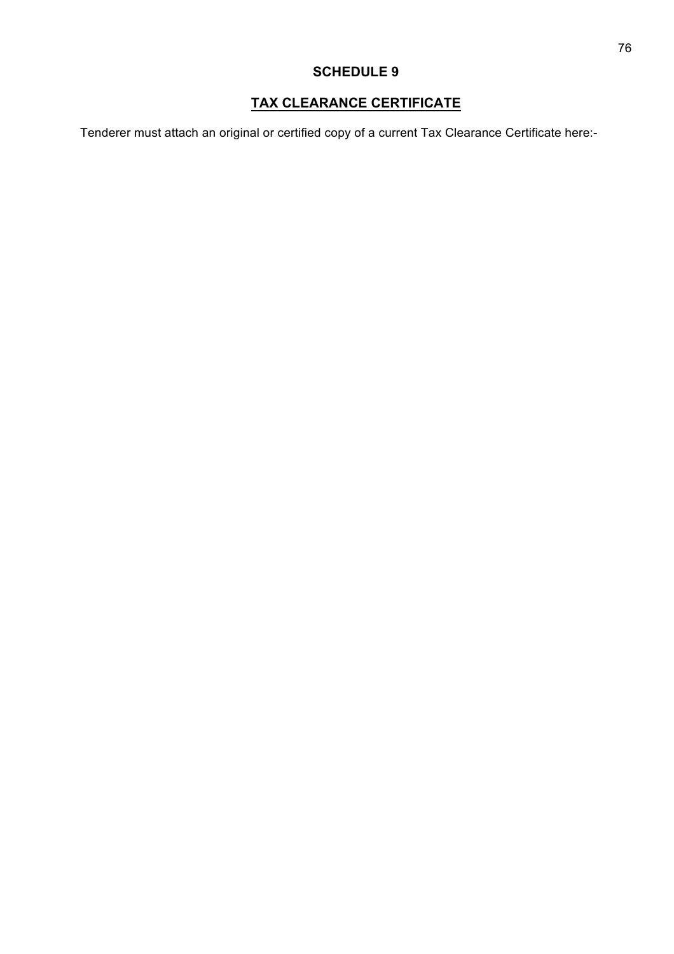# **TAX CLEARANCE CERTIFICATE**

Tenderer must attach an original or certified copy of a current Tax Clearance Certificate here:-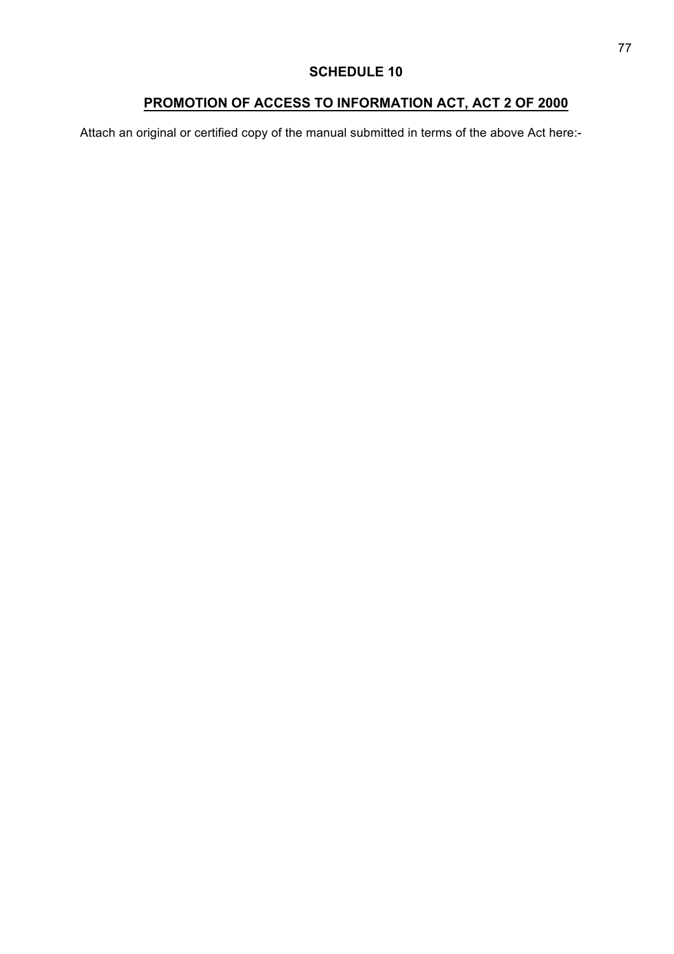# **PROMOTION OF ACCESS TO INFORMATION ACT, ACT 2 OF 2000**

Attach an original or certified copy of the manual submitted in terms of the above Act here:-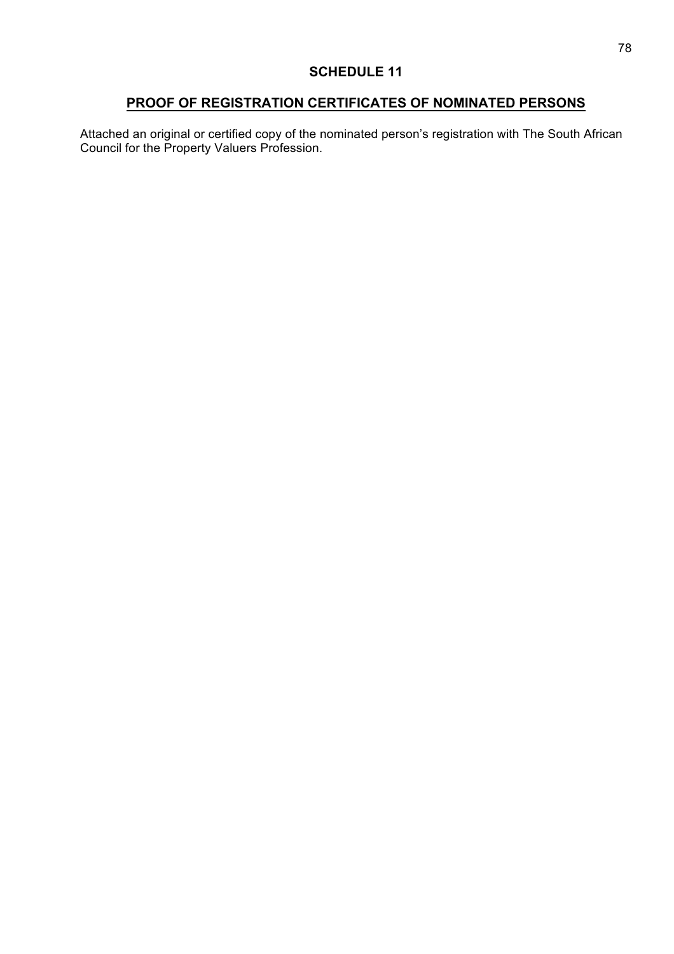#### **PROOF OF REGISTRATION CERTIFICATES OF NOMINATED PERSONS**

Attached an original or certified copy of the nominated person's registration with The South African Council for the Property Valuers Profession.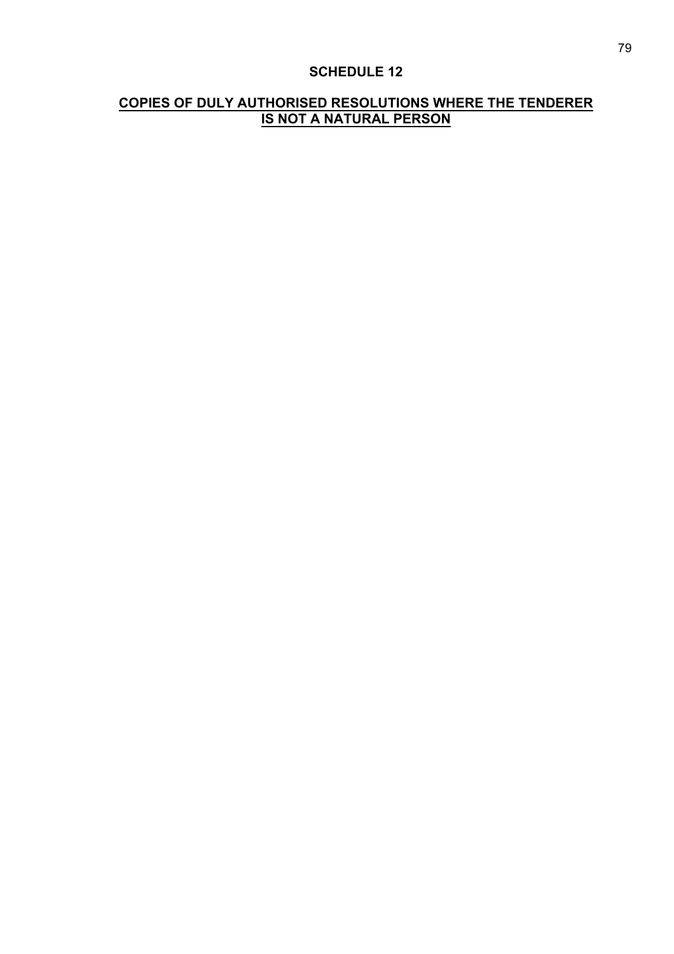#### **COPIES OF DULY AUTHORISED RESOLUTIONS WHERE THE TENDERER IS NOT A NATURAL PERSON**